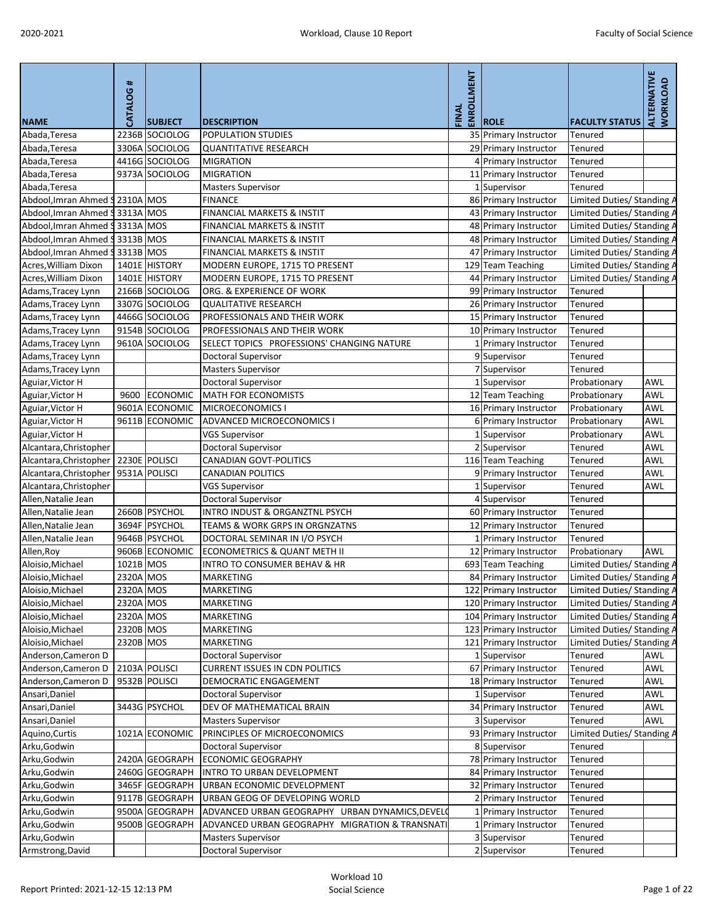| <b>NAME</b>                              | <b>CATALOG#</b>    | <b>SUBJECT</b>  | <b>DESCRIPTION</b>                              | ENROLLMENT<br>FINAL | <b>ROLE</b>            | <b>FACULTY STATUS</b>      | ALTERNATIVE<br><b>WORKLOAD</b> |
|------------------------------------------|--------------------|-----------------|-------------------------------------------------|---------------------|------------------------|----------------------------|--------------------------------|
| Abada, Teresa                            | 2236B              | SOCIOLOG        | <b>POPULATION STUDIES</b>                       |                     | 35 Primary Instructor  | <b>Tenured</b>             |                                |
| Abada, Teresa                            | 3306A              | SOCIOLOG        | <b>QUANTITATIVE RESEARCH</b>                    |                     | 29 Primary Instructor  | Tenured                    |                                |
| Abada, Teresa                            |                    | 4416G SOCIOLOG  | <b>MIGRATION</b>                                |                     | 4 Primary Instructor   | Tenured                    |                                |
| Abada, Teresa                            |                    | 9373A SOCIOLOG  | <b>MIGRATION</b>                                |                     | 11 Primary Instructor  | Tenured                    |                                |
| Abada, Teresa                            |                    |                 | <b>Masters Supervisor</b>                       |                     | 1 Supervisor           | Tenured                    |                                |
| Abdool, Imran Ahmed 9 2310A MOS          |                    |                 | <b>FINANCE</b>                                  |                     | 86 Primary Instructor  | Limited Duties/ Standing A |                                |
| Abdool, Imran Ahmed                      | \$3313A MOS        |                 | FINANCIAL MARKETS & INSTIT                      |                     | 43 Primary Instructor  | Limited Duties/ Standing A |                                |
| Abdool, Imran Ahmed                      | \$3313A MOS        |                 | FINANCIAL MARKETS & INSTIT                      |                     | 48 Primary Instructor  | Limited Duties/ Standing A |                                |
| Abdool, Imran Ahmed                      | <b>\$3313B MOS</b> |                 | FINANCIAL MARKETS & INSTIT                      |                     | 48 Primary Instructor  | Limited Duties/ Standing A |                                |
| Abdool, Imran Ahmed                      | \$3313B MOS        |                 | <b>FINANCIAL MARKETS &amp; INSTIT</b>           |                     | 47 Primary Instructor  | Limited Duties/ Standing A |                                |
| Acres, William Dixon                     |                    | 1401E HISTORY   | MODERN EUROPE, 1715 TO PRESENT                  |                     | 129 Team Teaching      | Limited Duties/ Standing A |                                |
| Acres, William Dixon                     |                    | 1401E HISTORY   | MODERN EUROPE, 1715 TO PRESENT                  |                     | 44 Primary Instructor  | Limited Duties/ Standing A |                                |
| Adams, Tracey Lynn                       |                    | 2166B SOCIOLOG  | ORG. & EXPERIENCE OF WORK                       |                     | 99 Primary Instructor  | Tenured                    |                                |
| Adams, Tracey Lynn                       |                    | 3307G SOCIOLOG  | <b>QUALITATIVE RESEARCH</b>                     |                     | 26 Primary Instructor  | <b>Tenured</b>             |                                |
| Adams, Tracey Lynn                       |                    | 4466G SOCIOLOG  | PROFESSIONALS AND THEIR WORK                    |                     | 15 Primary Instructor  | <b>Tenured</b>             |                                |
| Adams, Tracey Lynn                       |                    | 9154B SOCIOLOG  | PROFESSIONALS AND THEIR WORK                    |                     | 10 Primary Instructor  | Tenured                    |                                |
| Adams, Tracey Lynn                       |                    | 9610A SOCIOLOG  | SELECT TOPICS PROFESSIONS' CHANGING NATURE      |                     | 1 Primary Instructor   | Tenured                    |                                |
| Adams, Tracey Lynn                       |                    |                 | Doctoral Supervisor                             |                     | 9 Supervisor           | Tenured                    |                                |
| Adams, Tracey Lynn                       |                    |                 | <b>Masters Supervisor</b>                       |                     | 7 Supervisor           | <b>Tenured</b>             |                                |
| Aguiar, Victor H                         |                    |                 | Doctoral Supervisor                             |                     | 1 Supervisor           | Probationary               | AWL                            |
| Aguiar, Victor H                         | 9600               | <b>ECONOMIC</b> | <b>MATH FOR ECONOMISTS</b>                      |                     | 12 Team Teaching       | Probationary               | <b>AWL</b>                     |
| Aguiar, Victor H                         |                    | 9601A ECONOMIC  | MICROECONOMICS                                  |                     | 16 Primary Instructor  | Probationary               | <b>AWL</b>                     |
| Aguiar, Victor H                         |                    | 9611B ECONOMIC  | ADVANCED MICROECONOMICS I                       |                     | 6 Primary Instructor   | Probationary               | AWL                            |
| Aguiar, Victor H                         |                    |                 | <b>VGS Supervisor</b>                           |                     | 1 Supervisor           | Probationary               | <b>AWL</b>                     |
| Alcantara, Christopher                   |                    |                 | Doctoral Supervisor                             |                     | 2 Supervisor           | Tenured                    | AWL                            |
| Alcantara, Christopher                   |                    | 2230E POLISCI   | <b>CANADIAN GOVT-POLITICS</b>                   |                     | 116 Team Teaching      | Tenured                    | AWL                            |
| Alcantara, Christopher   9531A   POLISCI |                    |                 | <b>CANADIAN POLITICS</b>                        |                     | 9 Primary Instructor   | Tenured                    | <b>AWL</b>                     |
| Alcantara, Christopher                   |                    |                 | <b>VGS Supervisor</b>                           |                     | LSupervisor            | Tenured                    | <b>AWL</b>                     |
| Allen, Natalie Jean                      |                    |                 | <b>Doctoral Supervisor</b>                      |                     | 4 Supervisor           | Tenured                    |                                |
| Allen, Natalie Jean                      |                    | 2660B PSYCHOL   | INTRO INDUST & ORGANZTNL PSYCH                  |                     | 60 Primary Instructor  | Tenured                    |                                |
| Allen, Natalie Jean                      |                    | 3694F PSYCHOL   | TEAMS & WORK GRPS IN ORGNZATNS                  |                     | 12 Primary Instructor  | <b>Tenured</b>             |                                |
| Allen, Natalie Jean                      |                    | 9646B PSYCHOL   | DOCTORAL SEMINAR IN I/O PSYCH                   |                     | 1 Primary Instructor   | Tenured                    |                                |
| Allen, Roy                               |                    | 9606B ECONOMIC  | <b>ECONOMETRICS &amp; QUANT METH II</b>         |                     | 12 Primary Instructor  | Probationary               | <b>AWL</b>                     |
| Aloisio, Michael                         | 1021B MOS          |                 | <b>INTRO TO CONSUMER BEHAV &amp; HR</b>         |                     | 693 Team Teaching      | Limited Duties/ Standing / |                                |
| Aloisio, Michael                         | 2320A MOS          |                 | <b>MARKETING</b>                                |                     | 84 Primary Instructor  | Limited Duties/ Standing A |                                |
| Aloisio, Michael                         | 2320A MOS          |                 | <b>MARKETING</b>                                |                     | 122 Primary Instructor | Limited Duties/ Standing A |                                |
| Aloisio, Michael                         | 2320A MOS          |                 | MARKETING                                       |                     | 120 Primary Instructor | Limited Duties/ Standing / |                                |
| Aloisio, Michael                         | 2320A MOS          |                 | <b>MARKETING</b>                                |                     | 104 Primary Instructor | Limited Duties/ Standing A |                                |
| Aloisio, Michael                         | 2320B MOS          |                 | <b>MARKETING</b>                                |                     | 123 Primary Instructor | Limited Duties/ Standing A |                                |
| Aloisio, Michael                         | 2320B MOS          |                 | <b>MARKETING</b>                                |                     | 121 Primary Instructor | Limited Duties/ Standing A |                                |
| Anderson, Cameron D                      |                    |                 | <b>Doctoral Supervisor</b>                      |                     | 1 Supervisor           | Tenured                    | AWL                            |
| Anderson, Cameron D                      |                    | 2103A POLISCI   | <b>CURRENT ISSUES IN CDN POLITICS</b>           |                     | 67 Primary Instructor  | Tenured                    | <b>AWL</b>                     |
| Anderson, Cameron D                      |                    | 9532B POLISCI   | DEMOCRATIC ENGAGEMENT                           |                     | 18 Primary Instructor  | Tenured                    | <b>AWL</b>                     |
| Ansari, Daniel                           |                    |                 | Doctoral Supervisor                             |                     | 1 Supervisor           | Tenured                    | AWL                            |
| Ansari, Daniel                           |                    | 3443G PSYCHOL   | DEV OF MATHEMATICAL BRAIN                       |                     | 34 Primary Instructor  | Tenured                    | <b>AWL</b>                     |
| Ansari, Daniel                           |                    |                 | <b>Masters Supervisor</b>                       |                     | 3 Supervisor           | Tenured                    | <b>AWL</b>                     |
| Aquino, Curtis                           |                    | 1021A ECONOMIC  | PRINCIPLES OF MICROECONOMICS                    |                     | 93 Primary Instructor  | Limited Duties/ Standing A |                                |
| Arku, Godwin                             |                    |                 | <b>Doctoral Supervisor</b>                      |                     | 8 Supervisor           | <b>Tenured</b>             |                                |
| Arku, Godwin                             |                    | 2420A GEOGRAPH  | <b>ECONOMIC GEOGRAPHY</b>                       |                     | 78 Primary Instructor  | Tenured                    |                                |
| Arku, Godwin                             |                    | 2460G GEOGRAPH  | INTRO TO URBAN DEVELOPMENT                      |                     | 84 Primary Instructor  | Tenured                    |                                |
| Arku, Godwin                             |                    | 3465F GEOGRAPH  | URBAN ECONOMIC DEVELOPMENT                      |                     | 32 Primary Instructor  | Tenured                    |                                |
| Arku, Godwin                             |                    | 9117B GEOGRAPH  | URBAN GEOG OF DEVELOPING WORLD                  |                     | 2 Primary Instructor   | Tenured                    |                                |
| Arku, Godwin                             |                    | 9500A GEOGRAPH  | ADVANCED URBAN GEOGRAPHY URBAN DYNAMICS, DEVELO |                     | 1 Primary Instructor   | Tenured                    |                                |
| Arku, Godwin                             |                    | 9500B GEOGRAPH  | ADVANCED URBAN GEOGRAPHY MIGRATION & TRANSNATI  |                     | 1 Primary Instructor   | Tenured                    |                                |
| Arku, Godwin                             |                    |                 | <b>Masters Supervisor</b>                       |                     | 3 Supervisor           | Tenured                    |                                |
| Armstrong, David                         |                    |                 | <b>Doctoral Supervisor</b>                      |                     | 2 Supervisor           | <b>Tenured</b>             |                                |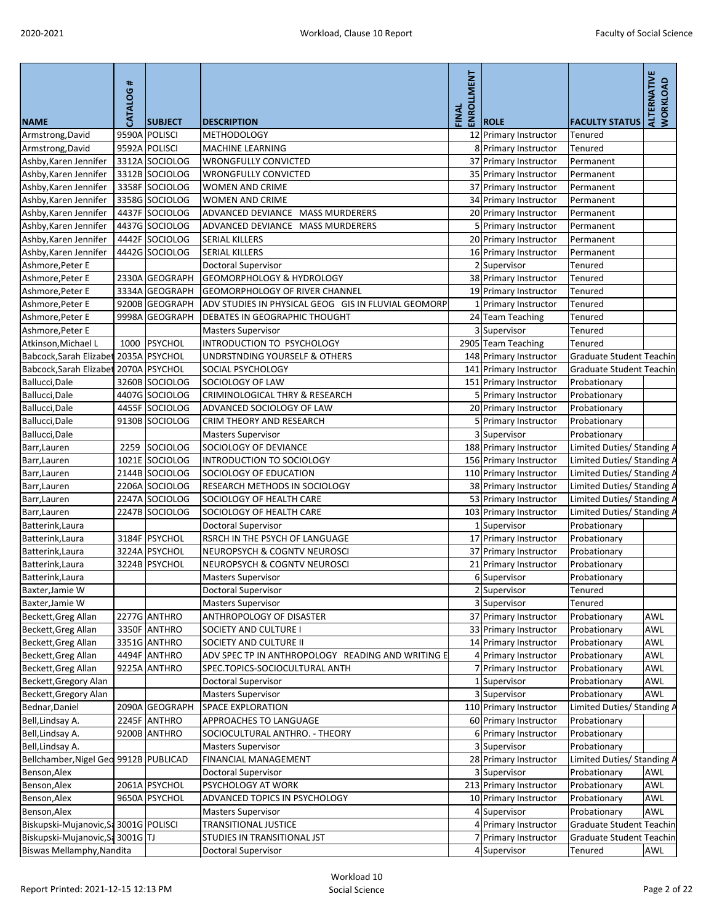|                                                | <b>CATALOG#</b> |                                  |                                                            | ENROLLMENT<br>FINAL |                                               |                                   | <b>ALTERNATIVE</b><br>WORKLOAD |
|------------------------------------------------|-----------------|----------------------------------|------------------------------------------------------------|---------------------|-----------------------------------------------|-----------------------------------|--------------------------------|
| <b>NAME</b>                                    |                 | <b>SUBJECT</b>                   | <b>DESCRIPTION</b>                                         |                     | <b>ROLE</b>                                   | <b>FACULTY STATUS</b>             |                                |
| Armstrong, David                               |                 | 9590A POLISCI                    | <b>METHODOLOGY</b>                                         |                     | 12 Primary Instructor                         | Tenured                           |                                |
| Armstrong, David                               |                 | 9592A POLISCI                    | <b>MACHINE LEARNING</b>                                    |                     | 8 Primary Instructor                          | <b>Tenured</b>                    |                                |
| Ashby, Karen Jennifer                          |                 | 3312A SOCIOLOG                   | <b>WRONGFULLY CONVICTED</b>                                |                     | 37 Primary Instructor                         | Permanent                         |                                |
| Ashby, Karen Jennifer                          |                 | 3312B SOCIOLOG                   | <b>WRONGFULLY CONVICTED</b>                                |                     | 35 Primary Instructor                         | Permanent                         |                                |
| Ashby, Karen Jennifer                          |                 | 3358F SOCIOLOG                   | WOMEN AND CRIME                                            |                     | 37 Primary Instructor                         | Permanent                         |                                |
| Ashby, Karen Jennifer                          |                 | 3358G SOCIOLOG                   | <b>WOMEN AND CRIME</b><br>ADVANCED DEVIANCE MASS MURDERERS |                     | 34 Primary Instructor                         | Permanent                         |                                |
| Ashby, Karen Jennifer<br>Ashby, Karen Jennifer |                 | 4437F SOCIOLOG<br>4437G SOCIOLOG | ADVANCED DEVIANCE MASS MURDERERS                           |                     | 20 Primary Instructor<br>5 Primary Instructor | Permanent                         |                                |
| Ashby, Karen Jennifer                          |                 | 4442F SOCIOLOG                   | <b>SERIAL KILLERS</b>                                      |                     | 20 Primary Instructor                         | Permanent<br>Permanent            |                                |
| Ashby, Karen Jennifer                          |                 | 4442G SOCIOLOG                   | <b>SERIAL KILLERS</b>                                      |                     | 16 Primary Instructor                         | Permanent                         |                                |
| Ashmore, Peter E                               |                 |                                  | <b>Doctoral Supervisor</b>                                 |                     | 2 Supervisor                                  | <b>Tenured</b>                    |                                |
| Ashmore, Peter E                               |                 | 2330A GEOGRAPH                   | <b>GEOMORPHOLOGY &amp; HYDROLOGY</b>                       |                     | 38 Primary Instructor                         | Tenured                           |                                |
| Ashmore, Peter E                               |                 | 3334A GEOGRAPH                   | <b>GEOMORPHOLOGY OF RIVER CHANNEL</b>                      |                     | 19 Primary Instructor                         | Tenured                           |                                |
| Ashmore, Peter E                               |                 | 9200B GEOGRAPH                   | ADV STUDIES IN PHYSICAL GEOG GIS IN FLUVIAL GEOMORP        |                     | 1 Primary Instructor                          | Tenured                           |                                |
| Ashmore, Peter E                               |                 | 9998A GEOGRAPH                   | <b>DEBATES IN GEOGRAPHIC THOUGHT</b>                       |                     | 24 Team Teaching                              | <b>Tenured</b>                    |                                |
| Ashmore, Peter E                               |                 |                                  | <b>Masters Supervisor</b>                                  |                     | 3 Supervisor                                  | Tenured                           |                                |
| Atkinson, Michael L                            |                 | 1000 PSYCHOL                     | INTRODUCTION TO PSYCHOLOGY                                 |                     | 2905 Team Teaching                            | Tenured                           |                                |
| Babcock, Sarah Elizabet                        |                 | 2035A PSYCHOL                    | UNDRSTNDING YOURSELF & OTHERS                              |                     | 148 Primary Instructor                        | Graduate Student Teachin          |                                |
| Babcock, Sarah Elizabet                        |                 | 2070A PSYCHOL                    | SOCIAL PSYCHOLOGY                                          |                     | 141 Primary Instructor                        | Graduate Student Teachin          |                                |
| Ballucci, Dale                                 |                 | 3260B SOCIOLOG                   | SOCIOLOGY OF LAW                                           |                     | 151 Primary Instructor                        | Probationary                      |                                |
| Ballucci, Dale                                 |                 | 4407G SOCIOLOG                   | <b>CRIMINOLOGICAL THRY &amp; RESEARCH</b>                  |                     | 5 Primary Instructor                          | Probationary                      |                                |
| Ballucci, Dale                                 |                 | 4455F SOCIOLOG                   | ADVANCED SOCIOLOGY OF LAW                                  |                     | 20 Primary Instructor                         | Probationary                      |                                |
| Ballucci, Dale                                 |                 | 9130B SOCIOLOG                   | CRIM THEORY AND RESEARCH                                   |                     | 5 Primary Instructor                          | Probationary                      |                                |
| Ballucci, Dale                                 |                 |                                  | <b>Masters Supervisor</b>                                  |                     | 3 Supervisor                                  | Probationary                      |                                |
| Barr, Lauren                                   | 2259            | SOCIOLOG                         | SOCIOLOGY OF DEVIANCE                                      |                     | 188 Primary Instructor                        | Limited Duties/ Standing A        |                                |
| Barr, Lauren                                   |                 | 1021E SOCIOLOG                   | <b>INTRODUCTION TO SOCIOLOGY</b>                           |                     | 156 Primary Instructor                        | Limited Duties/ Standing A        |                                |
| Barr, Lauren                                   |                 | 2144B SOCIOLOG                   | SOCIOLOGY OF EDUCATION                                     |                     | 110 Primary Instructor                        | Limited Duties/ Standing A        |                                |
| Barr, Lauren                                   |                 | 2206A SOCIOLOG                   | RESEARCH METHODS IN SOCIOLOGY                              |                     | 38 Primary Instructor                         | Limited Duties/ Standing A        |                                |
| Barr, Lauren                                   |                 | 2247A SOCIOLOG                   | SOCIOLOGY OF HEALTH CARE                                   |                     | 53 Primary Instructor                         | Limited Duties/ Standing A        |                                |
| Barr, Lauren                                   |                 | 2247B SOCIOLOG                   | SOCIOLOGY OF HEALTH CARE                                   |                     | 103 Primary Instructor                        | Limited Duties/ Standing A        |                                |
| Batterink, Laura                               |                 |                                  | Doctoral Supervisor                                        |                     | Supervisor                                    | Probationary                      |                                |
| Batterink, Laura                               |                 | 3184F PSYCHOL                    | RSRCH IN THE PSYCH OF LANGUAGE                             |                     | 17 Primary Instructor                         | Probationary                      |                                |
| Batterink, Laura                               |                 | 3224A PSYCHOL                    | <b>NEUROPSYCH &amp; COGNTV NEUROSCI</b>                    |                     | 37 Primary Instructor                         | Probationary                      |                                |
| Batterink, Laura                               |                 | 3224B PSYCHOL                    | <b>NEUROPSYCH &amp; COGNTV NEUROSCI</b>                    |                     | 21 Primary Instructor                         | Probationary                      |                                |
| Batterink, Laura                               |                 |                                  | <b>Masters Supervisor</b>                                  |                     | 6 Supervisor                                  | Probationary                      |                                |
| Baxter, Jamie W                                |                 |                                  | Doctoral Supervisor                                        |                     | Supervisor                                    | Tenured                           |                                |
| Baxter, Jamie W                                |                 |                                  | <b>Masters Supervisor</b>                                  |                     | 3 Supervisor                                  | <b>Tenured</b>                    |                                |
| Beckett, Greg Allan                            |                 | 2277G ANTHRO                     | ANTHROPOLOGY OF DISASTER                                   |                     | 37 Primary Instructor                         | Probationary                      | <b>AWL</b>                     |
| Beckett, Greg Allan                            |                 | 3350F ANTHRO                     | <b>SOCIETY AND CULTURE I</b>                               |                     | 33 Primary Instructor                         | Probationary                      | <b>AWL</b>                     |
| Beckett, Greg Allan                            |                 | 3351G ANTHRO                     | SOCIETY AND CULTURE II                                     |                     | 14 Primary Instructor                         | Probationary                      | <b>AWL</b>                     |
| Beckett, Greg Allan                            |                 | 4494F ANTHRO                     | ADV SPEC TP IN ANTHROPOLOGY READING AND WRITING E          |                     | 4 Primary Instructor                          | Probationary                      | <b>AWL</b>                     |
| Beckett, Greg Allan                            |                 | 9225A ANTHRO                     | SPEC.TOPICS-SOCIOCULTURAL ANTH                             |                     | 7 Primary Instructor                          | Probationary                      | <b>AWL</b>                     |
| Beckett, Gregory Alan                          |                 |                                  | Doctoral Supervisor                                        |                     | 1 Supervisor                                  | Probationary                      | AWL                            |
| Beckett, Gregory Alan                          |                 |                                  | <b>Masters Supervisor</b>                                  |                     | 3 Supervisor                                  | Probationary                      | <b>AWL</b>                     |
| Bednar, Daniel                                 |                 | 2090A GEOGRAPH                   | <b>SPACE EXPLORATION</b>                                   |                     | 110 Primary Instructor                        | <b>Limited Duties/ Standing A</b> |                                |
| Bell, Lindsay A.                               |                 | 2245F ANTHRO                     | <b>APPROACHES TO LANGUAGE</b>                              |                     | 60 Primary Instructor                         | Probationary                      |                                |
| Bell, Lindsay A.                               |                 | 9200B ANTHRO                     | SOCIOCULTURAL ANTHRO. - THEORY                             |                     | 6 Primary Instructor                          | Probationary                      |                                |
| Bell, Lindsay A.                               |                 |                                  | <b>Masters Supervisor</b>                                  |                     | 3 Supervisor                                  | Probationary                      |                                |
| Bellchamber, Nigel Geo 9912B PUBLICAD          |                 |                                  | <b>FINANCIAL MANAGEMENT</b>                                |                     | 28 Primary Instructor                         | Limited Duties/ Standing A        |                                |
| Benson, Alex                                   |                 |                                  | <b>Doctoral Supervisor</b>                                 |                     | 3 Supervisor                                  | Probationary                      | <b>AWL</b>                     |
| Benson, Alex                                   |                 | 2061A PSYCHOL                    | PSYCHOLOGY AT WORK                                         |                     | 213 Primary Instructor                        | Probationary                      | AWL                            |
| Benson, Alex                                   |                 | 9650A PSYCHOL                    | ADVANCED TOPICS IN PSYCHOLOGY                              |                     | 10 Primary Instructor                         | Probationary                      | <b>AWL</b>                     |
| Benson, Alex                                   |                 |                                  | <b>Masters Supervisor</b>                                  |                     | 4 Supervisor                                  | Probationary                      | AWL                            |
| Biskupski-Mujanovic, Sa 3001G POLISCI          |                 |                                  | <b>TRANSITIONAL JUSTICE</b>                                |                     | 4 Primary Instructor                          | Graduate Student Teachin          |                                |
| Biskupski-Mujanovic, Sa 3001G TJ               |                 |                                  | STUDIES IN TRANSITIONAL JST                                |                     | 7 Primary Instructor                          | Graduate Student Teachin          |                                |
| <b>Biswas Mellamphy, Nandita</b>               |                 |                                  | <b>Doctoral Supervisor</b>                                 |                     | 4 Supervisor                                  | Tenured                           | <b>AWL</b>                     |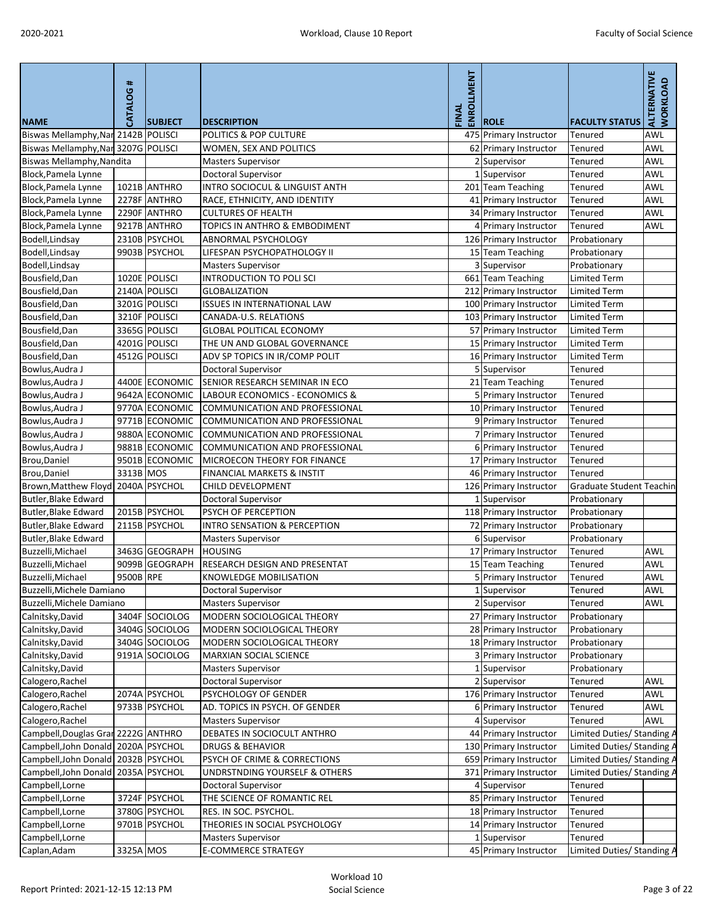| <b>NAME</b>                             | CATALOG#  | <b>SUBJECT</b> | <b>DESCRIPTION</b>                        | ENROLLMENT<br>FINAL | <b>ROLE</b>            | <b>FACULTY STATUS</b>           | ALTERNATIVE<br><b>WORKLOAD</b> |
|-----------------------------------------|-----------|----------------|-------------------------------------------|---------------------|------------------------|---------------------------------|--------------------------------|
| Biswas Mellamphy, Nar 2142B POLISCI     |           |                | POLITICS & POP CULTURE                    |                     | 475 Primary Instructor | Tenured                         | <b>AWL</b>                     |
| Biswas Mellamphy, Nar 3207G POLISCI     |           |                | WOMEN, SEX AND POLITICS                   |                     | 62 Primary Instructor  | Tenured                         | <b>AWL</b>                     |
| <b>Biswas Mellamphy, Nandita</b>        |           |                | <b>Masters Supervisor</b>                 |                     | 2 Supervisor           | Tenured                         | <b>AWL</b>                     |
| Block, Pamela Lynne                     |           |                | Doctoral Supervisor                       |                     | 1 Supervisor           | Tenured                         | <b>AWL</b>                     |
| Block, Pamela Lynne                     |           | 1021B ANTHRO   | <b>INTRO SOCIOCUL &amp; LINGUIST ANTH</b> |                     | 201 Team Teaching      | Tenured                         | <b>AWL</b>                     |
| Block, Pamela Lynne                     |           | 2278F ANTHRO   | RACE, ETHNICITY, AND IDENTITY             |                     | 41 Primary Instructor  | Tenured                         | <b>AWL</b>                     |
| Block, Pamela Lynne                     |           | 2290F ANTHRO   | <b>CULTURES OF HEALTH</b>                 |                     | 34 Primary Instructor  | Tenured                         | <b>AWL</b>                     |
| Block, Pamela Lynne                     |           | 9217B ANTHRO   | <b>TOPICS IN ANTHRO &amp; EMBODIMENT</b>  |                     | 4 Primary Instructor   | Tenured                         | <b>AWL</b>                     |
| Bodell, Lindsay                         |           | 2310B PSYCHOL  | <b>ABNORMAL PSYCHOLOGY</b>                |                     | 126 Primary Instructor | Probationary                    |                                |
| Bodell, Lindsay                         |           | 9903B PSYCHOL  | LIFESPAN PSYCHOPATHOLOGY II               |                     | 15 Team Teaching       | Probationary                    |                                |
| Bodell, Lindsay                         |           |                | <b>Masters Supervisor</b>                 |                     | 3 Supervisor           | Probationary                    |                                |
| Bousfield, Dan                          |           | 1020E POLISCI  | <b>INTRODUCTION TO POLI SCI</b>           |                     | 661 Team Teaching      | <b>Limited Term</b>             |                                |
| Bousfield, Dan                          |           | 2140A POLISCI  | <b>GLOBALIZATION</b>                      |                     | 212 Primary Instructor | <b>Limited Term</b>             |                                |
| Bousfield, Dan                          |           | 3201G POLISCI  | <b>ISSUES IN INTERNATIONAL LAW</b>        |                     | 100 Primary Instructor | <b>Limited Term</b>             |                                |
| Bousfield, Dan                          |           | 3210F POLISCI  | CANADA-U.S. RELATIONS                     |                     | 103 Primary Instructor | <b>Limited Term</b>             |                                |
| Bousfield, Dan                          |           | 3365G POLISCI  | <b>GLOBAL POLITICAL ECONOMY</b>           |                     | 57 Primary Instructor  | <b>Limited Term</b>             |                                |
| Bousfield, Dan                          |           | 4201G POLISCI  | THE UN AND GLOBAL GOVERNANCE              |                     | 15 Primary Instructor  | <b>Limited Term</b>             |                                |
| Bousfield, Dan                          |           | 4512G POLISCI  | ADV SP TOPICS IN IR/COMP POLIT            |                     | 16 Primary Instructor  | <b>Limited Term</b>             |                                |
| Bowlus, Audra J                         |           |                | <b>Doctoral Supervisor</b>                |                     | 5 Supervisor           | Tenured                         |                                |
| Bowlus, Audra J                         |           | 4400E ECONOMIC | SENIOR RESEARCH SEMINAR IN ECO            |                     | 21 Team Teaching       | Tenured                         |                                |
| Bowlus, Audra J                         |           | 9642A ECONOMIC | LABOUR ECONOMICS - ECONOMICS &            |                     | 5 Primary Instructor   | Tenured                         |                                |
| Bowlus, Audra J                         |           | 9770A ECONOMIC | COMMUNICATION AND PROFESSIONAL            |                     | 10 Primary Instructor  | Tenured                         |                                |
| Bowlus, Audra J                         |           | 9771B ECONOMIC | COMMUNICATION AND PROFESSIONAL            |                     | 9 Primary Instructor   | Tenured                         |                                |
| Bowlus, Audra J                         |           | 9880A ECONOMIC | COMMUNICATION AND PROFESSIONAL            |                     | 7 Primary Instructor   | Tenured                         |                                |
| Bowlus, Audra J                         |           | 9881B ECONOMIC | <b>COMMUNICATION AND PROFESSIONAL</b>     |                     | 6 Primary Instructor   | Tenured                         |                                |
| Brou, Daniel                            |           | 9501B ECONOMIC | MICROECON THEORY FOR FINANCE              |                     | 17 Primary Instructor  | Tenured                         |                                |
| Brou, Daniel                            | 3313B MOS |                | <b>FINANCIAL MARKETS &amp; INSTIT</b>     |                     | 46 Primary Instructor  | Tenured                         |                                |
| Brown, Matthew Floyd   2040A   PSYCHOL  |           |                | CHILD DEVELOPMENT                         |                     | 126 Primary Instructor | <b>Graduate Student Teachin</b> |                                |
| <b>Butler, Blake Edward</b>             |           |                | Doctoral Supervisor                       |                     | 1 Supervisor           | Probationary                    |                                |
| Butler, Blake Edward                    |           | 2015B PSYCHOL  | PSYCH OF PERCEPTION                       |                     | 118 Primary Instructor | Probationary                    |                                |
| Butler, Blake Edward                    |           | 2115B PSYCHOL  | INTRO SENSATION & PERCEPTION              |                     | 72 Primary Instructor  | Probationary                    |                                |
| <b>Butler, Blake Edward</b>             |           |                | <b>Masters Supervisor</b>                 |                     | 6 Supervisor           | Probationary                    |                                |
| Buzzelli, Michael                       |           | 3463G GEOGRAPH | <b>HOUSING</b>                            |                     | 17 Primary Instructor  | Tenured                         | <b>AWL</b>                     |
| Buzzelli, Michael                       |           | 9099B GEOGRAPH | <b>RESEARCH DESIGN AND PRESENTAT</b>      |                     | 15 Team Teaching       | Tenured                         | <b>AWL</b>                     |
| Buzzelli, Michael                       | 9500B RPE |                | <b>KNOWLEDGE MOBILISATION</b>             |                     | 5 Primary Instructor   | Tenured                         | <b>AWL</b>                     |
| Buzzelli, Michele Damiano               |           |                | Doctoral Supervisor                       |                     | Supervisor             | Tenured                         | <b>AWL</b>                     |
| Buzzelli, Michele Damiano               |           |                | <b>Masters Supervisor</b>                 |                     | 2 Supervisor           | Tenured                         | <b>AWL</b>                     |
| Calnitsky, David                        |           | 3404F SOCIOLOG | MODERN SOCIOLOGICAL THEORY                |                     | 27 Primary Instructor  | Probationary                    |                                |
| Calnitsky, David                        |           | 3404G SOCIOLOG | MODERN SOCIOLOGICAL THEORY                |                     | 28 Primary Instructor  | Probationary                    |                                |
| Calnitsky, David                        |           | 3404G SOCIOLOG | MODERN SOCIOLOGICAL THEORY                |                     | 18 Primary Instructor  | Probationary                    |                                |
| Calnitsky, David                        |           | 9191A SOCIOLOG | <b>MARXIAN SOCIAL SCIENCE</b>             |                     | 3 Primary Instructor   | Probationary                    |                                |
| Calnitsky, David                        |           |                | <b>Masters Supervisor</b>                 |                     | 1 Supervisor           | Probationary                    |                                |
| Calogero, Rachel                        |           |                | <b>Doctoral Supervisor</b>                |                     | 2 Supervisor           | Tenured                         | <b>AWL</b>                     |
| Calogero, Rachel                        |           | 2074A PSYCHOL  | PSYCHOLOGY OF GENDER                      |                     | 176 Primary Instructor | Tenured                         | <b>AWL</b>                     |
| Calogero, Rachel                        |           | 9733B PSYCHOL  | AD. TOPICS IN PSYCH. OF GENDER            |                     | 6 Primary Instructor   | Tenured                         | <b>AWL</b>                     |
| Calogero, Rachel                        |           |                | <b>Masters Supervisor</b>                 |                     | 4 Supervisor           | Tenured                         | <b>AWL</b>                     |
| Campbell, Douglas Gran 2222G ANTHRO     |           |                | DEBATES IN SOCIOCULT ANTHRO               |                     | 44 Primary Instructor  | Limited Duties/ Standing A      |                                |
| Campbell, John Donald 2020A PSYCHOL     |           |                | <b>DRUGS &amp; BEHAVIOR</b>               |                     | 130 Primary Instructor | Limited Duties/ Standing A      |                                |
| Campbell, John Donald 2032B PSYCHOL     |           |                | PSYCH OF CRIME & CORRECTIONS              |                     | 659 Primary Instructor | Limited Duties/ Standing A      |                                |
| Campbell, John Donald   2035A   PSYCHOL |           |                | <b>UNDRSTNDING YOURSELF &amp; OTHERS</b>  |                     | 371 Primary Instructor | Limited Duties/ Standing A      |                                |
| Campbell, Lorne                         |           |                | <b>Doctoral Supervisor</b>                |                     | 4 Supervisor           | Tenured                         |                                |
| Campbell, Lorne                         |           | 3724F PSYCHOL  | THE SCIENCE OF ROMANTIC REL               |                     | 85 Primary Instructor  | Tenured                         |                                |
| Campbell, Lorne                         |           | 3780G PSYCHOL  | RES. IN SOC. PSYCHOL.                     |                     | 18 Primary Instructor  | Tenured                         |                                |
| Campbell, Lorne                         |           | 9701B PSYCHOL  | THEORIES IN SOCIAL PSYCHOLOGY             |                     | 14 Primary Instructor  | <b>Tenured</b>                  |                                |
| Campbell, Lorne                         |           |                | <b>Masters Supervisor</b>                 |                     | 1 Supervisor           | Tenured                         |                                |
| Caplan, Adam                            | 3325A MOS |                | <b>E-COMMERCE STRATEGY</b>                |                     | 45 Primary Instructor  | Limited Duties/ Standing A      |                                |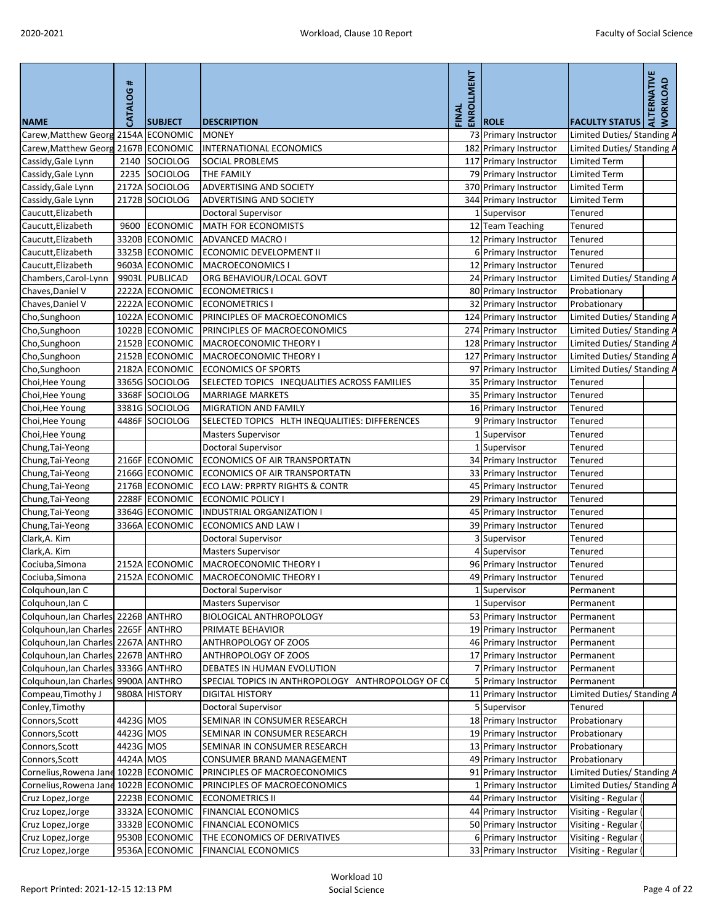| <b>NAME</b>                            | <b>CATALOG#</b> | <b>SUBJECT</b>  | <b>DESCRIPTION</b>                                | ENROLLMENT<br>FINAL | <b>ROLE</b>                                    | <b>FACULTY STATUS</b>                        | ALTERNATIVE<br><b>WORKLOAD</b> |
|----------------------------------------|-----------------|-----------------|---------------------------------------------------|---------------------|------------------------------------------------|----------------------------------------------|--------------------------------|
| Carew, Matthew Georg 2154A ECONOMIC    |                 |                 | <b>MONEY</b>                                      |                     | 73 Primary Instructor                          | Limited Duties/ Standing /                   |                                |
| Carew, Matthew Georg 2167B ECONOMIC    |                 |                 | <b>INTERNATIONAL ECONOMICS</b>                    |                     | 182 Primary Instructor                         | Limited Duties/ Standing A                   |                                |
| Cassidy, Gale Lynn                     | 2140            | SOCIOLOG        | <b>SOCIAL PROBLEMS</b>                            |                     | 117 Primary Instructor                         | <b>Limited Term</b>                          |                                |
| Cassidy, Gale Lynn                     | 2235            | SOCIOLOG        | THE FAMILY                                        |                     | 79 Primary Instructor                          | <b>Limited Term</b>                          |                                |
| Cassidy, Gale Lynn                     |                 | 2172A SOCIOLOG  | <b>ADVERTISING AND SOCIETY</b>                    |                     | 370 Primary Instructor                         | <b>Limited Term</b>                          |                                |
| Cassidy, Gale Lynn                     |                 | 2172B SOCIOLOG  | ADVERTISING AND SOCIETY                           |                     | 344 Primary Instructor                         | <b>Limited Term</b>                          |                                |
| Caucutt, Elizabeth                     |                 |                 | Doctoral Supervisor                               |                     | 1 Supervisor                                   | <b>Tenured</b>                               |                                |
| Caucutt, Elizabeth                     | 9600            | <b>ECONOMIC</b> | <b>MATH FOR ECONOMISTS</b>                        |                     | 12 Team Teaching                               | Tenured                                      |                                |
| Caucutt, Elizabeth                     |                 | 3320B ECONOMIC  | <b>ADVANCED MACRO I</b>                           |                     | 12 Primary Instructor                          | Tenured                                      |                                |
| Caucutt, Elizabeth                     |                 | 3325B ECONOMIC  | ECONOMIC DEVELOPMENT II                           |                     | 6 Primary Instructor                           | Tenured                                      |                                |
| Caucutt, Elizabeth                     |                 | 9603A ECONOMIC  | <b>MACROECONOMICS I</b>                           |                     | 12 Primary Instructor                          | Tenured                                      |                                |
| Chambers, Carol-Lynn                   |                 | 9903L PUBLICAD  | ORG BEHAVIOUR/LOCAL GOVT                          |                     | 24 Primary Instructor                          | Limited Duties/ Standing A                   |                                |
| Chaves, Daniel V                       |                 | 2222A ECONOMIC  | <b>ECONOMETRICS I</b>                             |                     | 80 Primary Instructor                          | Probationary                                 |                                |
| Chaves, Daniel V                       |                 | 2222A ECONOMIC  | <b>ECONOMETRICS I</b>                             |                     | 32 Primary Instructor                          | Probationary                                 |                                |
| Cho, Sunghoon                          |                 | 1022A ECONOMIC  | PRINCIPLES OF MACROECONOMICS                      |                     | 124 Primary Instructor                         | Limited Duties/ Standing A                   |                                |
| Cho, Sunghoon                          |                 | 1022B ECONOMIC  | PRINCIPLES OF MACROECONOMICS                      |                     | 274 Primary Instructor                         | Limited Duties/ Standing A                   |                                |
| Cho, Sunghoon                          |                 | 2152B ECONOMIC  | <b>MACROECONOMIC THEORY I</b>                     |                     | 128 Primary Instructor                         | Limited Duties/ Standing A                   |                                |
| Cho, Sunghoon                          |                 | 2152B ECONOMIC  | <b>MACROECONOMIC THEORY I</b>                     |                     | 127 Primary Instructor                         | Limited Duties/ Standing A                   |                                |
| Cho, Sunghoon                          |                 | 2182A ECONOMIC  | <b>ECONOMICS OF SPORTS</b>                        |                     | 97 Primary Instructor                          | Limited Duties/ Standing A                   |                                |
| Choi, Hee Young                        |                 | 3365G SOCIOLOG  | SELECTED TOPICS INEQUALITIES ACROSS FAMILIES      |                     | 35 Primary Instructor                          | <b>Tenured</b>                               |                                |
| Choi, Hee Young                        |                 | 3368F SOCIOLOG  | <b>MARRIAGE MARKETS</b>                           |                     | 35 Primary Instructor                          | Tenured                                      |                                |
| Choi, Hee Young                        |                 | 3381G SOCIOLOG  | <b>MIGRATION AND FAMILY</b>                       |                     | 16 Primary Instructor                          | <b>Tenured</b>                               |                                |
| Choi, Hee Young                        |                 | 4486F SOCIOLOG  | SELECTED TOPICS HLTH INEQUALITIES: DIFFERENCES    |                     | 9 Primary Instructor                           | Tenured                                      |                                |
| Choi, Hee Young                        |                 |                 | <b>Masters Supervisor</b>                         |                     | 1 Supervisor                                   | Tenured                                      |                                |
| Chung, Tai-Yeong                       |                 |                 | <b>Doctoral Supervisor</b>                        |                     | 1 Supervisor                                   | Tenured                                      |                                |
| Chung, Tai-Yeong                       |                 | 2166F ECONOMIC  | <b>ECONOMICS OF AIR TRANSPORTATN</b>              |                     | 34 Primary Instructor                          | Tenured                                      |                                |
| Chung, Tai-Yeong                       |                 | 2166G ECONOMIC  | <b>ECONOMICS OF AIR TRANSPORTATN</b>              |                     | 33 Primary Instructor                          | <b>Tenured</b>                               |                                |
| Chung, Tai-Yeong                       |                 | 2176B ECONOMIC  | <b>ECO LAW: PRPRTY RIGHTS &amp; CONTR</b>         |                     | 45 Primary Instructor                          | Tenured                                      |                                |
| Chung, Tai-Yeong                       |                 | 2288F ECONOMIC  | <b>ECONOMIC POLICY I</b>                          |                     | 29 Primary Instructor                          | Tenured                                      |                                |
| Chung, Tai-Yeong                       |                 | 3364G ECONOMIC  | <b>INDUSTRIAL ORGANIZATION I</b>                  |                     | 45 Primary Instructor                          | Tenured                                      |                                |
| Chung, Tai-Yeong                       |                 | 3366A ECONOMIC  | <b>ECONOMICS AND LAW I</b>                        |                     | 39 Primary Instructor                          | Tenured                                      |                                |
| Clark, A. Kim                          |                 |                 | <b>Doctoral Supervisor</b>                        |                     | 3 Supervisor                                   | Tenured                                      |                                |
| Clark, A. Kim                          |                 |                 | <b>Masters Supervisor</b>                         |                     | 4 Supervisor                                   | Tenured                                      |                                |
| Cociuba, Simona                        |                 | 2152A ECONOMIC  | <b>MACROECONOMIC THEORY I</b>                     |                     | 96 Primary Instructor                          | Tenured                                      |                                |
| Cociuba, Simona                        |                 | 2152A ECONOMIC  | <b>MACROECONOMIC THEORY I</b>                     |                     | 49 Primary Instructor                          | Tenured                                      |                                |
| Colquhoun, lan C                       |                 |                 | Doctoral Supervisor                               |                     | Supervisor                                     | Permanent                                    |                                |
| Colquhoun, lan C                       |                 |                 | <b>Masters Supervisor</b>                         |                     | 1 Supervisor                                   | Permanent                                    |                                |
| Colquhoun, lan Charles 2226B ANTHRO    |                 |                 | <b>BIOLOGICAL ANTHROPOLOGY</b>                    |                     | 53 Primary Instructor                          | Permanent                                    |                                |
| Colquhoun, Ian Charles 2265F ANTHRO    |                 |                 | PRIMATE BEHAVIOR                                  |                     | 19 Primary Instructor                          | Permanent                                    |                                |
| Colquhoun, lan Charles 2267A ANTHRO    |                 |                 | ANTHROPOLOGY OF ZOOS                              |                     | 46 Primary Instructor                          | Permanent                                    |                                |
| Colquhoun, Ian Charles 2267B ANTHRO    |                 |                 | ANTHROPOLOGY OF ZOOS                              |                     | 17 Primary Instructor                          | Permanent                                    |                                |
| Colquhoun, lan Charles 3336G ANTHRO    |                 |                 | DEBATES IN HUMAN EVOLUTION                        |                     | 7 Primary Instructor                           | Permanent                                    |                                |
| Colquhoun, Ian Charles 9900A ANTHRO    |                 |                 | SPECIAL TOPICS IN ANTHROPOLOGY ANTHROPOLOGY OF CO |                     | 5 Primary Instructor                           | Permanent                                    |                                |
| Compeau, Timothy J                     |                 | 9808A HISTORY   | <b>DIGITAL HISTORY</b>                            |                     | 11 Primary Instructor                          | Limited Duties/ Standing A                   |                                |
| Conley, Timothy                        |                 |                 | <b>Doctoral Supervisor</b>                        |                     | 5 Supervisor                                   | Tenured                                      |                                |
| Connors, Scott                         | 4423G MOS       |                 | SEMINAR IN CONSUMER RESEARCH                      |                     | 18 Primary Instructor                          | Probationary                                 |                                |
| Connors, Scott                         | 4423G MOS       |                 | SEMINAR IN CONSUMER RESEARCH                      |                     | 19 Primary Instructor                          | Probationary                                 |                                |
| Connors, Scott                         | 4423G MOS       |                 | SEMINAR IN CONSUMER RESEARCH                      |                     | 13 Primary Instructor                          | Probationary                                 |                                |
| Connors, Scott                         | 4424A MOS       |                 | CONSUMER BRAND MANAGEMENT                         |                     | 49 Primary Instructor                          | Probationary                                 |                                |
| Cornelius, Rowena Jane 1022B ECONOMIC  |                 |                 | PRINCIPLES OF MACROECONOMICS                      |                     | 91 Primary Instructor                          | Limited Duties/ Standing A                   |                                |
| Cornelius, Rowena Jane 1022B ECONOMIC  |                 |                 | PRINCIPLES OF MACROECONOMICS                      |                     |                                                | Limited Duties/ Standing A                   |                                |
|                                        |                 | 2223B ECONOMIC  | <b>ECONOMETRICS II</b>                            |                     | 1 Primary Instructor                           | Visiting - Regular (                         |                                |
| Cruz Lopez, Jorge                      |                 | 3332A ECONOMIC  | <b>FINANCIAL ECONOMICS</b>                        |                     | 44 Primary Instructor<br>44 Primary Instructor | Visiting - Regular (                         |                                |
| Cruz Lopez, Jorge                      |                 | 3332B ECONOMIC  | <b>FINANCIAL ECONOMICS</b>                        |                     | 50 Primary Instructor                          |                                              |                                |
| Cruz Lopez, Jorge<br>Cruz Lopez, Jorge |                 | 9530B ECONOMIC  | THE ECONOMICS OF DERIVATIVES                      |                     | 6 Primary Instructor                           | Visiting - Regular (<br>Visiting - Regular ( |                                |
| Cruz Lopez, Jorge                      |                 | 9536A ECONOMIC  | <b>FINANCIAL ECONOMICS</b>                        |                     | 33 Primary Instructor                          | Visiting - Regular (                         |                                |
|                                        |                 |                 |                                                   |                     |                                                |                                              |                                |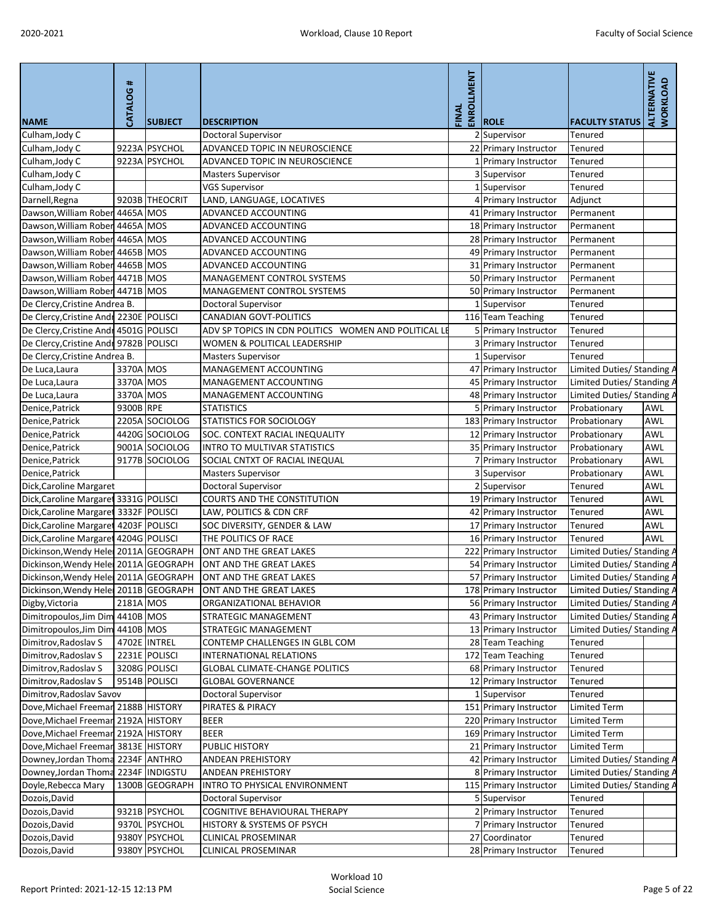| <b>NAME</b>                             | CATALOG#  | <b>SUBJECT</b> | <b>DESCRIPTION</b>                                   | ENROLLMENT<br>FINAL | <b>ROLE</b>            | <b>FACULTY STATUS</b>      | ALTERNATIVE<br><b>WORKLOAD</b> |
|-----------------------------------------|-----------|----------------|------------------------------------------------------|---------------------|------------------------|----------------------------|--------------------------------|
| Culham, Jody C                          |           |                | Doctoral Supervisor                                  |                     | 2 Supervisor           | Tenured                    |                                |
| Culham, Jody C                          |           | 9223A PSYCHOL  | ADVANCED TOPIC IN NEUROSCIENCE                       |                     | 22 Primary Instructor  | Tenured                    |                                |
| Culham, Jody C                          |           | 9223A PSYCHOL  | ADVANCED TOPIC IN NEUROSCIENCE                       |                     | 1 Primary Instructor   | Tenured                    |                                |
| Culham, Jody C                          |           |                | <b>Masters Supervisor</b>                            |                     | 3 Supervisor           | Tenured                    |                                |
| Culham, Jody C                          |           |                | <b>VGS Supervisor</b>                                |                     | 1 Supervisor           | Tenured                    |                                |
| Darnell, Regna                          |           | 9203B THEOCRIT | LAND, LANGUAGE, LOCATIVES                            |                     | 4 Primary Instructor   | Adjunct                    |                                |
| Dawson, William Rober 4465A MOS         |           |                | ADVANCED ACCOUNTING                                  |                     | 41 Primary Instructor  | Permanent                  |                                |
| Dawson, William Rober 4465A MOS         |           |                | ADVANCED ACCOUNTING                                  |                     | 18 Primary Instructor  | Permanent                  |                                |
| Dawson, William Rober 4465A MOS         |           |                | ADVANCED ACCOUNTING                                  |                     | 28 Primary Instructor  | Permanent                  |                                |
| Dawson, William Rober 4465B MOS         |           |                | ADVANCED ACCOUNTING                                  |                     | 49 Primary Instructor  | Permanent                  |                                |
| Dawson, William Rober 4465B MOS         |           |                | ADVANCED ACCOUNTING                                  |                     | 31 Primary Instructor  | Permanent                  |                                |
| Dawson, William Rober 4471B MOS         |           |                | MANAGEMENT CONTROL SYSTEMS                           |                     | 50 Primary Instructor  | Permanent                  |                                |
| Dawson, William Rober 4471B MOS         |           |                | MANAGEMENT CONTROL SYSTEMS                           |                     | 50 Primary Instructor  | Permanent                  |                                |
| De Clercy, Cristine Andrea B.           |           |                | Doctoral Supervisor                                  |                     | 1 Supervisor           | Tenured                    |                                |
| De Clercy, Cristine Andr 2230E POLISCI  |           |                | <b>CANADIAN GOVT-POLITICS</b>                        |                     | 116 Team Teaching      | Tenured                    |                                |
| De Clercy, Cristine Andr 4501G POLISCI  |           |                | ADV SP TOPICS IN CDN POLITICS WOMEN AND POLITICAL LE |                     | 5 Primary Instructor   | Tenured                    |                                |
| De Clercy, Cristine Andr 9782B POLISCI  |           |                | <b>WOMEN &amp; POLITICAL LEADERSHIP</b>              |                     | 3 Primary Instructor   | Tenured                    |                                |
| De Clercy, Cristine Andrea B.           |           |                | <b>Masters Supervisor</b>                            |                     | 1 Supervisor           | Tenured                    |                                |
| De Luca, Laura                          | 3370A MOS |                | MANAGEMENT ACCOUNTING                                |                     | 47 Primary Instructor  | Limited Duties/ Standing A |                                |
| De Luca, Laura                          | 3370A MOS |                | MANAGEMENT ACCOUNTING                                |                     | 45 Primary Instructor  | Limited Duties/ Standing / |                                |
| De Luca, Laura                          | 3370A MOS |                | MANAGEMENT ACCOUNTING                                |                     | 48 Primary Instructor  | Limited Duties/ Standing A |                                |
| Denice, Patrick                         | 9300B RPE |                | <b>STATISTICS</b>                                    |                     | 5 Primary Instructor   | Probationary               | AWL                            |
| Denice, Patrick                         |           | 2205A SOCIOLOG | <b>STATISTICS FOR SOCIOLOGY</b>                      |                     | 183 Primary Instructor | Probationary               | <b>AWL</b>                     |
| Denice, Patrick                         |           | 4420G SOCIOLOG | <b>SOC. CONTEXT RACIAL INEQUALITY</b>                |                     | 12 Primary Instructor  | Probationary               | <b>AWL</b>                     |
| Denice, Patrick                         |           | 9001A SOCIOLOG | INTRO TO MULTIVAR STATISTICS                         |                     | 35 Primary Instructor  | Probationary               | AWL                            |
| Denice, Patrick                         |           | 9177B SOCIOLOG | SOCIAL CNTXT OF RACIAL INEQUAL                       |                     | 7 Primary Instructor   | Probationary               | <b>AWL</b>                     |
| Denice, Patrick                         |           |                | <b>Masters Supervisor</b>                            |                     | 3 Supervisor           | Probationary               | <b>AWL</b>                     |
| Dick, Caroline Margaret                 |           |                | <b>Doctoral Supervisor</b>                           |                     | 2 Supervisor           | Tenured                    | <b>AWL</b>                     |
| Dick, Caroline Margaret 3331G POLISCI   |           |                | <b>COURTS AND THE CONSTITUTION</b>                   |                     | 19 Primary Instructor  | Tenured                    | <b>AWL</b>                     |
| Dick, Caroline Margaret 3332F POLISCI   |           |                | LAW, POLITICS & CDN CRF                              |                     | 42 Primary Instructor  | Tenured                    | AWL                            |
| Dick, Caroline Margaret 4203F   POLISCI |           |                | SOC DIVERSITY, GENDER & LAW                          |                     | 17 Primary Instructor  | Tenured                    | <b>AWL</b>                     |
| Dick, Caroline Margaret 4204G POLISCI   |           |                | THE POLITICS OF RACE                                 |                     | 16 Primary Instructor  | Tenured                    | <b>AWL</b>                     |
| Dickinson, Wendy Hele 2011A GEOGRAPH    |           |                | ONT AND THE GREAT LAKES                              |                     | 222 Primary Instructor | Limited Duties/ Standing A |                                |
| Dickinson, Wendy Hele 2011A GEOGRAPH    |           |                | ONT AND THE GREAT LAKES                              |                     | 54 Primary Instructor  | Limited Duties/ Standing / |                                |
| Dickinson, Wendy Hele 2011A GEOGRAPH    |           |                | ONT AND THE GREAT LAKES                              |                     | 57 Primary Instructor  | Limited Duties/ Standing / |                                |
| Dickinson, Wendy Helel 2011B GEOGRAPH   |           |                | ONT AND THE GREAT LAKES                              |                     | 178 Primary Instructor | Limited Duties/ Standing A |                                |
| Digby, Victoria                         | 2181A MOS |                | ORGANIZATIONAL BEHAVIOR                              |                     | 56 Primary Instructor  | Limited Duties/ Standing / |                                |
| Dimitropoulos, Jim Dim 4410B MOS        |           |                | STRATEGIC MANAGEMENT                                 |                     | 43 Primary Instructor  | Limited Duties/ Standing / |                                |
| Dimitropoulos, Jim Dim 4410B MOS        |           |                | <b>STRATEGIC MANAGEMENT</b>                          |                     | 13 Primary Instructor  | Limited Duties/ Standing A |                                |
| Dimitrov, Radoslav S                    |           | 4702E INTREL   | CONTEMP CHALLENGES IN GLBL COM                       |                     | 28 Team Teaching       | Tenured                    |                                |
| Dimitrov, Radoslav S                    |           | 2231E POLISCI  | INTERNATIONAL RELATIONS                              |                     | 172 Team Teaching      | Tenured                    |                                |
| Dimitrov, Radoslav S                    |           | 3208G POLISCI  | <b>GLOBAL CLIMATE-CHANGE POLITICS</b>                |                     | 68 Primary Instructor  | <b>Tenured</b>             |                                |
| Dimitrov, Radoslav S                    |           | 9514B POLISCI  | <b>GLOBAL GOVERNANCE</b>                             |                     | 12 Primary Instructor  | Tenured                    |                                |
| Dimitrov, Radoslav Savov                |           |                | Doctoral Supervisor                                  |                     | 1 Supervisor           | Tenured                    |                                |
| Dove, Michael Freemar 2188B HISTORY     |           |                | <b>PIRATES &amp; PIRACY</b>                          |                     | 151 Primary Instructor | Limited Term               |                                |
| Dove, Michael Freemar 2192A HISTORY     |           |                | <b>BEER</b>                                          |                     | 220 Primary Instructor | Limited Term               |                                |
| Dove, Michael Freemar 2192A HISTORY     |           |                | <b>BEER</b>                                          |                     | 169 Primary Instructor | <b>Limited Term</b>        |                                |
| Dove, Michael Freemar 3813E HISTORY     |           |                | <b>PUBLIC HISTORY</b>                                |                     | 21 Primary Instructor  | <b>Limited Term</b>        |                                |
| Downey, Jordan Thoma 2234F ANTHRO       |           |                | <b>ANDEAN PREHISTORY</b>                             |                     | 42 Primary Instructor  | Limited Duties/ Standing / |                                |
| Downey, Jordan Thoma 2234F   INDIGSTU   |           |                | <b>ANDEAN PREHISTORY</b>                             |                     | 8 Primary Instructor   | Limited Duties/ Standing A |                                |
| Doyle, Rebecca Mary                     |           | 1300B GEOGRAPH | <b>INTRO TO PHYSICAL ENVIRONMENT</b>                 |                     | 115 Primary Instructor | Limited Duties/ Standing A |                                |
| Dozois, David                           |           |                | Doctoral Supervisor                                  |                     | 5 Supervisor           | Tenured                    |                                |
| Dozois, David                           |           | 9321B PSYCHOL  | <b>COGNITIVE BEHAVIOURAL THERAPY</b>                 |                     | 2 Primary Instructor   | Tenured                    |                                |
| Dozois, David                           |           | 9370L PSYCHOL  | HISTORY & SYSTEMS OF PSYCH                           |                     | 7 Primary Instructor   | Tenured                    |                                |
| Dozois, David                           |           | 9380Y PSYCHOL  | <b>CLINICAL PROSEMINAR</b>                           |                     | 27 Coordinator         | Tenured                    |                                |
| Dozois, David                           |           | 9380Y PSYCHOL  | <b>CLINICAL PROSEMINAR</b>                           |                     | 28 Primary Instructor  | Tenured                    |                                |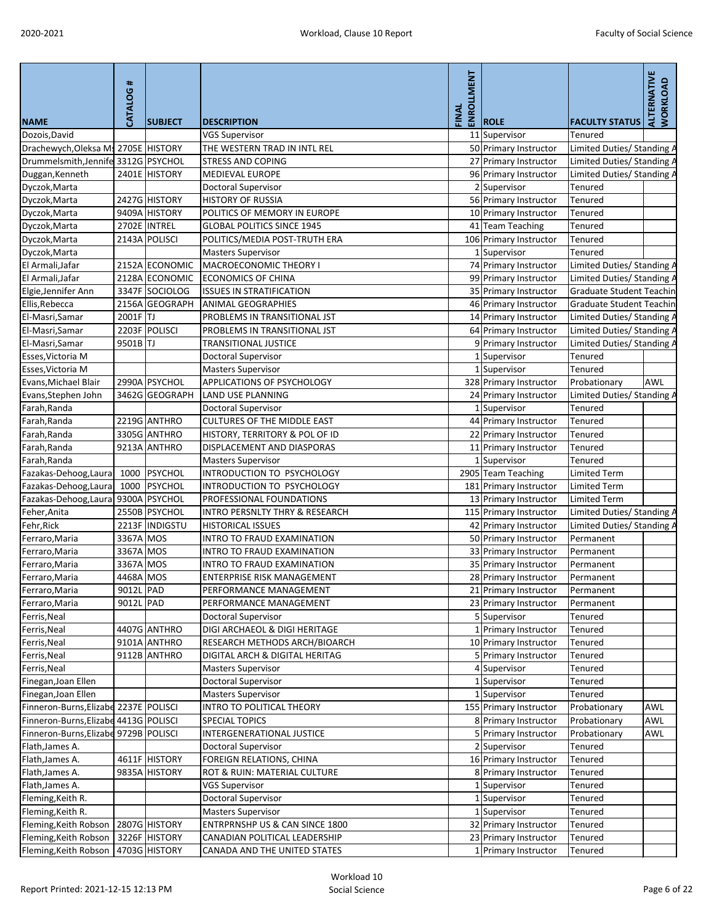|                                         | #         |                |                                                        | ENROLLMENT |                        |                                   | <b>ALTERNATIVE</b><br>WORKLOAD |
|-----------------------------------------|-----------|----------------|--------------------------------------------------------|------------|------------------------|-----------------------------------|--------------------------------|
|                                         | CATALOG   |                |                                                        | FINAL      |                        |                                   |                                |
| <b>NAME</b>                             |           | <b>SUBJECT</b> | <b>DESCRIPTION</b>                                     |            | <b>ROLE</b>            | <b>FACULTY STATUS</b>             |                                |
| Dozois, David                           |           |                | <b>VGS Supervisor</b>                                  |            | 11 Supervisor          | <b>Tenured</b>                    |                                |
| Drachewych, Oleksa Ms 2705E HISTORY     |           |                | THE WESTERN TRAD IN INTL REL                           |            | 50 Primary Instructor  | Limited Duties/ Standing A        |                                |
| Drummelsmith, Jennife 3312G PSYCHOL     |           |                | <b>STRESS AND COPING</b>                               |            | 27 Primary Instructor  | Limited Duties/ Standing A        |                                |
| Duggan, Kenneth                         |           | 2401E HISTORY  | MEDIEVAL EUROPE                                        |            | 96 Primary Instructor  | Limited Duties/Standing A         |                                |
| Dyczok, Marta                           |           |                | <b>Doctoral Supervisor</b>                             |            | 2 Supervisor           | <b>Tenured</b>                    |                                |
| Dyczok, Marta                           |           | 2427G HISTORY  | <b>HISTORY OF RUSSIA</b>                               |            | 56 Primary Instructor  | <b>Tenured</b>                    |                                |
| Dyczok, Marta                           |           | 9409A HISTORY  | POLITICS OF MEMORY IN EUROPE                           |            | 10 Primary Instructor  | <b>Tenured</b>                    |                                |
| Dyczok, Marta                           |           | 2702E INTREL   | <b>GLOBAL POLITICS SINCE 1945</b>                      |            | 41 Team Teaching       | <b>Tenured</b>                    |                                |
| Dyczok, Marta                           |           | 2143A POLISCI  | POLITICS/MEDIA POST-TRUTH ERA                          |            | 106 Primary Instructor | Tenured                           |                                |
| Dyczok, Marta                           |           |                | <b>Masters Supervisor</b>                              |            | 1 Supervisor           | <b>Tenured</b>                    |                                |
| El Armali, Jafar                        |           | 2152A ECONOMIC | MACROECONOMIC THEORY I                                 |            | 74 Primary Instructor  | Limited Duties/ Standing A        |                                |
| El Armali, Jafar                        |           | 2128A ECONOMIC | <b>ECONOMICS OF CHINA</b>                              |            | 99 Primary Instructor  | Limited Duties/ Standing A        |                                |
| Elgie, Jennifer Ann                     |           | 3347F SOCIOLOG | <b>ISSUES IN STRATIFICATION</b>                        |            | 35 Primary Instructor  | Graduate Student Teachin          |                                |
| Ellis, Rebecca                          |           | 2156A GEOGRAPH | <b>ANIMAL GEOGRAPHIES</b>                              |            | 46 Primary Instructor  | <b>Graduate Student Teachin</b>   |                                |
| El-Masri, Samar                         | 2001F TJ  |                | PROBLEMS IN TRANSITIONAL JST                           |            | 14 Primary Instructor  | Limited Duties/ Standing A        |                                |
| El-Masri, Samar                         |           | 2203F POLISCI  | PROBLEMS IN TRANSITIONAL JST                           |            | 64 Primary Instructor  | Limited Duties/ Standing A        |                                |
| El-Masri, Samar                         | 9501B TJ  |                | <b>TRANSITIONAL JUSTICE</b>                            |            | 9 Primary Instructor   | Limited Duties/ Standing A        |                                |
| Esses, Victoria M                       |           |                | Doctoral Supervisor                                    |            | 1 Supervisor           | Tenured                           |                                |
| Esses, Victoria M                       |           |                | <b>Masters Supervisor</b>                              |            | 1 Supervisor           | Tenured                           |                                |
| Evans, Michael Blair                    |           | 2990A PSYCHOL  | <b>APPLICATIONS OF PSYCHOLOGY</b>                      |            | 328 Primary Instructor | Probationary                      | <b>AWL</b>                     |
| Evans, Stephen John                     |           | 3462G GEOGRAPH | <b>LAND USE PLANNING</b>                               |            | 24 Primary Instructor  | <b>Limited Duties/ Standing A</b> |                                |
| Farah, Randa                            |           |                | <b>Doctoral Supervisor</b>                             |            | 1 Supervisor           | <b>Tenured</b>                    |                                |
| Farah, Randa                            |           | 2219G ANTHRO   | <b>CULTURES OF THE MIDDLE EAST</b>                     |            | 44 Primary Instructor  | <b>Tenured</b>                    |                                |
| Farah, Randa                            |           | 3305G ANTHRO   | HISTORY, TERRITORY & POL OF ID                         |            | 22 Primary Instructor  | Tenured                           |                                |
| Farah, Randa                            |           | 9213A ANTHRO   | DISPLACEMENT AND DIASPORAS                             |            | 11 Primary Instructor  | <b>Tenured</b>                    |                                |
| Farah, Randa                            |           |                | <b>Masters Supervisor</b>                              |            | 1 Supervisor           | <b>Tenured</b>                    |                                |
| Fazakas-Dehoog, Laura                   |           | 1000 PSYCHOL   | INTRODUCTION TO PSYCHOLOGY                             |            | 2905 Team Teaching     | <b>Limited Term</b>               |                                |
| Fazakas-Dehoog, Laura                   |           | 1000 PSYCHOL   | INTRODUCTION TO PSYCHOLOGY                             |            | 181 Primary Instructor | <b>Limited Term</b>               |                                |
| Fazakas-Dehoog, Laura 9300A PSYCHOL     |           |                | PROFESSIONAL FOUNDATIONS                               |            | 13 Primary Instructor  | Limited Term                      |                                |
| Feher, Anita                            |           | 2550B PSYCHOL  | <b>INTRO PERSNLTY THRY &amp; RESEARCH</b>              |            | 115 Primary Instructor | Limited Duties/ Standing A        |                                |
| Fehr, Rick                              |           | 2213F INDIGSTU | <b>HISTORICAL ISSUES</b>                               |            | 42 Primary Instructor  | Limited Duties/ Standing A        |                                |
| Ferraro, Maria                          | 3367A MOS |                | <b>INTRO TO FRAUD EXAMINATION</b>                      |            | 50 Primary Instructor  | Permanent                         |                                |
| Ferraro, Maria                          | 3367A MOS |                | INTRO TO FRAUD EXAMINATION                             |            | 33 Primary Instructor  | Permanent                         |                                |
| Ferraro, Maria                          | 3367A MOS |                | <b>INTRO TO FRAUD EXAMINATION</b>                      |            | 35 Primary Instructor  | Permanent                         |                                |
| Ferraro, Maria                          | 4468A MOS |                | ENTERPRISE RISK MANAGEMENT                             |            | 28 Primary Instructor  | Permanent                         |                                |
| Ferraro, Maria                          | 9012L PAD |                | PERFORMANCE MANAGEMENT                                 |            | 21 Primary Instructor  | Permanent                         |                                |
| Ferraro, Maria                          | 9012L PAD |                | PERFORMANCE MANAGEMENT                                 |            | 23 Primary Instructor  | Permanent                         |                                |
| Ferris, Neal                            |           |                | <b>Doctoral Supervisor</b>                             |            | 5 Supervisor           | <b>Tenured</b>                    |                                |
| Ferris, Neal                            |           | 4407G ANTHRO   | DIGI ARCHAEOL & DIGI HERITAGE                          |            | 1 Primary Instructor   | <b>Tenured</b>                    |                                |
| Ferris, Neal                            |           | 9101A ANTHRO   | RESEARCH METHODS ARCH/BIOARCH                          |            | 10 Primary Instructor  | Tenured                           |                                |
| Ferris, Neal                            |           | 9112B ANTHRO   | DIGITAL ARCH & DIGITAL HERITAG                         |            | 5 Primary Instructor   | Tenured                           |                                |
| Ferris, Neal                            |           |                | <b>Masters Supervisor</b>                              |            | 4 Supervisor           | Tenured                           |                                |
| Finegan, Joan Ellen                     |           |                | <b>Doctoral Supervisor</b>                             |            | 1 Supervisor           | <b>Tenured</b>                    |                                |
| Finegan, Joan Ellen                     |           |                | <b>Masters Supervisor</b>                              |            | 1 Supervisor           | <b>Tenured</b>                    |                                |
| Finneron-Burns, Elizabe 2237E   POLISCI |           |                | INTRO TO POLITICAL THEORY                              |            | 155 Primary Instructor | Probationary                      | <b>AWL</b>                     |
| Finneron-Burns, Elizabe 4413G POLISCI   |           |                | <b>SPECIAL TOPICS</b>                                  |            | 8 Primary Instructor   | Probationary                      | <b>AWL</b>                     |
| Finneron-Burns, Elizabe 9729B   POLISCI |           |                | INTERGENERATIONAL JUSTICE                              |            | 5 Primary Instructor   |                                   | <b>AWL</b>                     |
| Flath, James A.                         |           |                |                                                        |            | 2 Supervisor           | Probationary<br>Tenured           |                                |
|                                         |           | 4611F HISTORY  | Doctoral Supervisor<br><b>FOREIGN RELATIONS, CHINA</b> |            |                        | <b>Tenured</b>                    |                                |
| Flath, James A.                         |           | 9835A HISTORY  | ROT & RUIN: MATERIAL CULTURE                           |            | 16 Primary Instructor  |                                   |                                |
| Flath, James A.                         |           |                |                                                        |            | 8 Primary Instructor   | <b>Tenured</b>                    |                                |
| Flath, James A.                         |           |                | <b>VGS Supervisor</b>                                  |            | 1 Supervisor           | Tenured                           |                                |
| Fleming, Keith R.                       |           |                | <b>Doctoral Supervisor</b>                             |            | 1 Supervisor           | Tenured                           |                                |
| Fleming, Keith R.                       |           |                | <b>Masters Supervisor</b>                              |            | 1 Supervisor           | Tenured                           |                                |
| Fleming, Keith Robson                   |           | 2807G HISTORY  | ENTRPRNSHP US & CAN SINCE 1800                         |            | 32 Primary Instructor  | Tenured                           |                                |
| Fleming, Keith Robson                   |           | 3226F HISTORY  | CANADIAN POLITICAL LEADERSHIP                          |            | 23 Primary Instructor  | Tenured                           |                                |
| Fleming, Keith Robson                   |           | 4703G HISTORY  | CANADA AND THE UNITED STATES                           |            | 1 Primary Instructor   | Tenured                           |                                |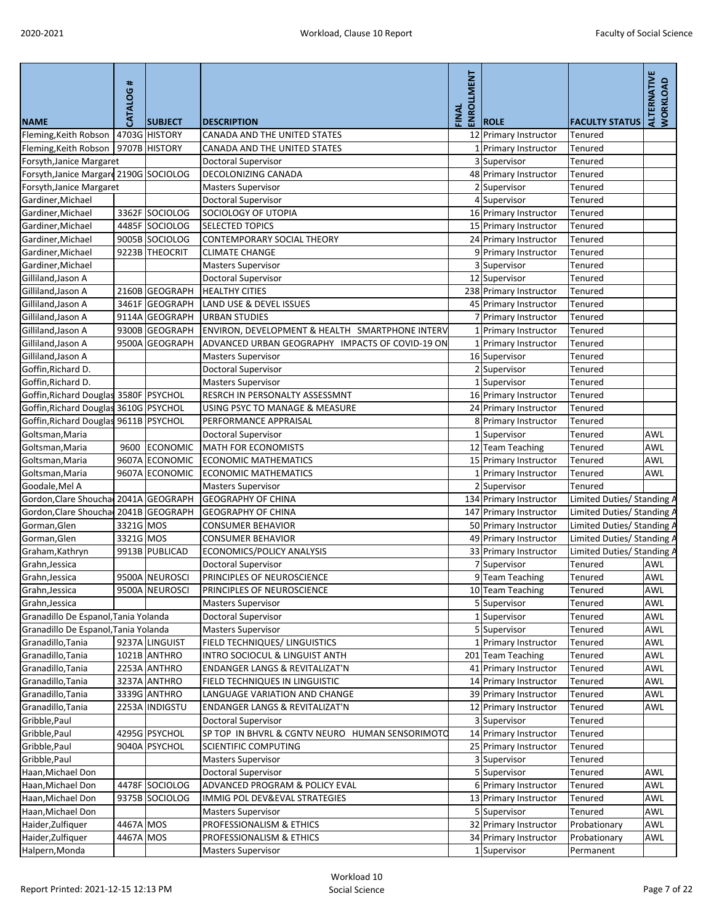|                                         | CATALOG#  |                |                                                 | <b>LMENT</b> |                              |                            | ALTERNATIVE<br>WORKLOAD |
|-----------------------------------------|-----------|----------------|-------------------------------------------------|--------------|------------------------------|----------------------------|-------------------------|
|                                         |           |                |                                                 | ENROLL       |                              |                            |                         |
| <b>NAME</b>                             |           | <b>SUBJECT</b> | <b>DESCRIPTION</b>                              | FINAL        | <b>ROLE</b>                  | <b>FACULTY STATUS</b>      |                         |
| Fleming, Keith Robson   4703G HISTORY   |           |                | CANADA AND THE UNITED STATES                    |              | 12 Primary Instructor        | Tenured                    |                         |
| Fleming, Keith Robson                   |           | 9707B HISTORY  | CANADA AND THE UNITED STATES                    |              | 1 Primary Instructor         | Tenured                    |                         |
| Forsyth, Janice Margaret                |           |                | <b>Doctoral Supervisor</b>                      |              | 3 Supervisor                 | Tenured                    |                         |
| Forsyth, Janice Margard 2190G SOCIOLOG  |           |                | <b>DECOLONIZING CANADA</b>                      |              | 48 Primary Instructor        | Tenured                    |                         |
| Forsyth, Janice Margaret                |           |                | <b>Masters Supervisor</b>                       |              | 2 Supervisor                 | Tenured                    |                         |
| Gardiner, Michael                       |           |                | Doctoral Supervisor                             |              | 4 Supervisor                 | <b>Tenured</b>             |                         |
| Gardiner, Michael                       |           | 3362F SOCIOLOG | SOCIOLOGY OF UTOPIA                             |              | 16 Primary Instructor        | Tenured                    |                         |
| Gardiner, Michael                       |           | 4485F SOCIOLOG | <b>SELECTED TOPICS</b>                          |              | 15 Primary Instructor        | <b>Tenured</b>             |                         |
| Gardiner, Michael                       |           | 9005B SOCIOLOG | <b>CONTEMPORARY SOCIAL THEORY</b>               |              | 24 Primary Instructor        | <b>Tenured</b>             |                         |
| Gardiner, Michael                       |           | 9223B THEOCRIT | <b>CLIMATE CHANGE</b>                           |              | 9 Primary Instructor         | <b>Tenured</b>             |                         |
| Gardiner, Michael                       |           |                | <b>Masters Supervisor</b>                       |              | 3 Supervisor                 | Tenured                    |                         |
| Gilliland, Jason A                      |           |                | Doctoral Supervisor                             |              | 12 Supervisor                | <b>Tenured</b>             |                         |
| Gilliland, Jason A                      |           | 2160B GEOGRAPH | <b>HEALTHY CITIES</b>                           |              | 238 Primary Instructor       | Tenured                    |                         |
| Gilliland, Jason A                      |           | 3461F GEOGRAPH | <b>LAND USE &amp; DEVEL ISSUES</b>              |              | 45 Primary Instructor        | Tenured                    |                         |
| Gilliland, Jason A                      |           | 9114A GEOGRAPH | <b>URBAN STUDIES</b>                            |              | 7 Primary Instructor         | <b>Tenured</b>             |                         |
| Gilliland, Jason A                      |           | 9300B GEOGRAPH | ENVIRON, DEVELOPMENT & HEALTH SMARTPHONE INTERV |              | 1 Primary Instructor         | Tenured                    |                         |
| Gilliland, Jason A                      |           | 9500A GEOGRAPH | ADVANCED URBAN GEOGRAPHY IMPACTS OF COVID-19 ON |              | 1 Primary Instructor         | Tenured                    |                         |
| Gilliland, Jason A                      |           |                | <b>Masters Supervisor</b>                       |              | 16 Supervisor                | Tenured                    |                         |
| Goffin, Richard D.                      |           |                | Doctoral Supervisor                             |              | 2 Supervisor                 | Tenured                    |                         |
| Goffin, Richard D.                      |           |                | <b>Masters Supervisor</b>                       |              | 1 Supervisor                 | <b>Tenured</b>             |                         |
| Goffin, Richard Douglas 3580F   PSYCHOL |           |                | RESRCH IN PERSONALTY ASSESSMNT                  |              | 16 Primary Instructor        | Tenured                    |                         |
| Goffin, Richard Douglas 3610G PSYCHOL   |           |                | USING PSYC TO MANAGE & MEASURE                  |              | 24 Primary Instructor        | Tenured                    |                         |
| Goffin, Richard Douglas 9611B PSYCHOL   |           |                | PERFORMANCE APPRAISAL                           |              | 8 Primary Instructor         | Tenured                    |                         |
| Goltsman, Maria                         |           |                | <b>Doctoral Supervisor</b>                      |              | Supervisor                   | Tenured                    | AWL                     |
| Goltsman, Maria                         | 9600      | ECONOMIC       | MATH FOR ECONOMISTS                             |              | 12 Team Teaching             | Tenured                    | <b>AWL</b>              |
| Goltsman, Maria                         |           | 9607A ECONOMIC | <b>ECONOMIC MATHEMATICS</b>                     |              | 15 Primary Instructor        | Tenured                    | <b>AWL</b>              |
| Goltsman, Maria                         |           | 9607A ECONOMIC | <b>ECONOMIC MATHEMATICS</b>                     |              | 1 Primary Instructor         | Tenured                    | <b>AWL</b>              |
| Goodale, Mel A                          |           |                | <b>Masters Supervisor</b>                       |              | 2 Supervisor                 | Tenured                    |                         |
| Gordon, Clare Shoucha 2041A GEOGRAPH    |           |                | <b>GEOGRAPHY OF CHINA</b>                       |              | 134 Primary Instructor       | Limited Duties/ Standing A |                         |
| Gordon, Clare Shoucha 2041B GEOGRAPH    |           |                | <b>GEOGRAPHY OF CHINA</b>                       |              | 147 Primary Instructor       | Limited Duties/ Standing / |                         |
| Gorman, Glen                            | 3321G MOS |                | <b>CONSUMER BEHAVIOR</b>                        |              | 50 Primary Instructor        | Limited Duties/ Standing / |                         |
| Gorman, Glen                            | 3321G MOS |                | <b>CONSUMER BEHAVIOR</b>                        |              | 49 Primary Instructor        | Limited Duties/ Standing A |                         |
| Graham, Kathryn                         |           | 9913B PUBLICAD | <b>ECONOMICS/POLICY ANALYSIS</b>                |              | 33 Primary Instructor        | Limited Duties/ Standing A |                         |
| Grahn, Jessica                          |           |                | <b>Doctoral Supervisor</b>                      |              | 7 Supervisor                 | Tenured                    | <b>AWL</b>              |
| Grahn, Jessica                          |           | 9500A NEUROSCI | PRINCIPLES OF NEUROSCIENCE                      |              | 9Team Teaching               | Tenured                    | <b>AWL</b>              |
| Grahn, Jessica                          |           | 9500A NEUROSCI | PRINCIPLES OF NEUROSCIENCE                      |              | 10 Team Teaching             | Tenured                    | <b>AWL</b>              |
| Grahn, Jessica                          |           |                | <b>Masters Supervisor</b>                       |              | 5 Supervisor                 | <b>Tenured</b>             | <b>AWL</b>              |
| Granadillo De Espanol, Tania Yolanda    |           |                | <b>Doctoral Supervisor</b>                      |              | 1 Supervisor                 | Tenured                    | AWL                     |
| Granadillo De Espanol, Tania Yolanda    |           |                | <b>Masters Supervisor</b>                       |              | 5 Supervisor                 | Tenured                    | <b>AWL</b>              |
| Granadillo, Tania                       |           | 9237A LINGUIST | <b>FIELD TECHNIQUES/ LINGUISTICS</b>            |              | 1 Primary Instructor         | Tenured                    | <b>AWL</b>              |
| Granadillo, Tania                       |           | 1021B ANTHRO   | INTRO SOCIOCUL & LINGUIST ANTH                  |              | 201 Team Teaching            | Tenured                    | <b>AWL</b>              |
| Granadillo, Tania                       |           | 2253A ANTHRO   | <b>ENDANGER LANGS &amp; REVITALIZAT'N</b>       |              | 41 Primary Instructor        | Tenured                    | <b>AWL</b>              |
| Granadillo, Tania                       |           | 3237A ANTHRO   | FIELD TECHNIQUES IN LINGUISTIC                  |              | 14 Primary Instructor        | Tenured                    | AWL                     |
| Granadillo, Tania                       |           | 3339G ANTHRO   | LANGUAGE VARIATION AND CHANGE                   |              | 39 Primary Instructor        | <b>Tenured</b>             | <b>AWL</b>              |
| Granadillo, Tania                       |           | 2253A INDIGSTU | ENDANGER LANGS & REVITALIZAT'N                  |              | 12 Primary Instructor        | Tenured                    | <b>AWL</b>              |
| Gribble, Paul                           |           |                | <b>Doctoral Supervisor</b>                      |              | 3 Supervisor                 | Tenured                    |                         |
| Gribble, Paul                           |           | 4295G PSYCHOL  | SP TOP IN BHVRL & CGNTV NEURO HUMAN SENSORIMOTO |              |                              | Tenured                    |                         |
| Gribble, Paul                           |           | 9040A PSYCHOL  | <b>SCIENTIFIC COMPUTING</b>                     |              | 14 Primary Instructor        |                            |                         |
|                                         |           |                |                                                 |              | 25 Primary Instructor        | Tenured                    |                         |
| Gribble, Paul<br>Haan, Michael Don      |           |                | <b>Masters Supervisor</b>                       |              | 3 Supervisor<br>5 Supervisor | Tenured<br><b>Tenured</b>  |                         |
|                                         |           |                | <b>Doctoral Supervisor</b>                      |              |                              |                            | <b>AWL</b>              |
| Haan, Michael Don                       |           | 4478F SOCIOLOG | <b>ADVANCED PROGRAM &amp; POLICY EVAL</b>       |              | 6 Primary Instructor         | Tenured                    | AWL                     |
| Haan, Michael Don                       |           | 9375B SOCIOLOG | IMMIG POL DEV&EVAL STRATEGIES                   |              | 13 Primary Instructor        | Tenured                    | <b>AWL</b>              |
| Haan, Michael Don                       |           |                | <b>Masters Supervisor</b>                       |              | 5 Supervisor                 | <b>Tenured</b>             | <b>AWL</b>              |
| Haider, Zulfiquer                       | 4467A MOS |                | PROFESSIONALISM & ETHICS                        |              | 32 Primary Instructor        | Probationary               | <b>AWL</b>              |
| Haider, Zulfiquer                       | 4467A MOS |                | PROFESSIONALISM & ETHICS                        |              | 34 Primary Instructor        | Probationary               | <b>AWL</b>              |
| Halpern, Monda                          |           |                | <b>Masters Supervisor</b>                       |              | 1 Supervisor                 | Permanent                  |                         |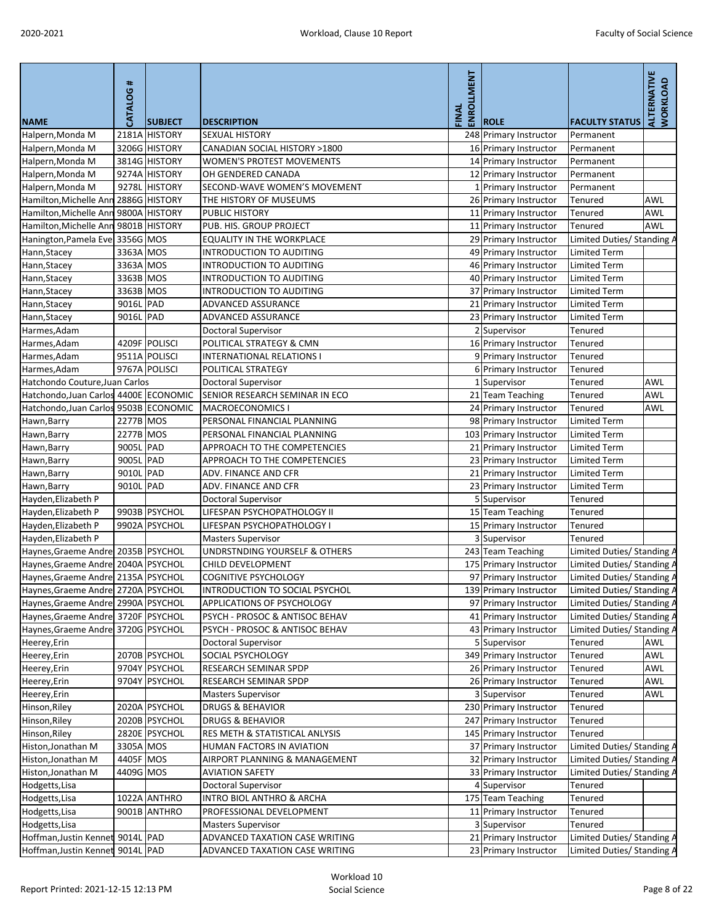| <b>NAME</b>                           | <b>CATALOG#</b> | <b>SUBJECT</b> | <b>DESCRIPTION</b>                        | <b>LMENT</b><br>ENROLL<br>FINAL | <b>ROLE</b>            | <b>FACULTY STATUS</b>      | ALTERNATIVE<br><b>WORKLOAD</b> |
|---------------------------------------|-----------------|----------------|-------------------------------------------|---------------------------------|------------------------|----------------------------|--------------------------------|
| Halpern, Monda M                      | 2181A           | <b>HISTORY</b> | <b>SEXUAL HISTORY</b>                     |                                 | 248 Primary Instructor | Permanent                  |                                |
| Halpern, Monda M                      |                 | 3206G HISTORY  | CANADIAN SOCIAL HISTORY >1800             |                                 | 16 Primary Instructor  | Permanent                  |                                |
| Halpern, Monda M                      |                 | 3814G HISTORY  | <b>WOMEN'S PROTEST MOVEMENTS</b>          |                                 | 14 Primary Instructor  | Permanent                  |                                |
| Halpern, Monda M                      |                 | 9274A HISTORY  | OH GENDERED CANADA                        |                                 | 12 Primary Instructor  | Permanent                  |                                |
| Halpern, Monda M                      | 9278L           | <b>HISTORY</b> | SECOND-WAVE WOMEN'S MOVEMENT              |                                 | 1 Primary Instructor   | Permanent                  |                                |
| Hamilton, Michelle Ann 2886G HISTORY  |                 |                | THE HISTORY OF MUSEUMS                    |                                 | 26 Primary Instructor  | Tenured                    | <b>AWL</b>                     |
| Hamilton, Michelle Ann                |                 | 9800A HISTORY  | <b>PUBLIC HISTORY</b>                     |                                 | 11 Primary Instructor  | Tenured                    | <b>AWL</b>                     |
| Hamilton, Michelle Ann                |                 | 9801B HISTORY  | PUB. HIS. GROUP PROJECT                   |                                 | 11 Primary Instructor  | <b>Tenured</b>             | <b>AWL</b>                     |
| Hanington, Pamela Eve 3356G MOS       |                 |                | <b>EQUALITY IN THE WORKPLACE</b>          |                                 | 29 Primary Instructor  | Limited Duties/ Standing A |                                |
| Hann, Stacey                          | 3363A MOS       |                | <b>INTRODUCTION TO AUDITING</b>           |                                 | 49 Primary Instructor  | <b>Limited Term</b>        |                                |
| Hann, Stacey                          | 3363A MOS       |                | <b>INTRODUCTION TO AUDITING</b>           |                                 | 46 Primary Instructor  | <b>Limited Term</b>        |                                |
| Hann, Stacey                          | 3363B MOS       |                | <b>INTRODUCTION TO AUDITING</b>           |                                 | 40 Primary Instructor  | <b>Limited Term</b>        |                                |
| Hann, Stacey                          | 3363B MOS       |                | <b>INTRODUCTION TO AUDITING</b>           |                                 | 37 Primary Instructor  | <b>Limited Term</b>        |                                |
| Hann, Stacey                          | 9016L PAD       |                | <b>ADVANCED ASSURANCE</b>                 |                                 | 21 Primary Instructor  | <b>Limited Term</b>        |                                |
| Hann, Stacey                          | 9016L PAD       |                | <b>ADVANCED ASSURANCE</b>                 |                                 | 23 Primary Instructor  | <b>Limited Term</b>        |                                |
| Harmes, Adam                          |                 |                | <b>Doctoral Supervisor</b>                |                                 | 2 Supervisor           | Tenured                    |                                |
| Harmes, Adam                          |                 | 4209F POLISCI  | POLITICAL STRATEGY & CMN                  |                                 | 16 Primary Instructor  | <b>Tenured</b>             |                                |
| Harmes, Adam                          |                 | 9511A POLISCI  | <b>INTERNATIONAL RELATIONS I</b>          |                                 | 9 Primary Instructor   | Tenured                    |                                |
| Harmes, Adam                          |                 | 9767A POLISCI  | POLITICAL STRATEGY                        |                                 | 6 Primary Instructor   | Tenured                    |                                |
| Hatchondo Couture, Juan Carlos        |                 |                | <b>Doctoral Supervisor</b>                |                                 | 1 Supervisor           | Tenured                    | AWL                            |
| Hatchondo, Juan Carlos 4400E ECONOMIC |                 |                | SENIOR RESEARCH SEMINAR IN ECO            |                                 | 21 Team Teaching       | Tenured                    | AWL                            |
| Hatchondo, Juan Carlos 9503B ECONOMIC |                 |                | <b>MACROECONOMICS I</b>                   |                                 | 24 Primary Instructor  | Tenured                    | <b>AWL</b>                     |
|                                       | 2277B MOS       |                | PERSONAL FINANCIAL PLANNING               |                                 |                        | <b>Limited Term</b>        |                                |
| Hawn, Barry                           | 2277B MOS       |                | PERSONAL FINANCIAL PLANNING               |                                 | 98 Primary Instructor  | <b>Limited Term</b>        |                                |
| Hawn, Barry                           |                 |                |                                           |                                 | 103 Primary Instructor |                            |                                |
| Hawn, Barry                           | 9005L PAD       |                | APPROACH TO THE COMPETENCIES              |                                 | 21 Primary Instructor  | <b>Limited Term</b>        |                                |
| Hawn, Barry                           | 9005L PAD       |                | APPROACH TO THE COMPETENCIES              |                                 | 23 Primary Instructor  | <b>Limited Term</b>        |                                |
| Hawn, Barry                           | 9010L PAD       |                | ADV. FINANCE AND CFR                      |                                 | 21 Primary Instructor  | <b>Limited Term</b>        |                                |
| Hawn, Barry                           | 9010L PAD       |                | ADV. FINANCE AND CFR                      |                                 | 23 Primary Instructor  | <b>Limited Term</b>        |                                |
| Hayden, Elizabeth P                   |                 |                | <b>Doctoral Supervisor</b>                |                                 | 5 Supervisor           | Tenured                    |                                |
| Hayden, Elizabeth P                   |                 | 9903B PSYCHOL  | LIFESPAN PSYCHOPATHOLOGY II               |                                 | 15 Team Teaching       | Tenured                    |                                |
| Hayden, Elizabeth P                   |                 | 9902A PSYCHOL  | LIFESPAN PSYCHOPATHOLOGY I                |                                 | 15 Primary Instructor  | <b>Tenured</b>             |                                |
| Hayden, Elizabeth P                   |                 |                | <b>Masters Supervisor</b>                 |                                 | 3 Supervisor           | Tenured                    |                                |
| Haynes, Graeme Andre 2035B   PSYCHOL  |                 |                | UNDRSTNDING YOURSELF & OTHERS             |                                 | 243 Team Teaching      | Limited Duties/ Standing A |                                |
| Haynes, Graeme Andre 2040A PSYCHOL    |                 |                | CHILD DEVELOPMENT                         |                                 | 175 Primary Instructor | Limited Duties/ Standing A |                                |
| Haynes, Graeme Andre 2135A PSYCHOL    |                 |                | <b>COGNITIVE PSYCHOLOGY</b>               |                                 | 97 Primary Instructor  | Limited Duties/ Standing A |                                |
| Haynes, Graeme Andre 2720A PSYCHOL    |                 |                | INTRODUCTION TO SOCIAL PSYCHOL            |                                 | 139 Primary Instructor | Limited Duties/ Standing A |                                |
| Haynes, Graeme Andre 2990A PSYCHOL    |                 |                | APPLICATIONS OF PSYCHOLOGY                |                                 | 97 Primary Instructor  | Limited Duties/ Standing / |                                |
| Haynes, Graeme Andre 3720F PSYCHOL    |                 |                | PSYCH - PROSOC & ANTISOC BEHAV            |                                 | 41 Primary Instructor  | Limited Duties/ Standing A |                                |
| Haynes, Graeme Andre 3720G PSYCHOL    |                 |                | PSYCH - PROSOC & ANTISOC BEHAV            |                                 | 43 Primary Instructor  | Limited Duties/ Standing A |                                |
| Heerey, Erin                          |                 |                | <b>Doctoral Supervisor</b>                |                                 | 5 Supervisor           | Tenured                    | AWL                            |
| Heerey, Erin                          |                 | 2070B PSYCHOL  | <b>SOCIAL PSYCHOLOGY</b>                  |                                 | 349 Primary Instructor | <b>Tenured</b>             | <b>AWL</b>                     |
| Heerey, Erin                          |                 | 9704Y PSYCHOL  | <b>RESEARCH SEMINAR SPDP</b>              |                                 | 26 Primary Instructor  | Tenured                    | AWL                            |
| Heerey, Erin                          |                 | 9704Y PSYCHOL  | <b>RESEARCH SEMINAR SPDP</b>              |                                 | 26 Primary Instructor  | Tenured                    | AWL                            |
| Heerey, Erin                          |                 |                | <b>Masters Supervisor</b>                 |                                 | 3 Supervisor           | Tenured                    | <b>AWL</b>                     |
| Hinson, Riley                         |                 | 2020A PSYCHOL  | <b>DRUGS &amp; BEHAVIOR</b>               |                                 | 230 Primary Instructor | Tenured                    |                                |
| Hinson, Riley                         |                 | 2020B PSYCHOL  | <b>DRUGS &amp; BEHAVIOR</b>               |                                 | 247 Primary Instructor | Tenured                    |                                |
| Hinson, Riley                         |                 | 2820E PSYCHOL  | <b>RES METH &amp; STATISTICAL ANLYSIS</b> |                                 | 145 Primary Instructor | Tenured                    |                                |
| Histon, Jonathan M                    | 3305A MOS       |                | HUMAN FACTORS IN AVIATION                 |                                 | 37 Primary Instructor  | Limited Duties/ Standing A |                                |
| Histon, Jonathan M                    | 4405F MOS       |                | AIRPORT PLANNING & MANAGEMENT             |                                 | 32 Primary Instructor  | Limited Duties/ Standing / |                                |
| Histon, Jonathan M                    | 4409G MOS       |                | <b>AVIATION SAFETY</b>                    |                                 | 33 Primary Instructor  | Limited Duties/ Standing A |                                |
| Hodgetts, Lisa                        |                 |                | <b>Doctoral Supervisor</b>                |                                 | 4 Supervisor           | Tenured                    |                                |
| Hodgetts, Lisa                        |                 | 1022A ANTHRO   | <b>INTRO BIOL ANTHRO &amp; ARCHA</b>      |                                 | 175 Team Teaching      | Tenured                    |                                |
| Hodgetts, Lisa                        |                 | 9001B ANTHRO   | PROFESSIONAL DEVELOPMENT                  |                                 | 11 Primary Instructor  | Tenured                    |                                |
| Hodgetts, Lisa                        |                 |                | <b>Masters Supervisor</b>                 |                                 | 3 Supervisor           | <b>Tenured</b>             |                                |
| Hoffman, Justin Kennet 9014L PAD      |                 |                | ADVANCED TAXATION CASE WRITING            |                                 | 21 Primary Instructor  | Limited Duties/ Standing A |                                |
| Hoffman, Justin Kennet 9014L PAD      |                 |                | ADVANCED TAXATION CASE WRITING            |                                 | 23 Primary Instructor  | Limited Duties/ Standing A |                                |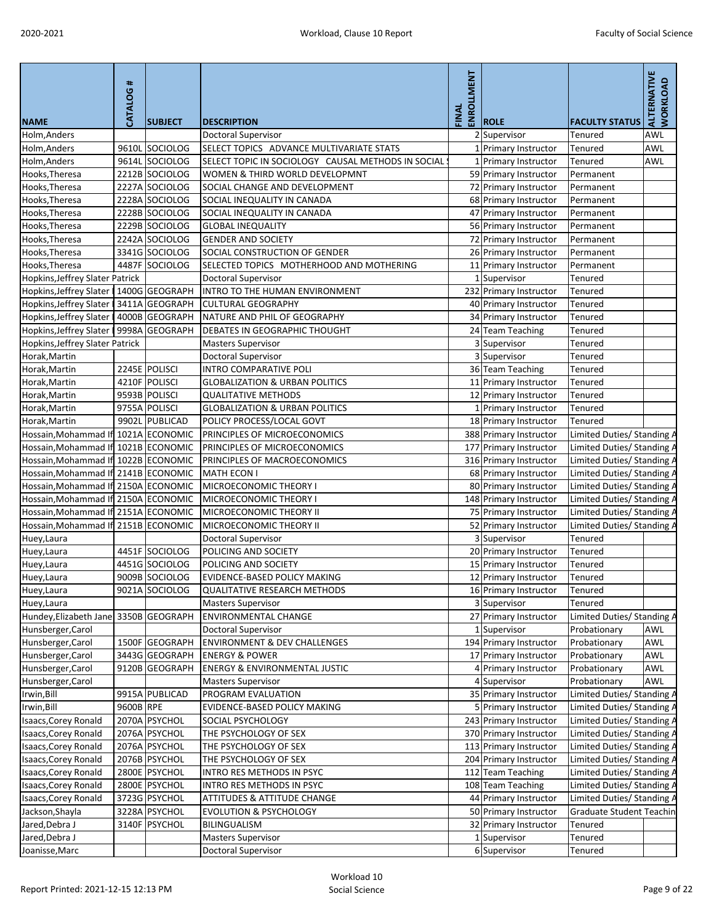| <b>NAME</b>                              | #<br>CATALOG | <b>SUBJECT</b> | <b>DESCRIPTION</b>                                 | ENROLLMENT<br>FINAL | <b>ROLE</b>            | <b>FACULTY STATUS</b>           | <b>ALTERNATIVE</b><br>WORKLOAD |
|------------------------------------------|--------------|----------------|----------------------------------------------------|---------------------|------------------------|---------------------------------|--------------------------------|
| Holm, Anders                             |              |                | <b>Doctoral Supervisor</b>                         |                     | 2 Supervisor           | <b>Tenured</b>                  | <b>AWL</b>                     |
| Holm, Anders                             |              | 9610L SOCIOLOG | SELECT TOPICS ADVANCE MULTIVARIATE STATS           |                     | 1 Primary Instructor   | Tenured                         | <b>AWL</b>                     |
| Holm, Anders                             |              | 9614L SOCIOLOG | SELECT TOPIC IN SOCIOLOGY CAUSAL METHODS IN SOCIAL |                     | 1 Primary Instructor   | <b>Tenured</b>                  | <b>AWL</b>                     |
| Hooks, Theresa                           |              | 2212B SOCIOLOG | WOMEN & THIRD WORLD DEVELOPMNT                     |                     | 59 Primary Instructor  | Permanent                       |                                |
| Hooks, Theresa                           |              | 2227A SOCIOLOG | SOCIAL CHANGE AND DEVELOPMENT                      |                     | 72 Primary Instructor  | Permanent                       |                                |
| Hooks, Theresa                           |              | 2228A SOCIOLOG | SOCIAL INEQUALITY IN CANADA                        |                     | 68 Primary Instructor  | Permanent                       |                                |
| Hooks, Theresa                           |              | 2228B SOCIOLOG | SOCIAL INEQUALITY IN CANADA                        |                     | 47 Primary Instructor  | Permanent                       |                                |
| Hooks, Theresa                           |              | 2229B SOCIOLOG | <b>GLOBAL INEQUALITY</b>                           |                     | 56 Primary Instructor  | Permanent                       |                                |
| Hooks, Theresa                           |              | 2242A SOCIOLOG | <b>GENDER AND SOCIETY</b>                          |                     | 72 Primary Instructor  | Permanent                       |                                |
| Hooks, Theresa                           |              | 3341G SOCIOLOG | SOCIAL CONSTRUCTION OF GENDER                      |                     | 26 Primary Instructor  | Permanent                       |                                |
| Hooks, Theresa                           |              | 4487F SOCIOLOG | SELECTED TOPICS MOTHERHOOD AND MOTHERING           |                     | 11 Primary Instructor  | Permanent                       |                                |
| Hopkins, Jeffrey Slater Patrick          |              |                | <b>Doctoral Supervisor</b>                         |                     | 1 Supervisor           | Tenured                         |                                |
| Hopkins, Jeffrey Slater                  |              | 1400G GEOGRAPH | INTRO TO THE HUMAN ENVIRONMENT                     |                     | 232 Primary Instructor | Tenured                         |                                |
| Hopkins, Jeffrey Slater                  |              | 3411A GEOGRAPH | <b>CULTURAL GEOGRAPHY</b>                          |                     | 40 Primary Instructor  | Tenured                         |                                |
| Hopkins, Jeffrey Slater                  |              | 4000B GEOGRAPH | NATURE AND PHIL OF GEOGRAPHY                       |                     | 34 Primary Instructor  | <b>Tenured</b>                  |                                |
| Hopkins, Jeffrey Slater   9998A GEOGRAPH |              |                | DEBATES IN GEOGRAPHIC THOUGHT                      |                     | 24 Team Teaching       | Tenured                         |                                |
| Hopkins, Jeffrey Slater Patrick          |              |                | <b>Masters Supervisor</b>                          |                     | 3 Supervisor           | <b>Tenured</b>                  |                                |
| Horak, Martin                            |              |                | Doctoral Supervisor                                |                     | 3 Supervisor           | <b>Tenured</b>                  |                                |
| Horak, Martin                            |              | 2245E POLISCI  | <b>INTRO COMPARATIVE POLI</b>                      |                     | 36 Team Teaching       | Tenured                         |                                |
|                                          |              | 4210F POLISCI  | <b>GLOBALIZATION &amp; URBAN POLITICS</b>          |                     |                        | Tenured                         |                                |
| Horak, Martin                            |              |                | <b>QUALITATIVE METHODS</b>                         |                     | 11 Primary Instructor  |                                 |                                |
| Horak, Martin                            |              | 9593B POLISCI  |                                                    |                     | 12 Primary Instructor  | Tenured                         |                                |
| Horak, Martin                            |              | 9755A POLISCI  | <b>GLOBALIZATION &amp; URBAN POLITICS</b>          |                     | 1 Primary Instructor   | <b>Tenured</b>                  |                                |
| Horak, Martin                            |              | 9902L PUBLICAD | POLICY PROCESS/LOCAL GOVT                          |                     | 18 Primary Instructor  | Tenured                         |                                |
| Hossain, Mohammad If 1021A ECONOMIC      |              |                | PRINCIPLES OF MICROECONOMICS                       |                     | 388 Primary Instructor | Limited Duties/ Standing A      |                                |
| Hossain, Mohammad If 1021B ECONOMIC      |              |                | PRINCIPLES OF MICROECONOMICS                       |                     | 177 Primary Instructor | Limited Duties/Standing A       |                                |
| Hossain, Mohammad If 1022B ECONOMIC      |              |                | PRINCIPLES OF MACROECONOMICS                       |                     | 316 Primary Instructor | Limited Duties/ Standing A      |                                |
| Hossain, Mohammad If 2141B ECONOMIC      |              |                | <b>MATH ECON I</b>                                 |                     | 68 Primary Instructor  | Limited Duties/ Standing A      |                                |
| Hossain, Mohammad If 2150A ECONOMIC      |              |                | MICROECONOMIC THEORY I                             |                     | 80 Primary Instructor  | Limited Duties/ Standing A      |                                |
| Hossain, Mohammad If 2150A ECONOMIC      |              |                | MICROECONOMIC THEORY I                             |                     | 148 Primary Instructor | Limited Duties/ Standing A      |                                |
| Hossain, Mohammad If 2151A ECONOMIC      |              |                | MICROECONOMIC THEORY II                            |                     | 75 Primary Instructor  | Limited Duties/ Standing A      |                                |
| Hossain, Mohammad If 2151B ECONOMIC      |              |                | MICROECONOMIC THEORY II                            |                     | 52 Primary Instructor  | Limited Duties/ Standing A      |                                |
| Huey, Laura                              |              |                | <b>Doctoral Supervisor</b>                         |                     | 3 Supervisor           | <b>Tenured</b>                  |                                |
| Huey, Laura                              |              | 4451F SOCIOLOG | POLICING AND SOCIETY                               |                     | 20 Primary Instructor  | Tenured                         |                                |
| Huey, Laura                              |              | 4451G SOCIOLOG | POLICING AND SOCIETY                               |                     | 15 Primary Instructor  | <b>Tenured</b>                  |                                |
| Huey, Laura                              |              | 9009B SOCIOLOG | EVIDENCE-BASED POLICY MAKING                       |                     | 12 Primary Instructor  | <b>Tenured</b>                  |                                |
| Huey, Laura                              |              | 9021A SOCIOLOG | <b>QUALITATIVE RESEARCH METHODS</b>                |                     | 16 Primary Instructor  | Tenured                         |                                |
| Huey, Laura                              |              |                | <b>Masters Supervisor</b>                          |                     | 3 Supervisor           | Tenured                         |                                |
| Hundey, Elizabeth Jane 3350B GEOGRAPH    |              |                | <b>ENVIRONMENTAL CHANGE</b>                        |                     | 27 Primary Instructor  | Limited Duties/ Standing A      |                                |
| Hunsberger, Carol                        |              |                | <b>Doctoral Supervisor</b>                         |                     | 1 Supervisor           | Probationary                    | <b>AWL</b>                     |
| Hunsberger, Carol                        |              | 1500F GEOGRAPH | <b>ENVIRONMENT &amp; DEV CHALLENGES</b>            |                     | 194 Primary Instructor | Probationary                    | <b>AWL</b>                     |
| Hunsberger, Carol                        |              | 3443G GEOGRAPH | <b>ENERGY &amp; POWER</b>                          |                     | 17 Primary Instructor  | Probationary                    | <b>AWL</b>                     |
| Hunsberger, Carol                        |              | 9120B GEOGRAPH | <b>ENERGY &amp; ENVIRONMENTAL JUSTIC</b>           |                     | 4 Primary Instructor   | Probationary                    | <b>AWL</b>                     |
| Hunsberger, Carol                        |              |                | <b>Masters Supervisor</b>                          |                     | 4 Supervisor           | Probationary                    | AWL                            |
| Irwin, Bill                              |              | 9915A PUBLICAD | PROGRAM EVALUATION                                 |                     | 35 Primary Instructor  | Limited Duties/ Standing A      |                                |
| Irwin, Bill                              | 9600B RPE    |                | EVIDENCE-BASED POLICY MAKING                       |                     | 5 Primary Instructor   | Limited Duties/ Standing A      |                                |
| <b>Isaacs, Corey Ronald</b>              |              | 2070A PSYCHOL  | <b>SOCIAL PSYCHOLOGY</b>                           |                     | 243 Primary Instructor | Limited Duties/ Standing A      |                                |
| Isaacs, Corey Ronald                     |              | 2076A PSYCHOL  | THE PSYCHOLOGY OF SEX                              |                     | 370 Primary Instructor | Limited Duties/ Standing A      |                                |
| <b>Isaacs, Corey Ronald</b>              |              | 2076A PSYCHOL  | THE PSYCHOLOGY OF SEX                              |                     | 113 Primary Instructor | Limited Duties/ Standing A      |                                |
| Isaacs, Corey Ronald                     |              | 2076B PSYCHOL  | THE PSYCHOLOGY OF SEX                              |                     | 204 Primary Instructor | Limited Duties/Standing A       |                                |
| Isaacs, Corey Ronald                     |              | 2800E PSYCHOL  | INTRO RES METHODS IN PSYC                          |                     | 112 Team Teaching      | Limited Duties/ Standing A      |                                |
| <b>Isaacs, Corey Ronald</b>              |              | 2800E PSYCHOL  | <b>INTRO RES METHODS IN PSYC</b>                   |                     | 108 Team Teaching      | Limited Duties/ Standing A      |                                |
| Isaacs, Corey Ronald                     |              | 3723G PSYCHOL  | <b>ATTITUDES &amp; ATTITUDE CHANGE</b>             |                     | 44 Primary Instructor  | Limited Duties/ Standing A      |                                |
| Jackson, Shayla                          |              | 3228A PSYCHOL  | <b>EVOLUTION &amp; PSYCHOLOGY</b>                  |                     | 50 Primary Instructor  | <b>Graduate Student Teachin</b> |                                |
| Jared, Debra J                           |              | 3140F PSYCHOL  | <b>BILINGUALISM</b>                                |                     | 32 Primary Instructor  | <b>Tenured</b>                  |                                |
| Jared, Debra J                           |              |                | <b>Masters Supervisor</b>                          |                     | 1 Supervisor           | Tenured                         |                                |
| Joanisse, Marc                           |              |                | <b>Doctoral Supervisor</b>                         |                     | 6 Supervisor           | Tenured                         |                                |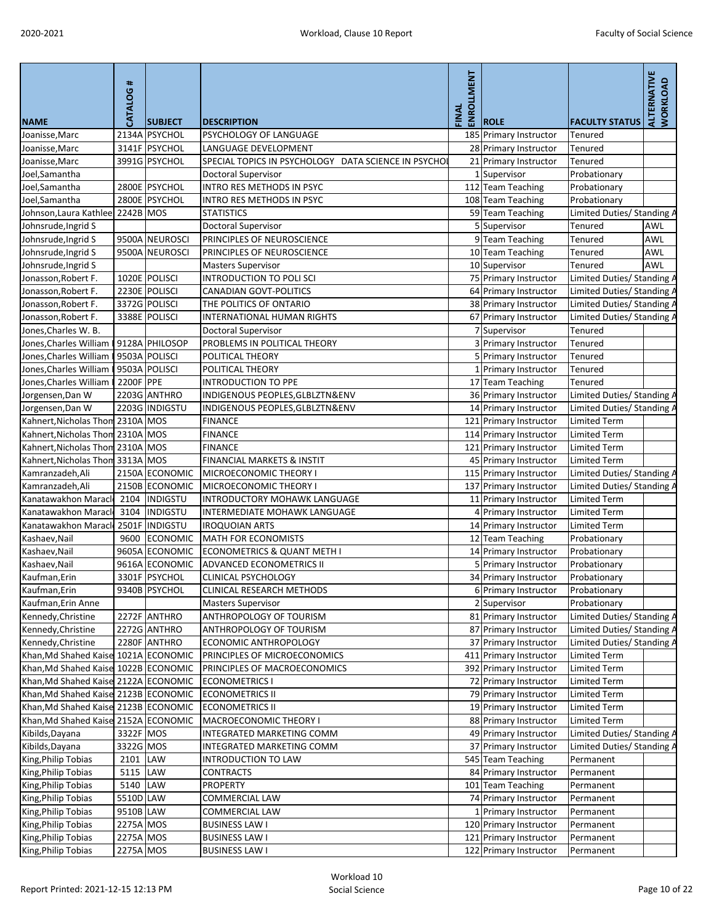| <b>NAME</b>                          | <b>CATALOG#</b> | <b>SUBJECT</b> | <b>DESCRIPTION</b>                                   | <b>LMENT</b><br>ENROLI<br>FINAL | <b>ROLE</b>            | <b>FACULTY STATUS</b>      | ALTERNATIVE<br><b>WORKLOAD</b> |
|--------------------------------------|-----------------|----------------|------------------------------------------------------|---------------------------------|------------------------|----------------------------|--------------------------------|
| Joanisse, Marc                       |                 | 2134A PSYCHOL  | <b>PSYCHOLOGY OF LANGUAGE</b>                        |                                 | 185 Primary Instructor | <b>Tenured</b>             |                                |
| Joanisse, Marc                       |                 | 3141F PSYCHOL  | LANGUAGE DEVELOPMENT                                 |                                 | 28 Primary Instructor  | Tenured                    |                                |
| Joanisse, Marc                       |                 | 3991G PSYCHOL  | SPECIAL TOPICS IN PSYCHOLOGY DATA SCIENCE IN PSYCHOI |                                 | 21 Primary Instructor  | Tenured                    |                                |
| Joel,Samantha                        |                 |                | <b>Doctoral Supervisor</b>                           |                                 | LSupervisor            | Probationary               |                                |
| Joel, Samantha                       |                 | 2800E PSYCHOL  | INTRO RES METHODS IN PSYC                            |                                 | 112 Team Teaching      | Probationary               |                                |
| Joel,Samantha                        |                 | 2800E PSYCHOL  | INTRO RES METHODS IN PSYC                            |                                 | 108 Team Teaching      | Probationary               |                                |
| Johnson, Laura Kathlee               | 2242B MOS       |                | <b>STATISTICS</b>                                    |                                 | 59 Team Teaching       | Limited Duties/ Standing A |                                |
| Johnsrude, Ingrid S                  |                 |                | <b>Doctoral Supervisor</b>                           |                                 | 5 Supervisor           | Tenured                    | AWL                            |
| Johnsrude, Ingrid S                  |                 | 9500A NEUROSCI | PRINCIPLES OF NEUROSCIENCE                           |                                 | 9Team Teaching         | Tenured                    | AWL                            |
| Johnsrude, Ingrid S                  |                 | 9500A NEUROSCI | PRINCIPLES OF NEUROSCIENCE                           |                                 | 10 Team Teaching       | Tenured                    | <b>AWL</b>                     |
| Johnsrude, Ingrid S                  |                 |                | <b>Masters Supervisor</b>                            |                                 | 10 Supervisor          | Tenured                    | <b>AWL</b>                     |
| Jonasson, Robert F.                  |                 | 1020E POLISCI  | <b>INTRODUCTION TO POLI SCI</b>                      |                                 | 75 Primary Instructor  | Limited Duties/ Standing A |                                |
| Jonasson, Robert F.                  |                 | 2230E POLISCI  | <b>CANADIAN GOVT-POLITICS</b>                        |                                 | 64 Primary Instructor  | Limited Duties/ Standing / |                                |
| Jonasson, Robert F.                  |                 | 3372G POLISCI  | THE POLITICS OF ONTARIO                              |                                 | 38 Primary Instructor  | Limited Duties/ Standing A |                                |
| Jonasson, Robert F.                  |                 | 3388E POLISCI  | INTERNATIONAL HUMAN RIGHTS                           |                                 | 67 Primary Instructor  | Limited Duties/ Standing A |                                |
| Jones, Charles W. B.                 |                 |                | <b>Doctoral Supervisor</b>                           |                                 | 7 Supervisor           | Tenured                    |                                |
| Jones, Charles William               |                 | 9128A PHILOSOP | PROBLEMS IN POLITICAL THEORY                         |                                 | 3 Primary Instructor   | Tenured                    |                                |
| Jones, Charles William               |                 | 9503A POLISCI  | POLITICAL THEORY                                     |                                 | 5 Primary Instructor   | <b>Tenured</b>             |                                |
| Jones, Charles William               |                 | 9503A POLISCI  | POLITICAL THEORY                                     |                                 | 1 Primary Instructor   | <b>Tenured</b>             |                                |
| Jones, Charles William               | 2200F PPE       |                | <b>INTRODUCTION TO PPE</b>                           |                                 | 17 Team Teaching       | <b>Tenured</b>             |                                |
| Jorgensen, Dan W                     |                 | 2203G ANTHRO   | INDIGENOUS PEOPLES, GLBLZTN&ENV                      |                                 | 36 Primary Instructor  | Limited Duties/ Standing A |                                |
| Jorgensen, Dan W                     |                 | 2203G INDIGSTU | INDIGENOUS PEOPLES, GLBLZTN&ENV                      |                                 | 14 Primary Instructor  | Limited Duties/ Standing A |                                |
| Kahnert, Nicholas Thon 2310A MOS     |                 |                | <b>FINANCE</b>                                       |                                 | 121 Primary Instructor | <b>Limited Term</b>        |                                |
|                                      |                 |                | <b>FINANCE</b>                                       |                                 |                        | <b>Limited Term</b>        |                                |
| Kahnert, Nicholas Thom 2310A MOS     |                 |                |                                                      |                                 | 114 Primary Instructor | <b>Limited Term</b>        |                                |
| Kahnert, Nicholas Thon 2310A MOS     |                 |                | <b>FINANCE</b>                                       |                                 | 121 Primary Instructor |                            |                                |
| Kahnert, Nicholas Thom 3313A MOS     |                 |                | FINANCIAL MARKETS & INSTIT                           |                                 | 45 Primary Instructor  | <b>Limited Term</b>        |                                |
| Kamranzadeh, Ali                     |                 | 2150A ECONOMIC | MICROECONOMIC THEORY I                               |                                 | 115 Primary Instructor | Limited Duties/ Standing A |                                |
| Kamranzadeh, Ali                     |                 | 2150B ECONOMIC | MICROECONOMIC THEORY I                               |                                 | 137 Primary Instructor | Limited Duties/ Standing A |                                |
| Kanatawakhon Marack                  |                 | 2104 INDIGSTU  | INTRODUCTORY MOHAWK LANGUAGE                         |                                 | 11 Primary Instructor  | <b>Limited Term</b>        |                                |
| Kanatawakhon Marack                  |                 | 3104  INDIGSTU | <b>INTERMEDIATE MOHAWK LANGUAGE</b>                  |                                 | 4 Primary Instructor   | <b>Limited Term</b>        |                                |
| Kanatawakhon Maracl                  |                 | 2501F INDIGSTU | <b>IROQUOIAN ARTS</b>                                |                                 | 14 Primary Instructor  | <b>Limited Term</b>        |                                |
| Kashaev, Nail                        |                 | 9600 ECONOMIC  | <b>MATH FOR ECONOMISTS</b>                           |                                 | 12 Team Teaching       | Probationary               |                                |
| Kashaev, Nail                        |                 | 9605A ECONOMIC | <b>ECONOMETRICS &amp; QUANT METH I</b>               |                                 | 14 Primary Instructor  | Probationary               |                                |
| Kashaev, Nail                        |                 | 9616A ECONOMIC | <b>ADVANCED ECONOMETRICS II</b>                      |                                 | 5 Primary Instructor   | Probationary               |                                |
| Kaufman, Erin                        |                 | 3301F PSYCHOL  | <b>CLINICAL PSYCHOLOGY</b>                           |                                 | 34 Primary Instructor  | Probationary               |                                |
| Kaufman, Erin                        |                 | 9340B PSYCHOL  | <b>CLINICAL RESEARCH METHODS</b>                     |                                 | 6 Primary Instructor   | Probationary               |                                |
| Kaufman, Erin Anne                   |                 |                | <b>Masters Supervisor</b>                            |                                 | 2 Supervisor           | Probationary               |                                |
| Kennedy, Christine                   |                 | 2272F ANTHRO   | ANTHROPOLOGY OF TOURISM                              |                                 | 81 Primary Instructor  | Limited Duties/ Standing A |                                |
| Kennedy, Christine                   |                 | 2272G ANTHRO   | ANTHROPOLOGY OF TOURISM                              |                                 | 87 Primary Instructor  | Limited Duties/ Standing A |                                |
| Kennedy, Christine                   |                 | 2280F ANTHRO   | ECONOMIC ANTHROPOLOGY                                |                                 | 37 Primary Instructor  | Limited Duties/ Standing A |                                |
| Khan, Md Shahed Kaise 1021A ECONOMIC |                 |                | PRINCIPLES OF MICROECONOMICS                         |                                 | 411 Primary Instructor | <b>Limited Term</b>        |                                |
| Khan, Md Shahed Kaise 1022B ECONOMIC |                 |                | PRINCIPLES OF MACROECONOMICS                         |                                 | 392 Primary Instructor | <b>Limited Term</b>        |                                |
| Khan, Md Shahed Kaise 2122A ECONOMIC |                 |                | <b>ECONOMETRICS I</b>                                |                                 | 72 Primary Instructor  | <b>Limited Term</b>        |                                |
| Khan, Md Shahed Kaise 2123B ECONOMIC |                 |                | <b>ECONOMETRICS II</b>                               |                                 | 79 Primary Instructor  | <b>Limited Term</b>        |                                |
| Khan, Md Shahed Kaise 2123B ECONOMIC |                 |                | <b>ECONOMETRICS II</b>                               |                                 | 19 Primary Instructor  | <b>Limited Term</b>        |                                |
| Khan, Md Shahed Kaise 2152A ECONOMIC |                 |                | <b>MACROECONOMIC THEORY I</b>                        |                                 | 88 Primary Instructor  | <b>Limited Term</b>        |                                |
| Kibilds, Dayana                      | 3322F MOS       |                | INTEGRATED MARKETING COMM                            |                                 | 49 Primary Instructor  | Limited Duties/ Standing A |                                |
| Kibilds, Dayana                      | 3322G MOS       |                | INTEGRATED MARKETING COMM                            |                                 | 37 Primary Instructor  | Limited Duties/ Standing / |                                |
| King, Philip Tobias                  | 2101 LAW        |                | <b>INTRODUCTION TO LAW</b>                           |                                 | 545 Team Teaching      | Permanent                  |                                |
| King, Philip Tobias                  | 5115            | <b>LAW</b>     | <b>CONTRACTS</b>                                     |                                 | 84 Primary Instructor  | Permanent                  |                                |
| King, Philip Tobias                  | 5140            | <b>LAW</b>     | <b>PROPERTY</b>                                      |                                 | 101 Team Teaching      | Permanent                  |                                |
| King, Philip Tobias                  | 5510D LAW       |                | COMMERCIAL LAW                                       |                                 | 74 Primary Instructor  | Permanent                  |                                |
| King, Philip Tobias                  | 9510B LAW       |                | <b>COMMERCIAL LAW</b>                                |                                 | 1 Primary Instructor   | Permanent                  |                                |
| King, Philip Tobias                  | 2275A MOS       |                | <b>BUSINESS LAW I</b>                                |                                 | 120 Primary Instructor | Permanent                  |                                |
| King, Philip Tobias                  | 2275A MOS       |                | <b>BUSINESS LAW I</b>                                |                                 | 121 Primary Instructor | Permanent                  |                                |
| King, Philip Tobias                  | 2275A MOS       |                | <b>BUSINESS LAW I</b>                                |                                 | 122 Primary Instructor | Permanent                  |                                |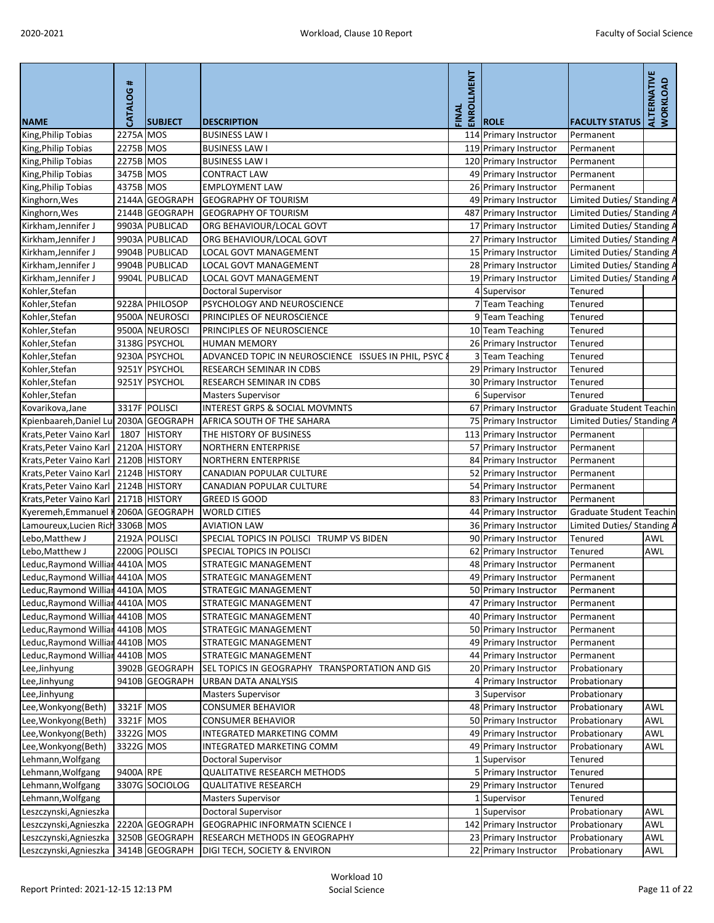| <b>NAME</b>                             | #<br>CATALOG | <b>SUBJECT</b> | <b>DESCRIPTION</b>                                    | ENROLLMENT<br>FINAL | <b>ROLE</b>            | <b>FACULTY STATUS</b>      | <b>ALTERNATIVE</b><br>WORKLOAD |
|-----------------------------------------|--------------|----------------|-------------------------------------------------------|---------------------|------------------------|----------------------------|--------------------------------|
| King, Philip Tobias                     | 2275A MOS    |                | <b>BUSINESS LAW I</b>                                 |                     | 114 Primary Instructor | Permanent                  |                                |
| King, Philip Tobias                     | 2275B MOS    |                | <b>BUSINESS LAW I</b>                                 |                     | 119 Primary Instructor | Permanent                  |                                |
| King, Philip Tobias                     | 2275B MOS    |                | <b>BUSINESS LAW I</b>                                 |                     | 120 Primary Instructor | Permanent                  |                                |
| King, Philip Tobias                     | 3475B MOS    |                | <b>CONTRACT LAW</b>                                   |                     | 49 Primary Instructor  | Permanent                  |                                |
| King, Philip Tobias                     | 4375B MOS    |                | <b>EMPLOYMENT LAW</b>                                 |                     | 26 Primary Instructor  | Permanent                  |                                |
| Kinghorn, Wes                           |              | 2144A GEOGRAPH | <b>GEOGRAPHY OF TOURISM</b>                           |                     | 49 Primary Instructor  | Limited Duties/ Standing A |                                |
| Kinghorn, Wes                           |              | 2144B GEOGRAPH | <b>GEOGRAPHY OF TOURISM</b>                           |                     | 487 Primary Instructor | Limited Duties/ Standing A |                                |
| Kirkham, Jennifer J                     |              | 9903A PUBLICAD | ORG BEHAVIOUR/LOCAL GOVT                              |                     | 17 Primary Instructor  | Limited Duties/Standing A  |                                |
| Kirkham, Jennifer J                     |              | 9903A PUBLICAD | ORG BEHAVIOUR/LOCAL GOVT                              |                     | 27 Primary Instructor  | Limited Duties/ Standing A |                                |
| Kirkham, Jennifer J                     |              | 9904B PUBLICAD | LOCAL GOVT MANAGEMENT                                 |                     | 15 Primary Instructor  | Limited Duties/ Standing A |                                |
| Kirkham, Jennifer J                     |              | 9904B PUBLICAD | LOCAL GOVT MANAGEMENT                                 |                     | 28 Primary Instructor  | Limited Duties/ Standing A |                                |
| Kirkham, Jennifer J                     |              | 9904L PUBLICAD | <b>LOCAL GOVT MANAGEMENT</b>                          |                     | 19 Primary Instructor  | Limited Duties/ Standing A |                                |
| Kohler, Stefan                          |              |                | Doctoral Supervisor                                   |                     | 4 Supervisor           | <b>Tenured</b>             |                                |
| Kohler, Stefan                          |              | 9228A PHILOSOP | PSYCHOLOGY AND NEUROSCIENCE                           |                     | <b>Team Teaching</b>   | <b>Tenured</b>             |                                |
| Kohler, Stefan                          |              | 9500A NEUROSCI | PRINCIPLES OF NEUROSCIENCE                            |                     | 9 Team Teaching        | <b>Tenured</b>             |                                |
| Kohler, Stefan                          |              | 9500A NEUROSCI | PRINCIPLES OF NEUROSCIENCE                            |                     | 10 Team Teaching       | Tenured                    |                                |
| Kohler, Stefan                          |              | 3138G PSYCHOL  | <b>HUMAN MEMORY</b>                                   |                     | 26 Primary Instructor  | Tenured                    |                                |
| Kohler, Stefan                          |              | 9230A PSYCHOL  | ADVANCED TOPIC IN NEUROSCIENCE ISSUES IN PHIL, PSYC 8 |                     | 3 Team Teaching        | Tenured                    |                                |
| Kohler, Stefan                          |              | 9251Y PSYCHOL  | RESEARCH SEMINAR IN CDBS                              |                     | 29 Primary Instructor  | Tenured                    |                                |
| Kohler, Stefan                          |              | 9251Y PSYCHOL  | RESEARCH SEMINAR IN CDBS                              |                     | 30 Primary Instructor  | <b>Tenured</b>             |                                |
| Kohler, Stefan                          |              |                | <b>Masters Supervisor</b>                             |                     | 6 Supervisor           | <b>Tenured</b>             |                                |
| Kovarikova, Jane                        |              | 3317F POLISCI  | <b>INTEREST GRPS &amp; SOCIAL MOVMNTS</b>             |                     | 67 Primary Instructor  | Graduate Student Teachin   |                                |
| Kpienbaareh, Daniel Lu                  |              | 2030A GEOGRAPH | AFRICA SOUTH OF THE SAHARA                            |                     | 75 Primary Instructor  | Limited Duties/ Standing A |                                |
| Krats, Peter Vaino Karl                 | 1807         | <b>HISTORY</b> | THE HISTORY OF BUSINESS                               |                     | 113 Primary Instructor | Permanent                  |                                |
| Krats, Peter Vaino Karl                 |              | 2120A HISTORY  | <b>NORTHERN ENTERPRISE</b>                            |                     | 57 Primary Instructor  | Permanent                  |                                |
| Krats, Peter Vaino Karl                 |              | 2120B HISTORY  | <b>NORTHERN ENTERPRISE</b>                            |                     | 84 Primary Instructor  | Permanent                  |                                |
| Krats, Peter Vaino Karl   2124B HISTORY |              |                | <b>CANADIAN POPULAR CULTURE</b>                       |                     | 52 Primary Instructor  | Permanent                  |                                |
| Krats, Peter Vaino Karl                 |              | 2124B HISTORY  | CANADIAN POPULAR CULTURE                              |                     | 54 Primary Instructor  | Permanent                  |                                |
| Krats, Peter Vaino Karl                 |              | 2171B HISTORY  | <b>GREED IS GOOD</b>                                  |                     | 83 Primary Instructor  | Permanent                  |                                |
| Kyeremeh, Emmanuel   2060A GEOGRAPH     |              |                | <b>WORLD CITIES</b>                                   |                     | 44 Primary Instructor  | Graduate Student Teachin   |                                |
| Lamoureux, Lucien Rich 3306B MOS        |              |                | <b>AVIATION LAW</b>                                   |                     | 36 Primary Instructor  | Limited Duties/ Standing A |                                |
| Lebo, Matthew J                         |              | 2192A POLISCI  | SPECIAL TOPICS IN POLISCI TRUMP VS BIDEN              |                     | 90 Primary Instructor  | <b>Tenured</b>             | <b>AWL</b>                     |
| Lebo, Matthew J                         |              | 2200G POLISCI  | SPECIAL TOPICS IN POLISCI                             |                     | 62 Primary Instructor  | <b>Tenured</b>             | <b>AWL</b>                     |
| Leduc, Raymond Willian 4410A MOS        |              |                | <b>STRATEGIC MANAGEMENT</b>                           |                     | 48 Primary Instructor  | Permanent                  |                                |
| Leduc, Raymond Williar 4410A MOS        |              |                | STRATEGIC MANAGEMENT                                  |                     | 49 Primary Instructor  | Permanent                  |                                |
| Leduc, Raymond Williar 4410A MOS        |              |                | <b>STRATEGIC MANAGEMENT</b>                           |                     | 50 Primary Instructor  | Permanent                  |                                |
| Leduc, Raymond Williar                  | 4410A MOS    |                | STRATEGIC MANAGEMENT                                  |                     | 47 Primary Instructor  | Permanent                  |                                |
| Leduc, Raymond Williar                  | 4410B MOS    |                | <b>STRATEGIC MANAGEMENT</b>                           |                     | 40 Primary Instructor  | Permanent                  |                                |
| Leduc, Raymond Williar                  | 4410B MOS    |                | <b>STRATEGIC MANAGEMENT</b>                           |                     | 50 Primary Instructor  | Permanent                  |                                |
| Leduc, Raymond Williar                  | 4410B MOS    |                | STRATEGIC MANAGEMENT                                  |                     | 49 Primary Instructor  | Permanent                  |                                |
| Leduc, Raymond Williar 4410B MOS        |              |                | <b>STRATEGIC MANAGEMENT</b>                           |                     | 44 Primary Instructor  | Permanent                  |                                |
| Lee,Jinhyung                            |              | 3902B GEOGRAPH | SEL TOPICS IN GEOGRAPHY TRANSPORTATION AND GIS        |                     | 20 Primary Instructor  | Probationary               |                                |
| Lee, Jinhyung                           |              | 9410B GEOGRAPH | <b>URBAN DATA ANALYSIS</b>                            |                     | 4 Primary Instructor   | Probationary               |                                |
| Lee, Jinhyung                           |              |                | <b>Masters Supervisor</b>                             |                     | 3 Supervisor           | Probationary               |                                |
| Lee, Wonkyong (Beth)                    | 3321F MOS    |                | <b>CONSUMER BEHAVIOR</b>                              |                     | 48 Primary Instructor  | Probationary               | <b>AWL</b>                     |
| Lee, Wonkyong (Beth)                    | 3321F MOS    |                | <b>CONSUMER BEHAVIOR</b>                              |                     | 50 Primary Instructor  | Probationary               | <b>AWL</b>                     |
| Lee, Wonkyong (Beth)                    | 3322G MOS    |                | <b>INTEGRATED MARKETING COMM</b>                      |                     | 49 Primary Instructor  | Probationary               | <b>AWL</b>                     |
| Lee, Wonkyong (Beth)                    | 3322G MOS    |                | INTEGRATED MARKETING COMM                             |                     | 49 Primary Instructor  | Probationary               | <b>AWL</b>                     |
| Lehmann, Wolfgang                       |              |                | <b>Doctoral Supervisor</b>                            |                     | 1 Supervisor           | <b>Tenured</b>             |                                |
| Lehmann, Wolfgang                       | 9400A RPE    |                | <b>QUALITATIVE RESEARCH METHODS</b>                   |                     | 5 Primary Instructor   | <b>Tenured</b>             |                                |
| Lehmann, Wolfgang                       |              | 3307G SOCIOLOG | <b>QUALITATIVE RESEARCH</b>                           |                     | 29 Primary Instructor  | Tenured                    |                                |
| Lehmann, Wolfgang                       |              |                | <b>Masters Supervisor</b>                             |                     | 1 Supervisor           | <b>Tenured</b>             |                                |
| Leszczynski, Agnieszka                  |              |                | Doctoral Supervisor                                   |                     | 1 Supervisor           | Probationary               | <b>AWL</b>                     |
| Leszczynski, Agnieszka                  |              | 2220A GEOGRAPH | <b>GEOGRAPHIC INFORMATN SCIENCE I</b>                 |                     | 142 Primary Instructor | Probationary               | <b>AWL</b>                     |
| Leszczynski, Agnieszka                  |              | 3250B GEOGRAPH | RESEARCH METHODS IN GEOGRAPHY                         |                     | 23 Primary Instructor  | Probationary               | AWL                            |
| Leszczynski, Agnieszka                  |              | 3414B GEOGRAPH | <b>DIGI TECH, SOCIETY &amp; ENVIRON</b>               |                     | 22 Primary Instructor  | Probationary               | AWL                            |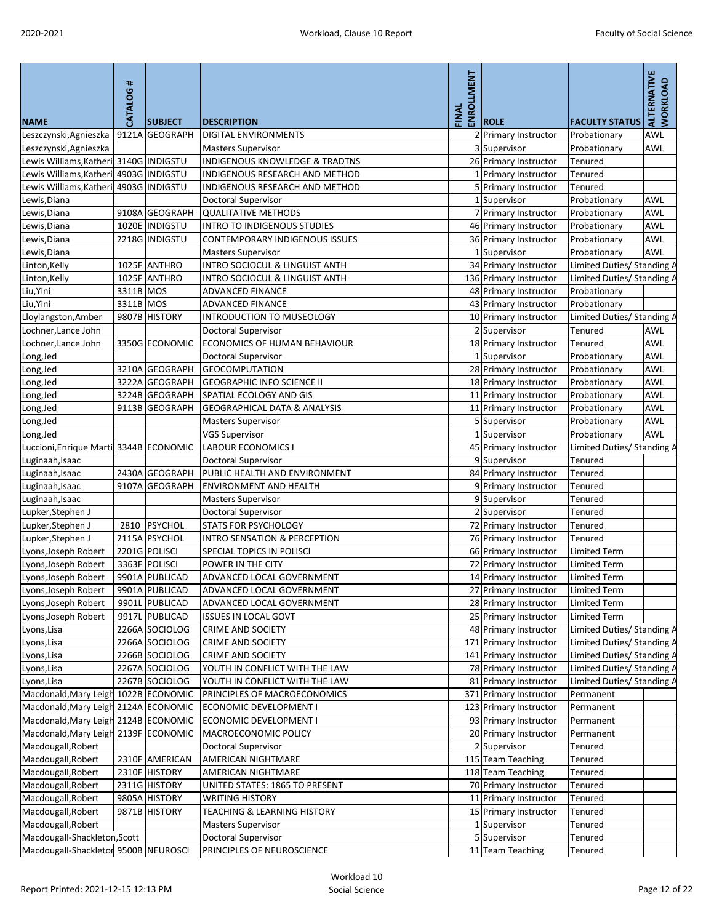| <b>NAME</b>                                         | CATALOG#  | <b>SUBJECT</b> | <b>DESCRIPTION</b>                                      | ENROLLMENT<br>FINAL | <b>ROLE</b>                                     | <b>FACULTY STATUS</b>                   | ALTERNATIVE<br><b>WORKLOAD</b> |
|-----------------------------------------------------|-----------|----------------|---------------------------------------------------------|---------------------|-------------------------------------------------|-----------------------------------------|--------------------------------|
| Leszczynski, Agnieszka                              |           | 9121A GEOGRAPH | <b>DIGITAL ENVIRONMENTS</b>                             |                     | 2 Primary Instructor                            | Probationary                            | <b>AWL</b>                     |
| Leszczynski, Agnieszka                              |           |                | <b>Masters Supervisor</b>                               |                     | 3 Supervisor                                    | Probationary                            | <b>AWL</b>                     |
| Lewis Williams, Katheri 3140G   INDIGSTU            |           |                | <b>INDIGENOUS KNOWLEDGE &amp; TRADTNS</b>               |                     | 26 Primary Instructor                           | Tenured                                 |                                |
| Lewis Williams, Katheri                             |           | 4903G INDIGSTU | INDIGENOUS RESEARCH AND METHOD                          |                     | 1 Primary Instructor                            | Tenured                                 |                                |
| Lewis Williams, Katheri                             |           | 4903G INDIGSTU | INDIGENOUS RESEARCH AND METHOD                          |                     | 5 Primary Instructor                            | Tenured                                 |                                |
| Lewis, Diana                                        |           |                | <b>Doctoral Supervisor</b>                              |                     | 1 Supervisor                                    | Probationary                            | <b>AWL</b>                     |
| Lewis, Diana                                        |           | 9108A GEOGRAPH | <b>QUALITATIVE METHODS</b>                              |                     | 7 Primary Instructor                            | Probationary                            | <b>AWL</b>                     |
| Lewis, Diana                                        |           | 1020E INDIGSTU | <b>INTRO TO INDIGENOUS STUDIES</b>                      |                     | 46 Primary Instructor                           | Probationary                            | <b>AWL</b>                     |
| Lewis, Diana                                        |           | 2218G INDIGSTU | CONTEMPORARY INDIGENOUS ISSUES                          |                     | 36 Primary Instructor                           | Probationary                            | <b>AWL</b>                     |
| Lewis, Diana                                        |           |                | <b>Masters Supervisor</b>                               |                     | Supervisor                                      | Probationary                            | <b>AWL</b>                     |
| Linton, Kelly                                       |           | 1025F ANTHRO   | INTRO SOCIOCUL & LINGUIST ANTH                          |                     | 34 Primary Instructor                           | Limited Duties/ Standing A              |                                |
| Linton, Kelly                                       |           | 1025F ANTHRO   | INTRO SOCIOCUL & LINGUIST ANTH                          |                     | 136 Primary Instructor                          | Limited Duties/ Standing A              |                                |
| Liu, Yini                                           | 3311B MOS |                | <b>ADVANCED FINANCE</b>                                 |                     | 48 Primary Instructor                           | Probationary                            |                                |
| Liu, Yini                                           | 3311B MOS |                | <b>ADVANCED FINANCE</b>                                 |                     | 43 Primary Instructor                           | Probationary                            |                                |
| Lloylangston, Amber                                 |           | 9807B HISTORY  | <b>INTRODUCTION TO MUSEOLOGY</b>                        |                     | 10 Primary Instructor                           | Limited Duties/ Standing A              |                                |
| Lochner, Lance John                                 |           |                | <b>Doctoral Supervisor</b>                              |                     | 2 Supervisor                                    | <b>Tenured</b>                          | <b>AWL</b>                     |
| Lochner, Lance John                                 |           | 3350G ECONOMIC | ECONOMICS OF HUMAN BEHAVIOUR                            |                     | 18 Primary Instructor                           | Tenured                                 | <b>AWL</b>                     |
| Long, Jed                                           |           |                | <b>Doctoral Supervisor</b>                              |                     | 1 Supervisor                                    | Probationary                            | <b>AWL</b>                     |
| Long, Jed                                           |           | 3210A GEOGRAPH | <b>GEOCOMPUTATION</b>                                   |                     | 28 Primary Instructor                           | Probationary                            | <b>AWL</b>                     |
| Long, Jed                                           |           | 3222A GEOGRAPH | <b>GEOGRAPHIC INFO SCIENCE II</b>                       |                     | 18 Primary Instructor                           | Probationary                            | <b>AWL</b>                     |
| Long, Jed                                           |           | 3224B GEOGRAPH | SPATIAL ECOLOGY AND GIS                                 |                     | 11 Primary Instructor                           | Probationary                            | <b>AWL</b>                     |
| Long, Jed                                           |           | 9113B GEOGRAPH | <b>GEOGRAPHICAL DATA &amp; ANALYSIS</b>                 |                     | 11 Primary Instructor                           | Probationary                            | <b>AWL</b>                     |
| Long, Jed                                           |           |                | <b>Masters Supervisor</b>                               |                     | 5 Supervisor                                    | Probationary                            | <b>AWL</b>                     |
| Long, Jed                                           |           |                | <b>VGS Supervisor</b>                                   |                     | 1 Supervisor                                    | Probationary                            | <b>AWL</b>                     |
| Luccioni, Enrique Marti 3344B ECONOMIC              |           |                | <b>LABOUR ECONOMICS</b>                                 |                     | 45 Primary Instructor                           | Limited Duties/ Standing A              |                                |
| Luginaah, Isaac                                     |           |                | <b>Doctoral Supervisor</b>                              |                     | 9 Supervisor                                    | Tenured                                 |                                |
| Luginaah, Isaac                                     |           |                | 2430A GEOGRAPH PUBLIC HEALTH AND ENVIRONMENT            |                     | 84 Primary Instructor                           | Tenured                                 |                                |
| Luginaah, Isaac                                     |           | 9107A GEOGRAPH | <b>ENVIRONMENT AND HEALTH</b>                           |                     | 9 Primary Instructor                            | Tenured                                 |                                |
| Luginaah, Isaac                                     |           |                | <b>Masters Supervisor</b>                               |                     | 9 Supervisor                                    | Tenured                                 |                                |
| Lupker, Stephen J                                   |           |                | <b>Doctoral Supervisor</b>                              |                     | 2 Supervisor                                    | Tenured                                 |                                |
| Lupker, Stephen J                                   | 2810      | PSYCHOL        | <b>STATS FOR PSYCHOLOGY</b>                             |                     | 72 Primary Instructor                           | Tenured                                 |                                |
| Lupker, Stephen J                                   |           | 2115A PSYCHOL  | INTRO SENSATION & PERCEPTION                            |                     | 76 Primary Instructor                           | Tenured                                 |                                |
| Lyons, Joseph Robert                                |           | 2201G POLISCI  | SPECIAL TOPICS IN POLISCI                               |                     | 66 Primary Instructor                           | <b>Limited Term</b>                     |                                |
| Lyons, Joseph Robert                                |           | 3363F POLISCI  | POWER IN THE CITY                                       |                     | 72 Primary Instructor                           | <b>Limited Term</b>                     |                                |
| Lyons, Joseph Robert                                |           | 9901A PUBLICAD | ADVANCED LOCAL GOVERNMENT                               |                     | 14 Primary Instructor                           | <b>Limited Term</b>                     |                                |
| Lyons, Joseph Robert                                |           | 9901A PUBLICAD | ADVANCED LOCAL GOVERNMENT                               |                     | 27 Primary Instructor                           | <b>Limited Term</b>                     |                                |
| Lyons, Joseph Robert                                |           | 9901L PUBLICAD | ADVANCED LOCAL GOVERNMENT                               |                     | 28 Primary Instructor                           | <b>Limited Term</b>                     |                                |
| Lyons, Joseph Robert                                |           | 9917L PUBLICAD | <b>ISSUES IN LOCAL GOVT</b>                             |                     | 25 Primary Instructor                           | <b>Limited Term</b>                     |                                |
| Lyons, Lisa                                         |           | 2266A SOCIOLOG | <b>CRIME AND SOCIETY</b>                                |                     | 48 Primary Instructor                           | Limited Duties/ Standing A              |                                |
|                                                     |           | 2266A SOCIOLOG | <b>CRIME AND SOCIETY</b>                                |                     | 171 Primary Instructor                          | Limited Duties/ Standing A              |                                |
| Lyons, Lisa                                         |           | 2266B SOCIOLOG | <b>CRIME AND SOCIETY</b>                                |                     | 141 Primary Instructor                          | Limited Duties/ Standing A              |                                |
| Lyons, Lisa<br>Lyons, Lisa                          |           | 2267A SOCIOLOG | YOUTH IN CONFLICT WITH THE LAW                          |                     | 78 Primary Instructor                           | Limited Duties/ Standing A              |                                |
|                                                     |           | 2267B SOCIOLOG | YOUTH IN CONFLICT WITH THE LAW                          |                     |                                                 |                                         |                                |
| Lyons, Lisa<br>Macdonald, Mary Leigh 1022B ECONOMIC |           |                | PRINCIPLES OF MACROECONOMICS                            |                     | 81 Primary Instructor<br>371 Primary Instructor | Limited Duties/ Standing A<br>Permanent |                                |
| Macdonald, Mary Leigh 2124A ECONOMIC                |           |                |                                                         |                     | 123 Primary Instructor                          |                                         |                                |
| Macdonald, Mary Leigh 2124B ECONOMIC                |           |                | ECONOMIC DEVELOPMENT I<br><b>ECONOMIC DEVELOPMENT I</b> |                     |                                                 | Permanent                               |                                |
|                                                     |           |                | <b>MACROECONOMIC POLICY</b>                             |                     | 93 Primary Instructor                           | Permanent                               |                                |
| Macdonald, Mary Leigh 2139F ECONOMIC                |           |                |                                                         |                     | 20 Primary Instructor                           | Permanent                               |                                |
| Macdougall, Robert                                  |           |                | <b>Doctoral Supervisor</b>                              |                     | Supervisor                                      | Tenured                                 |                                |
| Macdougall, Robert                                  |           | 2310F AMERICAN | AMERICAN NIGHTMARE                                      |                     | 115 Team Teaching                               | Tenured                                 |                                |
| Macdougall, Robert                                  |           | 2310F HISTORY  | AMERICAN NIGHTMARE                                      |                     | 118 Team Teaching                               | Tenured                                 |                                |
| Macdougall, Robert                                  |           | 2311G HISTORY  | UNITED STATES: 1865 TO PRESENT                          |                     | 70 Primary Instructor                           | Tenured                                 |                                |
| Macdougall, Robert                                  |           | 9805A HISTORY  | <b>WRITING HISTORY</b>                                  |                     | 11 Primary Instructor                           | Tenured                                 |                                |
| Macdougall, Robert                                  |           | 9871B HISTORY  | <b>TEACHING &amp; LEARNING HISTORY</b>                  |                     | 15 Primary Instructor                           | Tenured                                 |                                |
| Macdougall, Robert                                  |           |                | <b>Masters Supervisor</b>                               |                     | 1 Supervisor                                    | Tenured                                 |                                |
| Macdougall-Shackleton, Scott                        |           |                | <b>Doctoral Supervisor</b>                              |                     | 5 Supervisor                                    | Tenured                                 |                                |
| Macdougall-Shackletor 9500B NEUROSCI                |           |                | PRINCIPLES OF NEUROSCIENCE                              |                     | 11 Team Teaching                                | Tenured                                 |                                |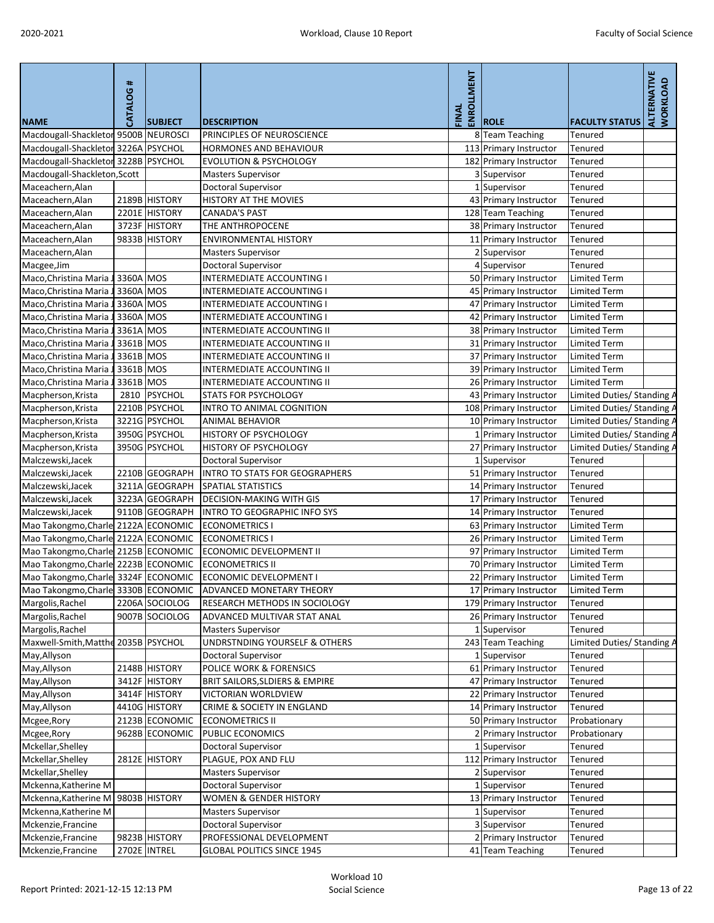| <b>NAME</b>                           | <b>CATALOG#</b> | <b>SUBJECT</b> | <b>DESCRIPTION</b>                        | ENROLLMENT<br>FINAL | <b>ROLE</b>            | <b>FACULTY STATUS</b>      | ALTERNATIVE<br><b>WORKLOAD</b> |
|---------------------------------------|-----------------|----------------|-------------------------------------------|---------------------|------------------------|----------------------------|--------------------------------|
| Macdougall-Shackletor 9500B NEUROSCI  |                 |                | PRINCIPLES OF NEUROSCIENCE                |                     | 8 Team Teaching        | Tenured                    |                                |
| Macdougall-Shackletor 3226A PSYCHOL   |                 |                | HORMONES AND BEHAVIOUR                    |                     | 113 Primary Instructor | Tenured                    |                                |
| Macdougall-Shackletor 3228B PSYCHOL   |                 |                | <b>EVOLUTION &amp; PSYCHOLOGY</b>         |                     | 182 Primary Instructor | Tenured                    |                                |
| Macdougall-Shackleton, Scott          |                 |                | <b>Masters Supervisor</b>                 |                     | 3 Supervisor           | <b>Tenured</b>             |                                |
| Maceachern, Alan                      |                 |                | <b>Doctoral Supervisor</b>                |                     | 1 Supervisor           | Tenured                    |                                |
| Maceachern, Alan                      |                 | 2189B HISTORY  | HISTORY AT THE MOVIES                     |                     | 43 Primary Instructor  | Tenured                    |                                |
| Maceachern, Alan                      |                 | 2201E HISTORY  | <b>CANADA'S PAST</b>                      |                     | 128 Team Teaching      | Tenured                    |                                |
| Maceachern, Alan                      |                 | 3723F HISTORY  | THE ANTHROPOCENE                          |                     | 38 Primary Instructor  | Tenured                    |                                |
| Maceachern, Alan                      |                 | 9833B HISTORY  | <b>ENVIRONMENTAL HISTORY</b>              |                     | 11 Primary Instructor  | Tenured                    |                                |
| Maceachern, Alan                      |                 |                | <b>Masters Supervisor</b>                 |                     | 2 Supervisor           | Tenured                    |                                |
| Macgee, Jim                           |                 |                | <b>Doctoral Supervisor</b>                |                     | 4 Supervisor           | Tenured                    |                                |
| Maco, Christina Maria                 | 3360A MOS       |                | <b>INTERMEDIATE ACCOUNTING I</b>          |                     | 50 Primary Instructor  | Limited Term               |                                |
| Maco, Christina Maria                 | 3360A MOS       |                | INTERMEDIATE ACCOUNTING I                 |                     | 45 Primary Instructor  | Limited Term               |                                |
| Maco, Christina Maria                 | 3360A MOS       |                | <b>INTERMEDIATE ACCOUNTING I</b>          |                     | 47 Primary Instructor  | Limited Term               |                                |
| Maco, Christina Maria                 | 3360A MOS       |                | <b>INTERMEDIATE ACCOUNTING I</b>          |                     | 42 Primary Instructor  | Limited Term               |                                |
| Maco, Christina Maria                 | 3361A MOS       |                | INTERMEDIATE ACCOUNTING II                |                     | 38 Primary Instructor  | Limited Term               |                                |
| Maco, Christina Maria                 | 3361B MOS       |                | <b>INTERMEDIATE ACCOUNTING II</b>         |                     | 31 Primary Instructor  | <b>Limited Term</b>        |                                |
| Maco, Christina Maria                 | 3361B MOS       |                | <b>INTERMEDIATE ACCOUNTING II</b>         |                     | 37 Primary Instructor  | <b>Limited Term</b>        |                                |
| Maco, Christina Maria                 | 3361B MOS       |                | <b>INTERMEDIATE ACCOUNTING II</b>         |                     | 39 Primary Instructor  | Limited Term               |                                |
| Maco, Christina Maria                 | 3361B MOS       |                | <b>INTERMEDIATE ACCOUNTING II</b>         |                     | 26 Primary Instructor  | Limited Term               |                                |
| Macpherson, Krista                    | 2810            | PSYCHOL        | <b>STATS FOR PSYCHOLOGY</b>               |                     | 43 Primary Instructor  | Limited Duties/ Standing A |                                |
| Macpherson, Krista                    |                 | 2210B PSYCHOL  | INTRO TO ANIMAL COGNITION                 |                     | 108 Primary Instructor | Limited Duties/ Standing / |                                |
| Macpherson, Krista                    |                 | 3221G PSYCHOL  | <b>ANIMAL BEHAVIOR</b>                    |                     | 10 Primary Instructor  | Limited Duties/ Standing A |                                |
| Macpherson, Krista                    |                 | 3950G PSYCHOL  | <b>HISTORY OF PSYCHOLOGY</b>              |                     | 1 Primary Instructor   | Limited Duties/ Standing A |                                |
| Macpherson, Krista                    |                 | 3950G PSYCHOL  | HISTORY OF PSYCHOLOGY                     |                     | 27 Primary Instructor  | Limited Duties/ Standing / |                                |
| Malczewski, Jacek                     |                 |                | <b>Doctoral Supervisor</b>                |                     | 1 Supervisor           | Tenured                    |                                |
| Malczewski, Jacek                     |                 | 2210B GEOGRAPH | <b>INTRO TO STATS FOR GEOGRAPHERS</b>     |                     | 51 Primary Instructor  | Tenured                    |                                |
| Malczewski, Jacek                     |                 | 3211A GEOGRAPH | <b>SPATIAL STATISTICS</b>                 |                     | 14 Primary Instructor  | Tenured                    |                                |
| Malczewski, Jacek                     |                 | 3223A GEOGRAPH | <b>DECISION-MAKING WITH GIS</b>           |                     | 17 Primary Instructor  | Tenured                    |                                |
| Malczewski, Jacek                     |                 | 9110B GEOGRAPH | <b>INTRO TO GEOGRAPHIC INFO SYS</b>       |                     | 14 Primary Instructor  | Tenured                    |                                |
| Mao Takongmo, Charle 2122A ECONOMIC   |                 |                | <b>ECONOMETRICS I</b>                     |                     | 63 Primary Instructor  | Limited Term               |                                |
| Mao Takongmo, Charle 2122A ECONOMIC   |                 |                | <b>ECONOMETRICS I</b>                     |                     | 26 Primary Instructor  | Limited Term               |                                |
| Mao Takongmo, Charle 2125B ECONOMIC   |                 |                | ECONOMIC DEVELOPMENT II                   |                     | 97 Primary Instructor  | <b>Limited Term</b>        |                                |
| Mao Takongmo, Charle 2223B ECONOMIC   |                 |                | <b>ECONOMETRICS II</b>                    |                     | 70 Primary Instructor  | <b>Limited Term</b>        |                                |
| Mao Takongmo, Charle 3324F ECONOMIC   |                 |                | ECONOMIC DEVELOPMENT I                    |                     | 22 Primary Instructor  | <b>Limited Term</b>        |                                |
| Mao Takongmo, Charle 3330B ECONOMIC   |                 |                | <b>ADVANCED MONETARY THEORY</b>           |                     | 17 Primary Instructor  | <b>Limited Term</b>        |                                |
| Margolis, Rachel                      |                 | 2206A SOCIOLOG | <b>RESEARCH METHODS IN SOCIOLOGY</b>      |                     | 179 Primary Instructor | Tenured                    |                                |
| Margolis, Rachel                      |                 | 9007B SOCIOLOG | ADVANCED MULTIVAR STAT ANAL               |                     | 26 Primary Instructor  | Tenured                    |                                |
| Margolis, Rachel                      |                 |                | <b>Masters Supervisor</b>                 |                     | 1 Supervisor           | Tenured                    |                                |
| Maxwell-Smith, Matthe 2035B   PSYCHOL |                 |                | UNDRSTNDING YOURSELF & OTHERS             |                     | 243 Team Teaching      | Limited Duties/ Standing A |                                |
| May, Allyson                          |                 |                | <b>Doctoral Supervisor</b>                |                     | 1 Supervisor           | Tenured                    |                                |
| May, Allyson                          |                 | 2148B HISTORY  | POLICE WORK & FORENSICS                   |                     | 61 Primary Instructor  | Tenured                    |                                |
| May, Allyson                          |                 | 3412F HISTORY  | <b>BRIT SAILORS, SLDIERS &amp; EMPIRE</b> |                     | 47 Primary Instructor  | Tenured                    |                                |
| May, Allyson                          |                 | 3414F HISTORY  | <b>VICTORIAN WORLDVIEW</b>                |                     | 22 Primary Instructor  | Tenured                    |                                |
| May, Allyson                          |                 | 4410G HISTORY  | <b>CRIME &amp; SOCIETY IN ENGLAND</b>     |                     | 14 Primary Instructor  | Tenured                    |                                |
| Mcgee, Rory                           |                 | 2123B ECONOMIC | <b>ECONOMETRICS II</b>                    |                     | 50 Primary Instructor  | Probationary               |                                |
| Mcgee, Rory                           |                 | 9628B ECONOMIC | PUBLIC ECONOMICS                          |                     | 2 Primary Instructor   | Probationary               |                                |
| Mckellar, Shelley                     |                 |                | <b>Doctoral Supervisor</b>                |                     | 1 Supervisor           | Tenured                    |                                |
| Mckellar, Shelley                     |                 | 2812E HISTORY  | PLAGUE, POX AND FLU                       |                     | 112 Primary Instructor | Tenured                    |                                |
| Mckellar, Shelley                     |                 |                | <b>Masters Supervisor</b>                 |                     | 2 Supervisor           | Tenured                    |                                |
| Mckenna, Katherine M                  |                 |                | <b>Doctoral Supervisor</b>                |                     | 1 Supervisor           | Tenured                    |                                |
| Mckenna, Katherine M                  |                 | 9803B HISTORY  | <b>WOMEN &amp; GENDER HISTORY</b>         |                     | 13 Primary Instructor  | Tenured                    |                                |
| Mckenna, Katherine M                  |                 |                | <b>Masters Supervisor</b>                 |                     | 1 Supervisor           | Tenured                    |                                |
| Mckenzie, Francine                    |                 |                | <b>Doctoral Supervisor</b>                |                     | 3 Supervisor           | Tenured                    |                                |
| Mckenzie, Francine                    |                 | 9823B HISTORY  | PROFESSIONAL DEVELOPMENT                  |                     | 2 Primary Instructor   | Tenured                    |                                |
| Mckenzie, Francine                    |                 | 2702E INTREL   | <b>GLOBAL POLITICS SINCE 1945</b>         |                     | 41 Team Teaching       | Tenured                    |                                |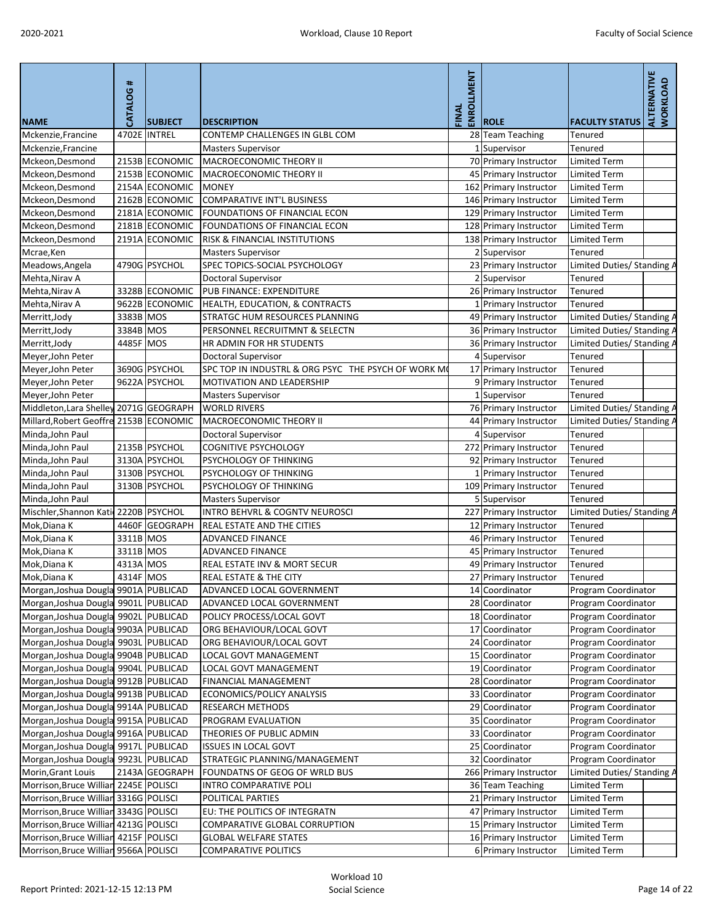| <b>NAME</b>                            | <b>CATALOG#</b> | <b>SUBJECT</b> | <b>DESCRIPTION</b>                                  | ENROLLMENT<br>FINAL | <b>ROLE</b>            | <b>FACULTY STATUS</b>      | ALTERNATIVE<br><b>WORKLOAD</b> |
|----------------------------------------|-----------------|----------------|-----------------------------------------------------|---------------------|------------------------|----------------------------|--------------------------------|
| Mckenzie, Francine                     |                 | 4702E INTREL   | CONTEMP CHALLENGES IN GLBL COM                      |                     | 28 Team Teaching       | Tenured                    |                                |
| Mckenzie, Francine                     |                 |                | <b>Masters Supervisor</b>                           |                     | Supervisor             | Tenured                    |                                |
| Mckeon, Desmond                        |                 | 2153B ECONOMIC | MACROECONOMIC THEORY II                             |                     | 70 Primary Instructor  | <b>Limited Term</b>        |                                |
| Mckeon, Desmond                        |                 | 2153B ECONOMIC | <b>MACROECONOMIC THEORY II</b>                      |                     | 45 Primary Instructor  | <b>Limited Term</b>        |                                |
| Mckeon, Desmond                        |                 | 2154A ECONOMIC | <b>MONEY</b>                                        |                     | 162 Primary Instructor | <b>Limited Term</b>        |                                |
| Mckeon, Desmond                        |                 | 2162B ECONOMIC | <b>COMPARATIVE INT'L BUSINESS</b>                   |                     | 146 Primary Instructor | <b>Limited Term</b>        |                                |
| Mckeon, Desmond                        |                 | 2181A ECONOMIC | <b>FOUNDATIONS OF FINANCIAL ECON</b>                |                     | 129 Primary Instructor | <b>Limited Term</b>        |                                |
| Mckeon, Desmond                        |                 | 2181B ECONOMIC | FOUNDATIONS OF FINANCIAL ECON                       |                     | 128 Primary Instructor | <b>Limited Term</b>        |                                |
| Mckeon, Desmond                        |                 | 2191A ECONOMIC | <b>RISK &amp; FINANCIAL INSTITUTIONS</b>            |                     | 138 Primary Instructor | <b>Limited Term</b>        |                                |
| Mcrae, Ken                             |                 |                | <b>Masters Supervisor</b>                           |                     | 2 Supervisor           | <b>Tenured</b>             |                                |
| Meadows, Angela                        |                 | 4790G PSYCHOL  | <b>SPEC TOPICS-SOCIAL PSYCHOLOGY</b>                |                     | 23 Primary Instructor  | Limited Duties/ Standing A |                                |
| Mehta, Nirav A                         |                 |                | Doctoral Supervisor                                 |                     | 2 Supervisor           | <b>Tenured</b>             |                                |
| Mehta, Nirav A                         |                 | 3328B ECONOMIC | PUB FINANCE: EXPENDITURE                            |                     | 26 Primary Instructor  | Tenured                    |                                |
| Mehta, Nirav A                         |                 | 9622B ECONOMIC | <b>HEALTH, EDUCATION, &amp; CONTRACTS</b>           |                     | 1 Primary Instructor   | Tenured                    |                                |
| Merritt, Jody                          | 3383B MOS       |                | STRATGC HUM RESOURCES PLANNING                      |                     | 49 Primary Instructor  | Limited Duties/ Standing A |                                |
| Merritt, Jody                          | 3384B MOS       |                | PERSONNEL RECRUITMNT & SELECTN                      |                     | 36 Primary Instructor  | Limited Duties/ Standing A |                                |
| Merritt, Jody                          | 4485F MOS       |                | HR ADMIN FOR HR STUDENTS                            |                     | 36 Primary Instructor  | Limited Duties/ Standing A |                                |
| Meyer, John Peter                      |                 |                | <b>Doctoral Supervisor</b>                          |                     | 4 Supervisor           | <b>Tenured</b>             |                                |
| Meyer, John Peter                      |                 | 3690G PSYCHOL  | SPC TOP IN INDUSTRL & ORG PSYC THE PSYCH OF WORK MO |                     | 17 Primary Instructor  | Tenured                    |                                |
| Meyer, John Peter                      |                 | 9622A PSYCHOL  | <b>MOTIVATION AND LEADERSHIP</b>                    |                     | 9 Primary Instructor   | Tenured                    |                                |
| Meyer, John Peter                      |                 |                | <b>Masters Supervisor</b>                           |                     | 1 Supervisor           | Tenured                    |                                |
| Middleton, Lara Shelley                |                 | 2071G GEOGRAPH | <b>WORLD RIVERS</b>                                 |                     | 76 Primary Instructor  | Limited Duties/ Standing A |                                |
| Millard, Robert Geoffre 2153B ECONOMIC |                 |                | MACROECONOMIC THEORY II                             |                     | 44 Primary Instructor  | Limited Duties/ Standing A |                                |
| Minda, John Paul                       |                 |                | <b>Doctoral Supervisor</b>                          |                     | 4 Supervisor           | <b>Tenured</b>             |                                |
| Minda, John Paul                       |                 | 2135B PSYCHOL  | <b>COGNITIVE PSYCHOLOGY</b>                         |                     | 272 Primary Instructor | Tenured                    |                                |
| Minda, John Paul                       |                 | 3130A PSYCHOL  | PSYCHOLOGY OF THINKING                              |                     | 92 Primary Instructor  | Tenured                    |                                |
| Minda, John Paul                       |                 | 3130B PSYCHOL  | PSYCHOLOGY OF THINKING                              |                     | 1 Primary Instructor   | Tenured                    |                                |
| Minda, John Paul                       |                 | 3130B PSYCHOL  | <b>PSYCHOLOGY OF THINKING</b>                       |                     | 109 Primary Instructor | Tenured                    |                                |
| Minda, John Paul                       |                 |                | <b>Masters Supervisor</b>                           |                     | 5 Supervisor           | <b>Tenured</b>             |                                |
| Mischler, Shannon Kati 2220B PSYCHOL   |                 |                | INTRO BEHVRL & COGNTV NEUROSCI                      |                     | 227 Primary Instructor | Limited Duties/ Standing A |                                |
| Mok, Diana K                           |                 | 4460F GEOGRAPH | <b>REAL ESTATE AND THE CITIES</b>                   |                     | 12 Primary Instructor  | <b>Tenured</b>             |                                |
| Mok, Diana K                           | 3311B MOS       |                | <b>ADVANCED FINANCE</b>                             |                     | 46 Primary Instructor  | Tenured                    |                                |
| Mok, Diana K                           | 3311B MOS       |                | <b>ADVANCED FINANCE</b>                             |                     | 45 Primary Instructor  | Tenured                    |                                |
| Mok, Diana K                           | 4313A MOS       |                | REAL ESTATE INV & MORT SECUR                        |                     | 49 Primary Instructor  | <b>Tenured</b>             |                                |
| Mok, Diana K                           | 4314F MOS       |                | <b>REAL ESTATE &amp; THE CITY</b>                   |                     | 27 Primary Instructor  | Tenured                    |                                |
| Morgan, Joshua Dougla 9901A PUBLICAD   |                 |                | ADVANCED LOCAL GOVERNMENT                           |                     | 14 Coordinator         | Program Coordinator        |                                |
| Morgan, Joshua Dougla 9901L PUBLICAD   |                 |                | ADVANCED LOCAL GOVERNMENT                           |                     | 28 Coordinator         | Program Coordinator        |                                |
| Morgan, Joshua Dougla 9902L PUBLICAD   |                 |                | POLICY PROCESS/LOCAL GOVT                           |                     | 18 Coordinator         | Program Coordinator        |                                |
| Morgan, Joshua Dougla 9903A PUBLICAD   |                 |                | ORG BEHAVIOUR/LOCAL GOVT                            |                     | 17 Coordinator         | Program Coordinator        |                                |
| Morgan, Joshua Dougla 9903L PUBLICAD   |                 |                | ORG BEHAVIOUR/LOCAL GOVT                            |                     | 24 Coordinator         | Program Coordinator        |                                |
| Morgan, Joshua Dougla 9904B PUBLICAD   |                 |                | LOCAL GOVT MANAGEMENT                               |                     | 15 Coordinator         | Program Coordinator        |                                |
| Morgan, Joshua Dougla 9904L PUBLICAD   |                 |                | LOCAL GOVT MANAGEMENT                               |                     | 19 Coordinator         | Program Coordinator        |                                |
| Morgan, Joshua Dougla 9912B PUBLICAD   |                 |                | <b>FINANCIAL MANAGEMENT</b>                         |                     | 28 Coordinator         | Program Coordinator        |                                |
| Morgan, Joshua Dougla 9913B PUBLICAD   |                 |                | <b>ECONOMICS/POLICY ANALYSIS</b>                    |                     | 33 Coordinator         | Program Coordinator        |                                |
| Morgan, Joshua Dougla 9914A PUBLICAD   |                 |                | <b>RESEARCH METHODS</b>                             |                     | 29 Coordinator         | Program Coordinator        |                                |
| Morgan, Joshua Dougla 9915A PUBLICAD   |                 |                | PROGRAM EVALUATION                                  |                     | 35 Coordinator         | Program Coordinator        |                                |
| Morgan, Joshua Dougla 9916A PUBLICAD   |                 |                | THEORIES OF PUBLIC ADMIN                            |                     | 33 Coordinator         | Program Coordinator        |                                |
| Morgan, Joshua Dougla 9917L PUBLICAD   |                 |                | <b>ISSUES IN LOCAL GOVT</b>                         |                     | 25 Coordinator         | Program Coordinator        |                                |
| Morgan, Joshua Dougla 9923L PUBLICAD   |                 |                | STRATEGIC PLANNING/MANAGEMENT                       |                     | 32 Coordinator         | Program Coordinator        |                                |
| Morin, Grant Louis                     |                 | 2143A GEOGRAPH | FOUNDATNS OF GEOG OF WRLD BUS                       |                     | 266 Primary Instructor | Limited Duties/ Standing A |                                |
| Morrison, Bruce Willian 2245E POLISCI  |                 |                | INTRO COMPARATIVE POLI                              |                     | 36 Team Teaching       | <b>Limited Term</b>        |                                |
| Morrison, Bruce Willian 3316G POLISCI  |                 |                | POLITICAL PARTIES                                   |                     | 21 Primary Instructor  | <b>Limited Term</b>        |                                |
| Morrison, Bruce Willian 3343G POLISCI  |                 |                | EU: THE POLITICS OF INTEGRATN                       |                     | 47 Primary Instructor  | <b>Limited Term</b>        |                                |
| Morrison, Bruce Willian 4213G POLISCI  |                 |                | COMPARATIVE GLOBAL CORRUPTION                       |                     | 15 Primary Instructor  | <b>Limited Term</b>        |                                |
| Morrison, Bruce Willian 4215F POLISCI  |                 |                | <b>GLOBAL WELFARE STATES</b>                        |                     | 16 Primary Instructor  | <b>Limited Term</b>        |                                |
| Morrison, Bruce Willian 9566A POLISCI  |                 |                | <b>COMPARATIVE POLITICS</b>                         |                     | 6 Primary Instructor   | <b>Limited Term</b>        |                                |
|                                        |                 |                |                                                     |                     |                        |                            |                                |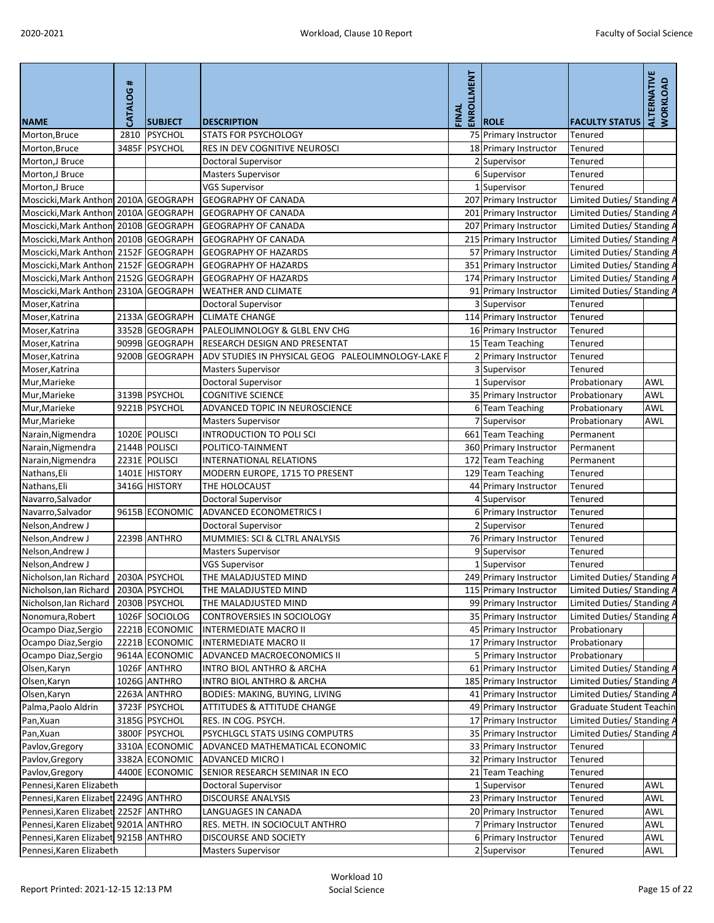| <b>NAME</b>                          | CATALOG # | <b>SUBJECT</b> | <b>DESCRIPTION</b>                                 | ENROLLMENT<br>FINAL | <b>ROLE</b>            | <b>FACULTY STATUS</b>           | <b>ALTERNATIVE</b><br>WORKLOAD |
|--------------------------------------|-----------|----------------|----------------------------------------------------|---------------------|------------------------|---------------------------------|--------------------------------|
| Morton, Bruce                        | 2810      | <b>PSYCHOL</b> | <b>STATS FOR PSYCHOLOGY</b>                        |                     | 75 Primary Instructor  | Tenured                         |                                |
| Morton, Bruce                        |           | 3485F PSYCHOL  | RES IN DEV COGNITIVE NEUROSCI                      |                     | 18 Primary Instructor  | <b>Tenured</b>                  |                                |
| Morton,J Bruce                       |           |                | <b>Doctoral Supervisor</b>                         |                     | 2 Supervisor           | Tenured                         |                                |
| Morton,J Bruce                       |           |                | <b>Masters Supervisor</b>                          |                     | 6 Supervisor           | Tenured                         |                                |
| Morton, J Bruce                      |           |                | <b>VGS Supervisor</b>                              |                     | 1 Supervisor           | Tenured                         |                                |
| Moscicki, Mark Anthon 2010A GEOGRAPH |           |                | <b>GEOGRAPHY OF CANADA</b>                         |                     | 207 Primary Instructor | Limited Duties/ Standing A      |                                |
| Moscicki, Mark Anthon 2010A GEOGRAPH |           |                | <b>GEOGRAPHY OF CANADA</b>                         |                     | 201 Primary Instructor | Limited Duties/ Standing A      |                                |
| Moscicki, Mark Anthon 2010B GEOGRAPH |           |                | <b>GEOGRAPHY OF CANADA</b>                         |                     | 207 Primary Instructor | Limited Duties/Standing A       |                                |
| Moscicki, Mark Anthon 2010B GEOGRAPH |           |                | <b>GEOGRAPHY OF CANADA</b>                         |                     | 215 Primary Instructor | Limited Duties/ Standing A      |                                |
| Moscicki, Mark Anthon 2152F GEOGRAPH |           |                | <b>GEOGRAPHY OF HAZARDS</b>                        |                     | 57 Primary Instructor  | Limited Duties/ Standing A      |                                |
| Moscicki, Mark Anthon 2152F GEOGRAPH |           |                | <b>GEOGRAPHY OF HAZARDS</b>                        |                     | 351 Primary Instructor | Limited Duties/Standing A       |                                |
| Moscicki, Mark Anthon 2152G GEOGRAPH |           |                | <b>GEOGRAPHY OF HAZARDS</b>                        |                     | 174 Primary Instructor | Limited Duties/ Standing A      |                                |
| Moscicki, Mark Anthon 2310A GEOGRAPH |           |                | <b>WEATHER AND CLIMATE</b>                         |                     | 91 Primary Instructor  | Limited Duties/ Standing A      |                                |
| Moser, Katrina                       |           |                | Doctoral Supervisor                                |                     | 3 Supervisor           | <b>Tenured</b>                  |                                |
| Moser, Katrina                       |           | 2133A GEOGRAPH | <b>CLIMATE CHANGE</b>                              |                     | 114 Primary Instructor | Tenured                         |                                |
| Moser, Katrina                       |           | 3352B GEOGRAPH | PALEOLIMNOLOGY & GLBL ENV CHG                      |                     | 16 Primary Instructor  | Tenured                         |                                |
| Moser, Katrina                       |           | 9099B GEOGRAPH | RESEARCH DESIGN AND PRESENTAT                      |                     | 15 Team Teaching       | Tenured                         |                                |
| Moser, Katrina                       |           | 9200B GEOGRAPH | ADV STUDIES IN PHYSICAL GEOG PALEOLIMNOLOGY-LAKE F |                     | 2 Primary Instructor   | Tenured                         |                                |
| Moser, Katrina                       |           |                | <b>Masters Supervisor</b>                          |                     | 3 Supervisor           | <b>Tenured</b>                  |                                |
| Mur, Marieke                         |           |                | <b>Doctoral Supervisor</b>                         |                     | 1 Supervisor           | Probationary                    | <b>AWL</b>                     |
| Mur, Marieke                         |           | 3139B PSYCHOL  | <b>COGNITIVE SCIENCE</b>                           |                     | 35 Primary Instructor  | Probationary                    | <b>AWL</b>                     |
| Mur, Marieke                         |           | 9221B PSYCHOL  | ADVANCED TOPIC IN NEUROSCIENCE                     |                     | 6 Team Teaching        | Probationary                    | <b>AWL</b>                     |
| Mur, Marieke                         |           |                | <b>Masters Supervisor</b>                          |                     | 7 Supervisor           | Probationary                    | <b>AWL</b>                     |
| Narain, Nigmendra                    |           | 1020E POLISCI  | <b>INTRODUCTION TO POLI SCI</b>                    |                     | 661 Team Teaching      | Permanent                       |                                |
| Narain, Nigmendra                    |           | 2144B POLISCI  | POLITICO-TAINMENT                                  |                     | 360 Primary Instructor | Permanent                       |                                |
| Narain, Nigmendra                    |           | 2231E POLISCI  | INTERNATIONAL RELATIONS                            |                     | 172 Team Teaching      | Permanent                       |                                |
| Nathans, Eli                         |           | 1401E HISTORY  | MODERN EUROPE, 1715 TO PRESENT                     |                     | 129 Team Teaching      | Tenured                         |                                |
| Nathans, Eli                         |           | 3416G HISTORY  | THE HOLOCAUST                                      |                     | 44 Primary Instructor  | Tenured                         |                                |
| Navarro, Salvador                    |           |                | Doctoral Supervisor                                |                     | 4 Supervisor           | Tenured                         |                                |
| Navarro, Salvador                    |           | 9615B ECONOMIC | <b>ADVANCED ECONOMETRICS I</b>                     |                     | 6 Primary Instructor   | Tenured                         |                                |
| Nelson, Andrew J                     |           |                | <b>Doctoral Supervisor</b>                         |                     | 2 Supervisor           | <b>Tenured</b>                  |                                |
| Nelson, Andrew J                     |           | 2239B ANTHRO   | MUMMIES: SCI & CLTRL ANALYSIS                      |                     | 76 Primary Instructor  | Tenured                         |                                |
| Nelson, Andrew J                     |           |                | <b>Masters Supervisor</b>                          |                     | 9 Supervisor           | Tenured                         |                                |
| Nelson, Andrew J                     |           |                | <b>VGS Supervisor</b>                              |                     | 1 Supervisor           | Tenured                         |                                |
| Nicholson, lan Richard               |           | 2030A PSYCHOL  | THE MALADJUSTED MIND                               |                     | 249 Primary Instructor | Limited Duties/ Standing A      |                                |
| Nicholson, Ian Richard               |           | 2030A PSYCHOL  | THE MALADJUSTED MIND                               |                     | 115 Primary Instructor | Limited Duties/ Standing A      |                                |
| Nicholson, Ian Richard               |           | 2030B PSYCHOL  | THE MALADJUSTED MIND                               |                     | 99 Primary Instructor  | Limited Duties/ Standing A      |                                |
| Nonomura, Robert                     |           | 1026F SOCIOLOG | CONTROVERSIES IN SOCIOLOGY                         |                     | 35 Primary Instructor  | Limited Duties/ Standing A      |                                |
| Ocampo Diaz, Sergio                  |           | 2221B ECONOMIC | <b>INTERMEDIATE MACRO II</b>                       |                     | 45 Primary Instructor  | Probationary                    |                                |
| Ocampo Diaz, Sergio                  |           | 2221B ECONOMIC | <b>INTERMEDIATE MACRO II</b>                       |                     | 17 Primary Instructor  | Probationary                    |                                |
| Ocampo Diaz, Sergio                  |           | 9614A ECONOMIC | ADVANCED MACROECONOMICS II                         |                     | 5 Primary Instructor   | Probationary                    |                                |
| Olsen, Karyn                         |           | 1026F ANTHRO   | <b>INTRO BIOL ANTHRO &amp; ARCHA</b>               |                     | 61 Primary Instructor  | Limited Duties/ Standing A      |                                |
| Olsen, Karyn                         |           | 1026G ANTHRO   | <b>INTRO BIOL ANTHRO &amp; ARCHA</b>               |                     | 185 Primary Instructor | Limited Duties/ Standing A      |                                |
| Olsen, Karyn                         |           | 2263A ANTHRO   | <b>BODIES: MAKING, BUYING, LIVING</b>              |                     | 41 Primary Instructor  | Limited Duties/ Standing A      |                                |
| Palma, Paolo Aldrin                  |           | 3723F PSYCHOL  | <b>ATTITUDES &amp; ATTITUDE CHANGE</b>             |                     | 49 Primary Instructor  | <b>Graduate Student Teachin</b> |                                |
| Pan, Xuan                            |           | 3185G PSYCHOL  | RES. IN COG. PSYCH.                                |                     | 17 Primary Instructor  | Limited Duties/ Standing A      |                                |
| Pan, Xuan                            |           | 3800F PSYCHOL  | PSYCHLGCL STATS USING COMPUTRS                     |                     | 35 Primary Instructor  | Limited Duties/ Standing A      |                                |
| Pavlov, Gregory                      |           | 3310A ECONOMIC | ADVANCED MATHEMATICAL ECONOMIC                     |                     | 33 Primary Instructor  | <b>Tenured</b>                  |                                |
| Pavlov, Gregory                      |           | 3382A ECONOMIC | <b>ADVANCED MICRO I</b>                            |                     | 32 Primary Instructor  | <b>Tenured</b>                  |                                |
| Pavlov, Gregory                      |           | 4400E ECONOMIC | SENIOR RESEARCH SEMINAR IN ECO                     |                     | 21 Team Teaching       | Tenured                         |                                |
| Pennesi, Karen Elizabeth             |           |                | Doctoral Supervisor                                |                     | 1 Supervisor           | Tenured                         | <b>AWL</b>                     |
| Pennesi, Karen Elizabet 2249G ANTHRO |           |                | <b>DISCOURSE ANALYSIS</b>                          |                     | 23 Primary Instructor  | Tenured                         | <b>AWL</b>                     |
| Pennesi, Karen Elizabet 2252F ANTHRO |           |                | LANGUAGES IN CANADA                                |                     | 20 Primary Instructor  | Tenured                         | <b>AWL</b>                     |
| Pennesi, Karen Elizabet 9201A ANTHRO |           |                | RES. METH. IN SOCIOCULT ANTHRO                     |                     | 7 Primary Instructor   | Tenured                         | <b>AWL</b>                     |
| Pennesi, Karen Elizabet 9215B ANTHRO |           |                | <b>DISCOURSE AND SOCIETY</b>                       |                     | 6 Primary Instructor   | <b>Tenured</b>                  | AWL                            |
| Pennesi, Karen Elizabeth             |           |                | <b>Masters Supervisor</b>                          |                     | 2 Supervisor           | Tenured                         | AWL                            |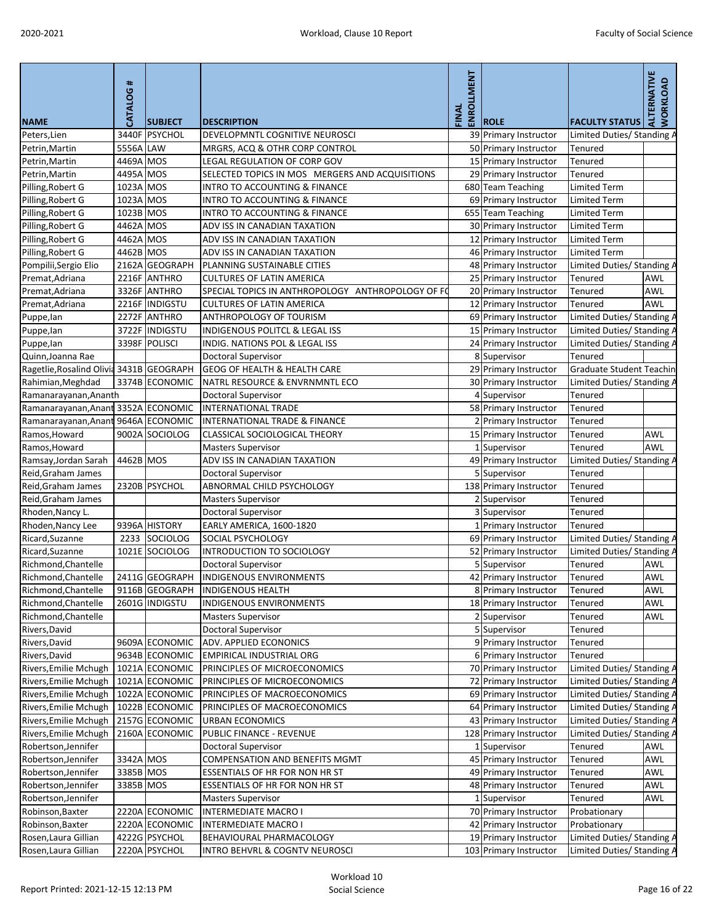| <b>NAME</b>                              | $\textcolor{red}{\textbf{#}}$<br>CATALOG | <b>SUBJECT</b>                   | <b>DESCRIPTION</b>                                      | ENROLLMENT<br>FINAL | <b>ROLE</b>                                     | <b>FACULTY STATUS</b>                                    | ALTERNATIVE<br><b>WORKLOAD</b> |
|------------------------------------------|------------------------------------------|----------------------------------|---------------------------------------------------------|---------------------|-------------------------------------------------|----------------------------------------------------------|--------------------------------|
| Peters, Lien                             |                                          | 3440F PSYCHOL                    | DEVELOPMNTL COGNITIVE NEUROSCI                          |                     | 39 Primary Instructor                           | Limited Duties/Standing A                                |                                |
| Petrin, Martin                           | 5556A LAW                                |                                  | MRGRS, ACQ & OTHR CORP CONTROL                          |                     | 50 Primary Instructor                           | <b>Tenured</b>                                           |                                |
| Petrin, Martin                           | 4469A MOS                                |                                  | LEGAL REGULATION OF CORP GOV                            |                     | 15 Primary Instructor                           | Tenured                                                  |                                |
| Petrin, Martin                           | 4495A MOS                                |                                  | SELECTED TOPICS IN MOS MERGERS AND ACQUISITIONS         |                     | 29 Primary Instructor                           | Tenured                                                  |                                |
| Pilling, Robert G                        | 1023A MOS                                |                                  | <b>INTRO TO ACCOUNTING &amp; FINANCE</b>                |                     | 680 Team Teaching                               | Limited Term                                             |                                |
| Pilling, Robert G                        | 1023A MOS                                |                                  | <b>INTRO TO ACCOUNTING &amp; FINANCE</b>                |                     | 69 Primary Instructor                           | <b>Limited Term</b>                                      |                                |
| Pilling, Robert G                        | 1023B MOS                                |                                  | <b>INTRO TO ACCOUNTING &amp; FINANCE</b>                |                     | 655 Team Teaching                               | <b>Limited Term</b>                                      |                                |
| Pilling, Robert G                        | 4462A MOS                                |                                  | ADV ISS IN CANADIAN TAXATION                            |                     | 30 Primary Instructor                           | <b>Limited Term</b>                                      |                                |
| Pilling, Robert G                        | 4462A MOS                                |                                  | ADV ISS IN CANADIAN TAXATION                            |                     | 12 Primary Instructor                           | <b>Limited Term</b>                                      |                                |
| Pilling, Robert G                        | 4462B MOS                                |                                  | ADV ISS IN CANADIAN TAXATION                            |                     | 46 Primary Instructor                           | <b>Limited Term</b>                                      |                                |
| Pompilii, Sergio Elio                    |                                          | 2162A GEOGRAPH                   | PLANNING SUSTAINABLE CITIES                             |                     | 48 Primary Instructor                           | Limited Duties/Standing A                                |                                |
| Premat, Adriana                          |                                          | 2216F ANTHRO                     | <b>CULTURES OF LATIN AMERICA</b>                        |                     | 25 Primary Instructor                           | Tenured                                                  | <b>AWL</b>                     |
| Premat, Adriana                          |                                          | 3326F ANTHRO                     | SPECIAL TOPICS IN ANTHROPOLOGY ANTHROPOLOGY OF FO       |                     | 20 Primary Instructor                           | Tenured                                                  | <b>AWL</b>                     |
| Premat, Adriana                          |                                          | 2216F INDIGSTU                   | <b>CULTURES OF LATIN AMERICA</b>                        |                     | 12 Primary Instructor                           | Tenured                                                  | <b>AWL</b>                     |
| Puppe, lan                               |                                          | 2272F ANTHRO                     | ANTHROPOLOGY OF TOURISM                                 |                     | 69 Primary Instructor                           | Limited Duties/ Standing A                               |                                |
| Puppe, lan                               |                                          | 3722F INDIGSTU                   | <b>INDIGENOUS POLITCL &amp; LEGAL ISS</b>               |                     | 15 Primary Instructor                           | Limited Duties/Standing A                                |                                |
| Puppe, lan                               |                                          | 3398F POLISCI                    | INDIG. NATIONS POL & LEGAL ISS                          |                     | 24 Primary Instructor                           | Limited Duties/ Standing A                               |                                |
| Quinn, Joanna Rae                        |                                          |                                  | <b>Doctoral Supervisor</b>                              |                     | 8 Supervisor                                    | <b>Tenured</b>                                           |                                |
| Ragetlie, Rosalind Olivid 3431B GEOGRAPH |                                          |                                  | <b>GEOG OF HEALTH &amp; HEALTH CARE</b>                 |                     | 29 Primary Instructor                           | Graduate Student Teachin                                 |                                |
| Rahimian, Meghdad                        |                                          | 3374B ECONOMIC                   | NATRL RESOURCE & ENVRNMNTL ECO                          |                     | 30 Primary Instructor                           | Limited Duties/Standing A                                |                                |
| Ramanarayanan, Ananth                    |                                          |                                  | <b>Doctoral Supervisor</b>                              |                     | 4 Supervisor                                    | Tenured                                                  |                                |
| Ramanarayanan, Anant                     |                                          | 3352A ECONOMIC                   | <b>INTERNATIONAL TRADE</b>                              |                     | 58 Primary Instructor                           | Tenured                                                  |                                |
| Ramanarayanan, Anant                     |                                          | 9646A ECONOMIC                   | <b>INTERNATIONAL TRADE &amp; FINANCE</b>                |                     | 2 Primary Instructor                            | Tenured                                                  |                                |
| Ramos, Howard                            |                                          | 9002A SOCIOLOG                   | CLASSICAL SOCIOLOGICAL THEORY                           |                     | 15 Primary Instructor                           | Tenured                                                  | <b>AWL</b>                     |
| Ramos, Howard                            |                                          |                                  | <b>Masters Supervisor</b>                               |                     | 1 Supervisor                                    | Tenured                                                  | <b>AWL</b>                     |
| Ramsay, Jordan Sarah                     | 4462B MOS                                |                                  | ADV ISS IN CANADIAN TAXATION                            |                     | 49 Primary Instructor                           | Limited Duties/ Standing A                               |                                |
| Reid, Graham James                       |                                          |                                  | Doctoral Supervisor                                     |                     | 5 Supervisor                                    | Tenured                                                  |                                |
| Reid, Graham James                       |                                          | 2320B PSYCHOL                    | ABNORMAL CHILD PSYCHOLOGY                               |                     | 138 Primary Instructor                          | Tenured                                                  |                                |
| Reid, Graham James                       |                                          |                                  | <b>Masters Supervisor</b>                               |                     | 2 Supervisor                                    | Tenured                                                  |                                |
| Rhoden, Nancy L.                         |                                          |                                  | <b>Doctoral Supervisor</b>                              |                     | 3 Supervisor                                    | Tenured                                                  |                                |
| Rhoden, Nancy Lee                        |                                          | 9396A HISTORY                    | EARLY AMERICA, 1600-1820                                |                     | 1 Primary Instructor                            | Tenured                                                  |                                |
| Ricard, Suzanne                          | 2233                                     | SOCIOLOG                         | <b>SOCIAL PSYCHOLOGY</b>                                |                     | 69 Primary Instructor                           | Limited Duties/ Standing A                               |                                |
| Ricard, Suzanne                          |                                          | 1021E SOCIOLOG                   | <b>INTRODUCTION TO SOCIOLOGY</b>                        |                     | 52 Primary Instructor                           | Limited Duties/ Standing A                               |                                |
| Richmond, Chantelle                      |                                          |                                  | <b>Doctoral Supervisor</b>                              |                     | 5 Supervisor                                    | <b>Tenured</b>                                           | <b>AWL</b>                     |
| Richmond, Chantelle                      |                                          | 2411G GEOGRAPH                   | <b>INDIGENOUS ENVIRONMENTS</b>                          |                     | 42 Primary Instructor                           | <b>Tenured</b>                                           | AWL                            |
| Richmond, Chantelle                      |                                          | 9116B GEOGRAPH                   | <b>INDIGENOUS HEALTH</b>                                |                     | 8 Primary Instructor                            | Tenured                                                  | <b>AWL</b>                     |
| Richmond, Chantelle                      |                                          | 2601G INDIGSTU                   | <b>INDIGENOUS ENVIRONMENTS</b>                          |                     | 18 Primary Instructor                           | Tenured                                                  | <b>AWL</b>                     |
| Richmond, Chantelle                      |                                          |                                  |                                                         |                     |                                                 |                                                          | <b>AWL</b>                     |
|                                          |                                          |                                  | <b>Masters Supervisor</b><br><b>Doctoral Supervisor</b> |                     | 2 Supervisor<br>5 Supervisor                    | <b>Tenured</b>                                           |                                |
| Rivers, David                            |                                          | 9609A ECONOMIC                   | ADV. APPLIED ECONONICS                                  |                     |                                                 | Tenured                                                  |                                |
| Rivers, David                            |                                          | 9634B ECONOMIC                   | <b>EMPIRICAL INDUSTRIAL ORG</b>                         |                     | 9 Primary Instructor<br>6 Primary Instructor    | Tenured<br>Tenured                                       |                                |
| Rivers, David                            |                                          | 1021A ECONOMIC                   | PRINCIPLES OF MICROECONOMICS                            |                     | 70 Primary Instructor                           |                                                          |                                |
| Rivers, Emilie Mchugh                    |                                          |                                  |                                                         |                     |                                                 | Limited Duties/Standing A                                |                                |
| Rivers, Emilie Mchugh                    |                                          | 1021A ECONOMIC<br>1022A ECONOMIC | PRINCIPLES OF MICROECONOMICS                            |                     | 72 Primary Instructor                           | <b>Limited Duties/ Standing A</b>                        |                                |
| Rivers, Emilie Mchugh                    |                                          |                                  | PRINCIPLES OF MACROECONOMICS                            |                     | 69 Primary Instructor                           | Limited Duties/Standing A                                |                                |
| Rivers, Emilie Mchugh                    |                                          | 1022B ECONOMIC                   | PRINCIPLES OF MACROECONOMICS                            |                     | 64 Primary Instructor                           | Limited Duties/Standing A                                |                                |
| Rivers, Emilie Mchugh                    |                                          | 2157G ECONOMIC                   | <b>URBAN ECONOMICS</b>                                  |                     | 43 Primary Instructor                           | Limited Duties/ Standing A                               |                                |
| Rivers, Emilie Mchugh                    |                                          | 2160A ECONOMIC                   | PUBLIC FINANCE - REVENUE                                |                     | 128 Primary Instructor                          | Limited Duties/Standing A                                |                                |
| Robertson, Jennifer                      |                                          |                                  | Doctoral Supervisor                                     |                     | 1 Supervisor                                    | <b>Tenured</b>                                           | <b>AWL</b>                     |
| Robertson, Jennifer                      | 3342A MOS                                |                                  | <b>COMPENSATION AND BENEFITS MGMT</b>                   |                     | 45 Primary Instructor                           | Tenured                                                  | <b>AWL</b>                     |
| Robertson, Jennifer                      | 3385B MOS                                |                                  | ESSENTIALS OF HR FOR NON HR ST                          |                     | 49 Primary Instructor                           | Tenured                                                  | <b>AWL</b>                     |
| Robertson, Jennifer                      | 3385B MOS                                |                                  | <b>ESSENTIALS OF HR FOR NON HR ST</b>                   |                     | 48 Primary Instructor                           | Tenured                                                  | <b>AWL</b>                     |
| Robertson, Jennifer                      |                                          |                                  | <b>Masters Supervisor</b>                               |                     | 1 Supervisor                                    | Tenured                                                  | <b>AWL</b>                     |
| Robinson, Baxter                         |                                          | 2220A ECONOMIC                   | <b>INTERMEDIATE MACRO I</b>                             |                     | 70 Primary Instructor                           | Probationary                                             |                                |
| Robinson, Baxter                         |                                          | 2220A ECONOMIC                   | <b>INTERMEDIATE MACRO I</b>                             |                     | 42 Primary Instructor                           | Probationary                                             |                                |
| Rosen, Laura Gillian                     |                                          | 4222G PSYCHOL<br>2220A PSYCHOL   | BEHAVIOURAL PHARMACOLOGY                                |                     | 19 Primary Instructor<br>103 Primary Instructor | Limited Duties/ Standing A<br>Limited Duties/ Standing A |                                |
| Rosen, Laura Gillian                     |                                          |                                  | INTRO BEHVRL & COGNTV NEUROSCI                          |                     |                                                 |                                                          |                                |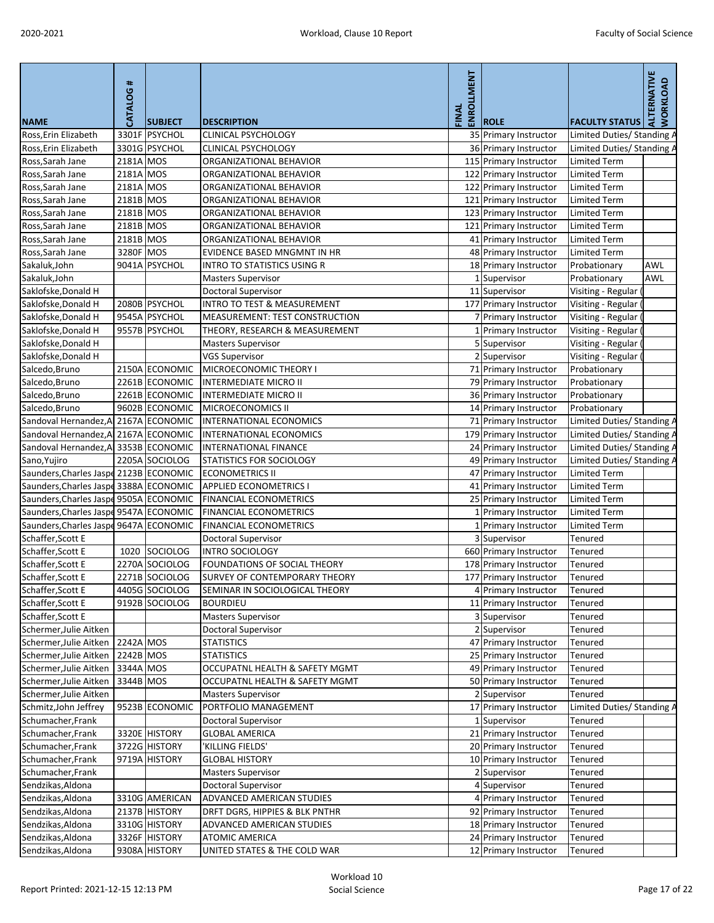| <b>NAME</b>                            | <b>CATALOG#</b> | <b>SUBJECT</b> | <b>DESCRIPTION</b>                     | ENROLLMENT<br>FINAL | <b>ROLE</b>            | <b>FACULTY STATUS</b>      | ALTERNATIVE<br><b>WORKLOAD</b> |
|----------------------------------------|-----------------|----------------|----------------------------------------|---------------------|------------------------|----------------------------|--------------------------------|
| Ross, Erin Elizabeth                   |                 | 3301F PSYCHOL  | <b>CLINICAL PSYCHOLOGY</b>             |                     | 35 Primary Instructor  | Limited Duties/ Standing / |                                |
| Ross, Erin Elizabeth                   |                 | 3301G PSYCHOL  | <b>CLINICAL PSYCHOLOGY</b>             |                     | 36 Primary Instructor  | Limited Duties/ Standing A |                                |
| Ross, Sarah Jane                       | 2181A MOS       |                | ORGANIZATIONAL BEHAVIOR                |                     | 115 Primary Instructor | <b>Limited Term</b>        |                                |
| Ross, Sarah Jane                       | 2181A MOS       |                | ORGANIZATIONAL BEHAVIOR                |                     | 122 Primary Instructor | <b>Limited Term</b>        |                                |
| Ross, Sarah Jane                       | 2181A MOS       |                | ORGANIZATIONAL BEHAVIOR                |                     | 122 Primary Instructor | <b>Limited Term</b>        |                                |
| Ross, Sarah Jane                       | 2181B MOS       |                | ORGANIZATIONAL BEHAVIOR                |                     | 121 Primary Instructor | <b>Limited Term</b>        |                                |
| Ross, Sarah Jane                       | 2181B MOS       |                | ORGANIZATIONAL BEHAVIOR                |                     | 123 Primary Instructor | <b>Limited Term</b>        |                                |
| Ross, Sarah Jane                       | 2181B MOS       |                | ORGANIZATIONAL BEHAVIOR                |                     | 121 Primary Instructor | <b>Limited Term</b>        |                                |
| Ross, Sarah Jane                       | 2181B MOS       |                | ORGANIZATIONAL BEHAVIOR                |                     | 41 Primary Instructor  | <b>Limited Term</b>        |                                |
| Ross, Sarah Jane                       | 3280F MOS       |                | EVIDENCE BASED MNGMNT IN HR            |                     | 48 Primary Instructor  | <b>Limited Term</b>        |                                |
| Sakaluk, John                          |                 | 9041A PSYCHOL  | <b>INTRO TO STATISTICS USING R</b>     |                     | 18 Primary Instructor  | Probationary               | <b>AWL</b>                     |
| Sakaluk, John                          |                 |                | <b>Masters Supervisor</b>              |                     | 1 Supervisor           | Probationary               | <b>AWL</b>                     |
| Saklofske, Donald H                    |                 |                | <b>Doctoral Supervisor</b>             |                     | 11 Supervisor          | Visiting - Regular         |                                |
| Saklofske, Donald H                    |                 | 2080B PSYCHOL  | <b>INTRO TO TEST &amp; MEASUREMENT</b> |                     | 177 Primary Instructor | Visiting - Regular (       |                                |
| Saklofske, Donald H                    |                 | 9545A PSYCHOL  | <b>MEASUREMENT: TEST CONSTRUCTION</b>  |                     | 7 Primary Instructor   | Visiting - Regular (       |                                |
| Saklofske, Donald H                    |                 | 9557B PSYCHOL  | THEORY, RESEARCH & MEASUREMENT         |                     | 1 Primary Instructor   | Visiting - Regular (       |                                |
| Saklofske, Donald H                    |                 |                | <b>Masters Supervisor</b>              |                     | 5 Supervisor           | Visiting - Regular (       |                                |
| Saklofske, Donald H                    |                 |                | <b>VGS Supervisor</b>                  |                     | 2 Supervisor           | Visiting - Regular (       |                                |
| Salcedo, Bruno                         |                 | 2150A ECONOMIC | MICROECONOMIC THEORY I                 |                     | 71 Primary Instructor  | Probationary               |                                |
| Salcedo, Bruno                         |                 | 2261B ECONOMIC | <b>INTERMEDIATE MICRO II</b>           |                     | 79 Primary Instructor  | Probationary               |                                |
| Salcedo, Bruno                         |                 | 2261B ECONOMIC | <b>INTERMEDIATE MICRO II</b>           |                     | 36 Primary Instructor  | Probationary               |                                |
| Salcedo, Bruno                         |                 | 9602B ECONOMIC | MICROECONOMICS II                      |                     | 14 Primary Instructor  | Probationary               |                                |
| Sandoval Hernandez, A 2167A ECONOMIC   |                 |                | <b>INTERNATIONAL ECONOMICS</b>         |                     | 71 Primary Instructor  | Limited Duties/ Standing A |                                |
| Sandoval Hernandez, A 2167A ECONOMIC   |                 |                | INTERNATIONAL ECONOMICS                |                     | 179 Primary Instructor | Limited Duties/ Standing A |                                |
| Sandoval Hernandez, A 3353B ECONOMIC   |                 |                | <b>INTERNATIONAL FINANCE</b>           |                     | 24 Primary Instructor  | Limited Duties/ Standing A |                                |
| Sano, Yujiro                           |                 | 2205A SOCIOLOG | STATISTICS FOR SOCIOLOGY               |                     | 49 Primary Instructor  | Limited Duties/ Standing A |                                |
| Saunders, Charles Jaspe 2123B ECONOMIC |                 |                | <b>ECONOMETRICS II</b>                 |                     | 47 Primary Instructor  | <b>Limited Term</b>        |                                |
| Saunders, Charles Jaspe 3388A ECONOMIC |                 |                | <b>APPLIED ECONOMETRICS I</b>          |                     | 41 Primary Instructor  | <b>Limited Term</b>        |                                |
| Saunders, Charles Jaspe 9505A ECONOMIC |                 |                | <b>FINANCIAL ECONOMETRICS</b>          |                     | 25 Primary Instructor  | <b>Limited Term</b>        |                                |
| Saunders, Charles Jaspe 9547A ECONOMIC |                 |                | <b>FINANCIAL ECONOMETRICS</b>          |                     | 1 Primary Instructor   | <b>Limited Term</b>        |                                |
| Saunders, Charles Jaspe 9647A ECONOMIC |                 |                | <b>FINANCIAL ECONOMETRICS</b>          |                     | 1 Primary Instructor   | <b>Limited Term</b>        |                                |
| Schaffer, Scott E                      |                 |                | <b>Doctoral Supervisor</b>             |                     | 3 Supervisor           | Tenured                    |                                |
| Schaffer, Scott E                      | 1020            | SOCIOLOG       | <b>INTRO SOCIOLOGY</b>                 |                     | 660 Primary Instructor | Tenured                    |                                |
| Schaffer, Scott E                      |                 | 2270A SOCIOLOG | FOUNDATIONS OF SOCIAL THEORY           |                     | 178 Primary Instructor | Tenured                    |                                |
| Schaffer, Scott E                      |                 | 2271B SOCIOLOG | <b>SURVEY OF CONTEMPORARY THEORY</b>   |                     | 177 Primary Instructor | Tenured                    |                                |
| Schaffer, Scott E                      |                 | 4405G SOCIOLOG | SEMINAR IN SOCIOLOGICAL THEORY         |                     | 4 Primary Instructor   | <b>Tenured</b>             |                                |
| Schaffer, Scott E                      |                 | 9192B SOCIOLOG | <b>BOURDIEU</b>                        |                     | 11 Primary Instructor  | Tenured                    |                                |
| Schaffer, Scott E                      |                 |                | <b>Masters Supervisor</b>              |                     | 3 Supervisor           | <b>Tenured</b>             |                                |
| Schermer, Julie Aitken                 |                 |                | Doctoral Supervisor                    |                     | 2 Supervisor           | Tenured                    |                                |
| Schermer, Julie Aitken                 | 2242A MOS       |                | <b>STATISTICS</b>                      |                     | 47 Primary Instructor  | Tenured                    |                                |
| Schermer, Julie Aitken                 | 2242B MOS       |                | <b>STATISTICS</b>                      |                     | 25 Primary Instructor  | <b>Tenured</b>             |                                |
| Schermer, Julie Aitken                 | 3344A MOS       |                | OCCUPATNL HEALTH & SAFETY MGMT         |                     | 49 Primary Instructor  | Tenured                    |                                |
| Schermer, Julie Aitken                 | 3344B MOS       |                | OCCUPATNL HEALTH & SAFETY MGMT         |                     | 50 Primary Instructor  | Tenured                    |                                |
| Schermer, Julie Aitken                 |                 |                | <b>Masters Supervisor</b>              |                     | 2 Supervisor           | <b>Tenured</b>             |                                |
| Schmitz, John Jeffrey                  |                 | 9523B ECONOMIC | PORTFOLIO MANAGEMENT                   |                     | 17 Primary Instructor  | Limited Duties/ Standing A |                                |
| Schumacher, Frank                      |                 |                | <b>Doctoral Supervisor</b>             |                     | 1 Supervisor           | Tenured                    |                                |
| Schumacher, Frank                      |                 | 3320E HISTORY  | <b>GLOBAL AMERICA</b>                  |                     | 21 Primary Instructor  | Tenured                    |                                |
| Schumacher, Frank                      |                 | 3722G HISTORY  | 'KILLING FIELDS'                       |                     | 20 Primary Instructor  | Tenured                    |                                |
| Schumacher, Frank                      |                 | 9719A HISTORY  | <b>GLOBAL HISTORY</b>                  |                     | 10 Primary Instructor  | Tenured                    |                                |
| Schumacher, Frank                      |                 |                | <b>Masters Supervisor</b>              |                     | 2 Supervisor           | Tenured                    |                                |
| Sendzikas, Aldona                      |                 |                | <b>Doctoral Supervisor</b>             |                     | 4 Supervisor           | Tenured                    |                                |
| Sendzikas, Aldona                      |                 | 3310G AMERICAN | <b>ADVANCED AMERICAN STUDIES</b>       |                     | 4 Primary Instructor   | Tenured                    |                                |
| Sendzikas, Aldona                      |                 | 2137B HISTORY  | DRFT DGRS, HIPPIES & BLK PNTHR         |                     | 92 Primary Instructor  | Tenured                    |                                |
| Sendzikas, Aldona                      |                 | 3310G HISTORY  | <b>ADVANCED AMERICAN STUDIES</b>       |                     | 18 Primary Instructor  | Tenured                    |                                |
| Sendzikas, Aldona                      |                 | 3326F HISTORY  | <b>ATOMIC AMERICA</b>                  |                     | 24 Primary Instructor  | <b>Tenured</b>             |                                |
| Sendzikas, Aldona                      |                 | 9308A HISTORY  | UNITED STATES & THE COLD WAR           |                     | 12 Primary Instructor  | Tenured                    |                                |
|                                        |                 |                |                                        |                     |                        |                            |                                |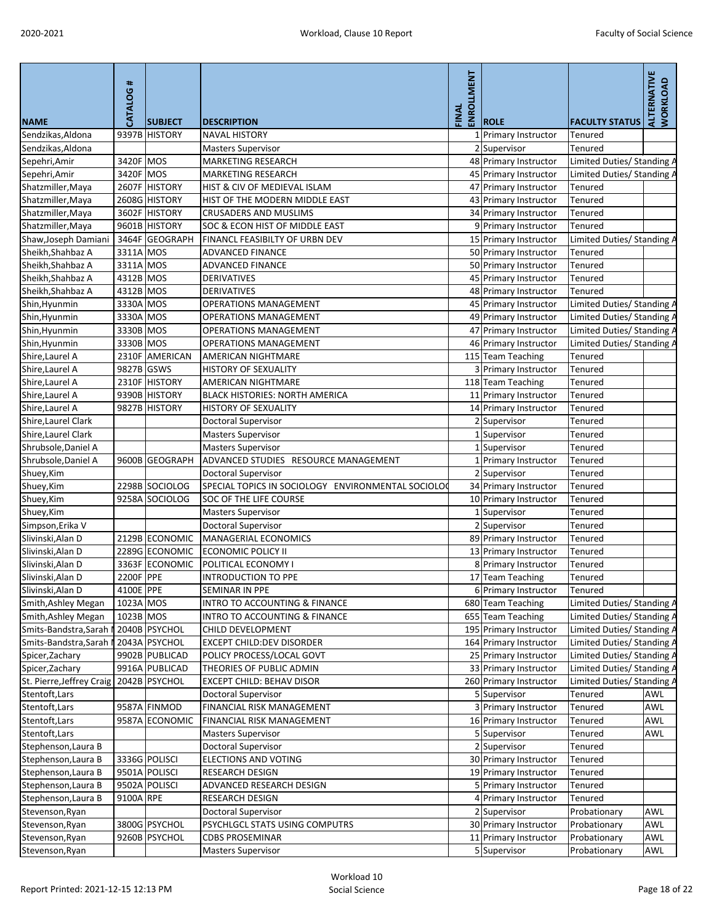|                                             | CATALOG#   |                |                                                    | <b>ENROLLMENT</b><br>FINAL |                        |                            | ALTERNATIVE<br>WORKLOAD |
|---------------------------------------------|------------|----------------|----------------------------------------------------|----------------------------|------------------------|----------------------------|-------------------------|
| <b>NAME</b>                                 |            | <b>SUBJECT</b> | <b>DESCRIPTION</b>                                 |                            | <b>ROLE</b>            | <b>FACULTY STATUS</b>      |                         |
| Sendzikas, Aldona                           |            | 9397B HISTORY  | <b>NAVAL HISTORY</b>                               |                            | 1 Primary Instructor   | Tenured                    |                         |
| Sendzikas, Aldona                           |            |                | <b>Masters Supervisor</b>                          |                            | Supervisor             | Tenured                    |                         |
| Sepehri, Amir                               | 3420F MOS  |                | <b>MARKETING RESEARCH</b>                          |                            | 48 Primary Instructor  | Limited Duties/ Standing A |                         |
| Sepehri, Amir                               | 3420F MOS  |                | <b>MARKETING RESEARCH</b>                          |                            | 45 Primary Instructor  | Limited Duties/ Standing A |                         |
| Shatzmiller, Maya                           |            | 2607F HISTORY  | HIST & CIV OF MEDIEVAL ISLAM                       |                            | 47 Primary Instructor  | <b>Tenured</b>             |                         |
| Shatzmiller, Maya                           |            | 2608G HISTORY  | HIST OF THE MODERN MIDDLE EAST                     |                            | 43 Primary Instructor  | Tenured                    |                         |
| Shatzmiller, Maya                           |            | 3602F HISTORY  | <b>CRUSADERS AND MUSLIMS</b>                       |                            | 34 Primary Instructor  | Tenured                    |                         |
| Shatzmiller, Maya                           |            | 9601B HISTORY  | SOC & ECON HIST OF MIDDLE EAST                     |                            | 9 Primary Instructor   | Tenured                    |                         |
| Shaw, Joseph Damiani                        |            | 3464F GEOGRAPH | FINANCL FEASIBILTY OF URBN DEV                     |                            | 15 Primary Instructor  | Limited Duties/ Standing A |                         |
| Sheikh, Shahbaz A                           | 3311A MOS  |                | <b>ADVANCED FINANCE</b>                            |                            | 50 Primary Instructor  | <b>Tenured</b>             |                         |
| Sheikh, Shahbaz A                           | 3311A MOS  |                | <b>ADVANCED FINANCE</b>                            |                            | 50 Primary Instructor  | Tenured                    |                         |
| Sheikh, Shahbaz A                           | 4312B MOS  |                | <b>DERIVATIVES</b>                                 |                            | 45 Primary Instructor  | Tenured                    |                         |
| Sheikh, Shahbaz A                           | 4312B MOS  |                | <b>DERIVATIVES</b>                                 |                            | 48 Primary Instructor  | Tenured                    |                         |
| Shin, Hyunmin                               | 3330A MOS  |                | <b>OPERATIONS MANAGEMENT</b>                       |                            | 45 Primary Instructor  | Limited Duties/ Standing A |                         |
| Shin, Hyunmin                               | 3330A MOS  |                | <b>OPERATIONS MANAGEMENT</b>                       |                            | 49 Primary Instructor  | Limited Duties/ Standing A |                         |
| Shin, Hyunmin                               | 3330B MOS  |                | <b>OPERATIONS MANAGEMENT</b>                       |                            | 47 Primary Instructor  | Limited Duties/ Standing A |                         |
| Shin, Hyunmin                               | 3330B MOS  |                | <b>OPERATIONS MANAGEMENT</b>                       |                            | 46 Primary Instructor  | Limited Duties/ Standing A |                         |
| Shire, Laurel A                             |            | 2310F AMERICAN | <b>AMERICAN NIGHTMARE</b>                          |                            | 115 Team Teaching      | <b>Tenured</b>             |                         |
| Shire, Laurel A                             | 9827B GSWS |                | <b>HISTORY OF SEXUALITY</b>                        |                            | 3 Primary Instructor   | <b>Tenured</b>             |                         |
| Shire, Laurel A                             |            | 2310F HISTORY  | AMERICAN NIGHTMARE                                 |                            | 118 Team Teaching      | <b>Tenured</b>             |                         |
| Shire, Laurel A                             |            | 9390B HISTORY  | <b>BLACK HISTORIES: NORTH AMERICA</b>              |                            | 11 Primary Instructor  | Tenured                    |                         |
| Shire, Laurel A                             |            | 9827B HISTORY  | <b>HISTORY OF SEXUALITY</b>                        |                            | 14 Primary Instructor  | Tenured                    |                         |
| Shire, Laurel Clark                         |            |                | <b>Doctoral Supervisor</b>                         |                            | 2 Supervisor           | Tenured                    |                         |
| Shire, Laurel Clark                         |            |                | <b>Masters Supervisor</b>                          |                            | Supervisor             | Tenured                    |                         |
| Shrubsole, Daniel A                         |            |                | <b>Masters Supervisor</b>                          |                            | Supervisor             | Tenured                    |                         |
| Shrubsole, Daniel A                         |            | 9600B GEOGRAPH | ADVANCED STUDIES RESOURCE MANAGEMENT               |                            | 1 Primary Instructor   | Tenured                    |                         |
| Shuey, Kim                                  |            |                | <b>Doctoral Supervisor</b>                         |                            | 2 Supervisor           | Tenured                    |                         |
| Shuey, Kim                                  |            | 2298B SOCIOLOG | SPECIAL TOPICS IN SOCIOLOGY ENVIRONMENTAL SOCIOLOC |                            | 34 Primary Instructor  | Tenured                    |                         |
| Shuey, Kim                                  |            | 9258A SOCIOLOG | <b>SOC OF THE LIFE COURSE</b>                      |                            | 10 Primary Instructor  | Tenured                    |                         |
| Shuey, Kim                                  |            |                | <b>Masters Supervisor</b>                          |                            | 1 Supervisor           | <b>Tenured</b>             |                         |
| Simpson, Erika V                            |            |                | <b>Doctoral Supervisor</b>                         |                            | 2 Supervisor           | Tenured                    |                         |
| Slivinski, Alan D                           |            | 2129B ECONOMIC | <b>MANAGERIAL ECONOMICS</b>                        |                            | 89 Primary Instructor  | <b>Tenured</b>             |                         |
| Slivinski, Alan D                           |            | 2289G ECONOMIC | <b>ECONOMIC POLICY II</b>                          |                            | 13 Primary Instructor  | Tenured                    |                         |
| Slivinski, Alan D                           |            | 3363F ECONOMIC | POLITICAL ECONOMY I                                |                            | 8 Primary Instructor   | <b>Tenured</b>             |                         |
| Slivinski, Alan D                           | 2200F PPE  |                | <b>INTRODUCTION TO PPE</b>                         |                            | 17 Team Teaching       | <b>Tenured</b>             |                         |
| Slivinski, Alan D                           | 4100E PPE  |                | <b>SEMINAR IN PPE</b>                              |                            | 6 Primary Instructor   | Tenured                    |                         |
| Smith, Ashley Megan                         | 1023A MOS  |                | <b>INTRO TO ACCOUNTING &amp; FINANCE</b>           |                            | 680 Team Teaching      |                            |                         |
|                                             | 1023B MOS  |                |                                                    |                            |                        | Limited Duties/ Standing A |                         |
| Smith, Ashley Megan                         |            |                | <b>INTRO TO ACCOUNTING &amp; FINANCE</b>           |                            | 655 Team Teaching      | Limited Duties/ Standing A |                         |
| Smits-Bandstra, Sarah                       |            | 2040B PSYCHOL  | CHILD DEVELOPMENT                                  |                            | 195 Primary Instructor | Limited Duties/ Standing A |                         |
| Smits-Bandstra, Sarah N                     |            | 2043A PSYCHOL  | <b>EXCEPT CHILD:DEV DISORDER</b>                   |                            | 164 Primary Instructor | Limited Duties/ Standing A |                         |
| Spicer, Zachary                             |            | 9902B PUBLICAD | POLICY PROCESS/LOCAL GOVT                          |                            | 25 Primary Instructor  | Limited Duties/ Standing A |                         |
| Spicer, Zachary                             |            | 9916A PUBLICAD | THEORIES OF PUBLIC ADMIN                           |                            | 33 Primary Instructor  | Limited Duties/ Standing A |                         |
| St. Pierre, Jeffrey Craig   2042B   PSYCHOL |            |                | <b>EXCEPT CHILD: BEHAV DISOR</b>                   |                            | 260 Primary Instructor | Limited Duties/ Standing A |                         |
| Stentoft, Lars                              |            |                | <b>Doctoral Supervisor</b>                         |                            | 5 Supervisor           | <b>Tenured</b>             | <b>AWL</b>              |
| Stentoft, Lars                              |            | 9587A FINMOD   | <b>FINANCIAL RISK MANAGEMENT</b>                   |                            | 3 Primary Instructor   | <b>Tenured</b>             | <b>AWL</b>              |
| Stentoft, Lars                              |            | 9587A ECONOMIC | FINANCIAL RISK MANAGEMENT                          |                            | 16 Primary Instructor  | Tenured                    | <b>AWL</b>              |
| Stentoft, Lars                              |            |                | <b>Masters Supervisor</b>                          |                            | 5 Supervisor           | Tenured                    | <b>AWL</b>              |
| Stephenson, Laura B                         |            |                | <b>Doctoral Supervisor</b>                         |                            | 2 Supervisor           | Tenured                    |                         |
| Stephenson, Laura B                         |            | 3336G POLISCI  | <b>ELECTIONS AND VOTING</b>                        |                            | 30 Primary Instructor  | Tenured                    |                         |
| Stephenson, Laura B                         |            | 9501A POLISCI  | <b>RESEARCH DESIGN</b>                             |                            | 19 Primary Instructor  | Tenured                    |                         |
| Stephenson, Laura B                         |            | 9502A POLISCI  | ADVANCED RESEARCH DESIGN                           |                            | 5 Primary Instructor   | <b>Tenured</b>             |                         |
| Stephenson, Laura B                         | 9100A RPE  |                | <b>RESEARCH DESIGN</b>                             |                            | 4 Primary Instructor   | <b>Tenured</b>             |                         |
| Stevenson, Ryan                             |            |                | Doctoral Supervisor                                |                            | Supervisor             | Probationary               | <b>AWL</b>              |
| Stevenson, Ryan                             |            | 3800G PSYCHOL  | PSYCHLGCL STATS USING COMPUTRS                     |                            | 30 Primary Instructor  | Probationary               | <b>AWL</b>              |
| Stevenson, Ryan                             |            | 9260B PSYCHOL  | <b>CDBS PROSEMINAR</b>                             |                            | 11 Primary Instructor  | Probationary               | AWL                     |
| Stevenson, Ryan                             |            |                | <b>Masters Supervisor</b>                          |                            | 5 Supervisor           | Probationary               | AWL                     |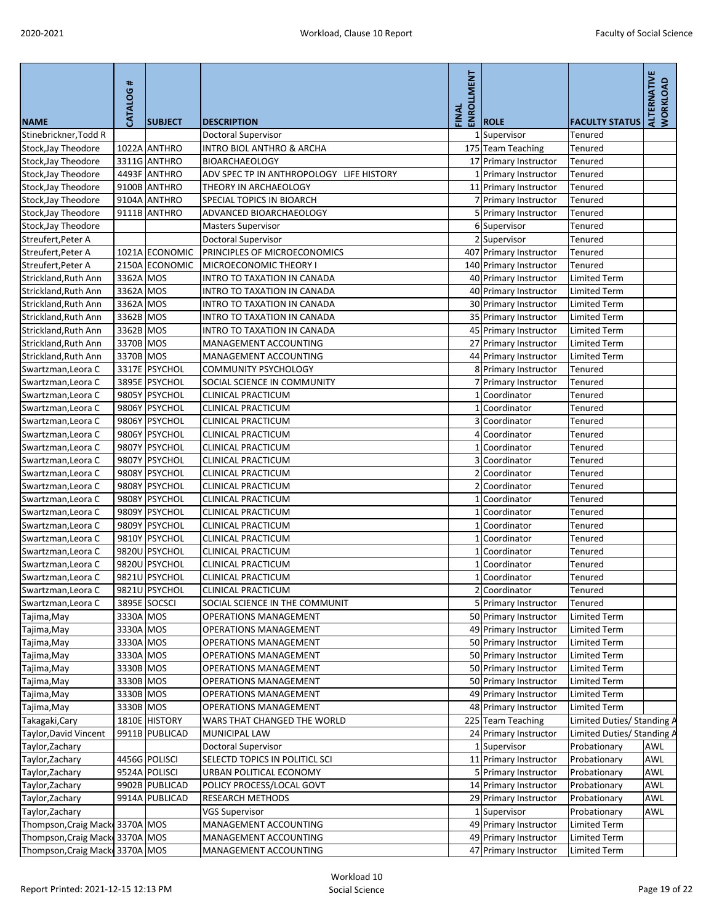|                                 | CATALOG#  |                |                                          | ENROLLMENT |                        |                            | ALTERNATIVE<br><b>WORKLOAD</b> |
|---------------------------------|-----------|----------------|------------------------------------------|------------|------------------------|----------------------------|--------------------------------|
| <b>NAME</b>                     |           | <b>SUBJECT</b> | <b>DESCRIPTION</b>                       | FINAL      | <b>ROLE</b>            | <b>FACULTY STATUS</b>      |                                |
| Stinebrickner, Todd R           |           |                | Doctoral Supervisor                      |            | 1 Supervisor           | Tenured                    |                                |
| Stock, Jay Theodore             |           | 1022A ANTHRO   | INTRO BIOL ANTHRO & ARCHA                |            | 175 Team Teaching      | Tenured                    |                                |
| Stock, Jay Theodore             |           | 3311G ANTHRO   | <b>BIOARCHAEOLOGY</b>                    |            | 17 Primary Instructor  | Tenured                    |                                |
| Stock, Jay Theodore             |           | 4493F ANTHRO   | ADV SPEC TP IN ANTHROPOLOGY LIFE HISTORY |            | 1 Primary Instructor   | Tenured                    |                                |
| Stock, Jay Theodore             |           | 9100B ANTHRO   | THEORY IN ARCHAEOLOGY                    |            | 11 Primary Instructor  | Tenured                    |                                |
| Stock, Jay Theodore             |           | 9104A ANTHRO   | <b>SPECIAL TOPICS IN BIOARCH</b>         |            | 7 Primary Instructor   | Tenured                    |                                |
| Stock, Jay Theodore             |           | 9111B ANTHRO   | ADVANCED BIOARCHAEOLOGY                  |            | 5 Primary Instructor   | Tenured                    |                                |
| Stock, Jay Theodore             |           |                | <b>Masters Supervisor</b>                |            | 6 Supervisor           | Tenured                    |                                |
| Streufert, Peter A              |           |                | <b>Doctoral Supervisor</b>               |            | 2 Supervisor           | Tenured                    |                                |
| Streufert, Peter A              |           | 1021A ECONOMIC | PRINCIPLES OF MICROECONOMICS             |            | 407 Primary Instructor | Tenured                    |                                |
| Streufert, Peter A              |           | 2150A ECONOMIC | MICROECONOMIC THEORY I                   |            | 140 Primary Instructor | Tenured                    |                                |
| Strickland, Ruth Ann            | 3362A MOS |                | INTRO TO TAXATION IN CANADA              |            | 40 Primary Instructor  | <b>Limited Term</b>        |                                |
| Strickland, Ruth Ann            | 3362A MOS |                | INTRO TO TAXATION IN CANADA              |            | 40 Primary Instructor  | <b>Limited Term</b>        |                                |
| Strickland, Ruth Ann            | 3362A MOS |                | <b>INTRO TO TAXATION IN CANADA</b>       |            | 30 Primary Instructor  | Limited Term               |                                |
| Strickland, Ruth Ann            | 3362B MOS |                | <b>INTRO TO TAXATION IN CANADA</b>       |            | 35 Primary Instructor  | Limited Term               |                                |
| Strickland, Ruth Ann            | 3362B MOS |                | INTRO TO TAXATION IN CANADA              |            | 45 Primary Instructor  | <b>Limited Term</b>        |                                |
| Strickland, Ruth Ann            | 3370B MOS |                | MANAGEMENT ACCOUNTING                    |            | 27 Primary Instructor  | <b>Limited Term</b>        |                                |
| Strickland, Ruth Ann            | 3370B MOS |                | MANAGEMENT ACCOUNTING                    |            | 44 Primary Instructor  | <b>Limited Term</b>        |                                |
| Swartzman, Leora C              |           | 3317E PSYCHOL  | <b>COMMUNITY PSYCHOLOGY</b>              |            | 8 Primary Instructor   | Tenured                    |                                |
| Swartzman, Leora C              |           | 3895E PSYCHOL  | SOCIAL SCIENCE IN COMMUNITY              |            | 7 Primary Instructor   | Tenured                    |                                |
| Swartzman, Leora C              |           | 9805Y PSYCHOL  | <b>CLINICAL PRACTICUM</b>                |            | 1 Coordinator          | Tenured                    |                                |
| Swartzman, Leora C              |           | 9806Y PSYCHOL  | <b>CLINICAL PRACTICUM</b>                |            | 1 Coordinator          | Tenured                    |                                |
| Swartzman, Leora C              |           | 9806Y PSYCHOL  | <b>CLINICAL PRACTICUM</b>                |            | 3 Coordinator          | <b>Tenured</b>             |                                |
| Swartzman, Leora C              |           | 9806Y PSYCHOL  | <b>CLINICAL PRACTICUM</b>                |            | 4 Coordinator          | Tenured                    |                                |
| Swartzman, Leora C              |           | 9807Y PSYCHOL  | <b>CLINICAL PRACTICUM</b>                |            | 1 Coordinator          | Tenured                    |                                |
| Swartzman, Leora C              |           | 9807Y PSYCHOL  | <b>CLINICAL PRACTICUM</b>                |            | 3 Coordinator          | Tenured                    |                                |
| Swartzman, Leora C              |           | 9808Y PSYCHOL  | <b>CLINICAL PRACTICUM</b>                |            | 2 Coordinator          | Tenured                    |                                |
| Swartzman, Leora C              |           | 9808Y PSYCHOL  | <b>CLINICAL PRACTICUM</b>                |            | 2 Coordinator          | Tenured                    |                                |
| Swartzman, Leora C              |           | 9808Y PSYCHOL  | <b>CLINICAL PRACTICUM</b>                |            | 1 Coordinator          | Tenured                    |                                |
| Swartzman, Leora C              |           | 9809Y PSYCHOL  | <b>CLINICAL PRACTICUM</b>                |            | 1 Coordinator          | Tenured                    |                                |
| Swartzman, Leora C              |           | 9809Y PSYCHOL  | <b>CLINICAL PRACTICUM</b>                |            | 1 Coordinator          | Tenured                    |                                |
| Swartzman, Leora C              |           | 9810Y PSYCHOL  | <b>CLINICAL PRACTICUM</b>                |            | 1 Coordinator          | Tenured                    |                                |
| Swartzman, Leora C              |           | 9820U PSYCHOL  | <b>CLINICAL PRACTICUM</b>                |            | 1 Coordinator          | Tenured                    |                                |
| Swartzman, Leora C              |           | 9820U PSYCHOL  | <b>CLINICAL PRACTICUM</b>                |            | 1 Coordinator          | Tenured                    |                                |
| Swartzman, Leora C              |           | 9821U PSYCHOL  | <b>CLINICAL PRACTICUM</b>                |            | 1 Coordinator          | Tenured                    |                                |
| Swartzman, Leora C              |           | 9821U PSYCHOL  | <b>CLINICAL PRACTICUM</b>                |            | 2 Coordinator          | Tenured                    |                                |
| Swartzman, Leora C              |           | 3895E SOCSCI   | SOCIAL SCIENCE IN THE COMMUNIT           |            | 5 Primary Instructor   | Tenured                    |                                |
| Tajima, May                     | 3330A MOS |                | <b>OPERATIONS MANAGEMENT</b>             |            | 50 Primary Instructor  | <b>Limited Term</b>        |                                |
| Tajima, May                     | 3330A MOS |                | <b>OPERATIONS MANAGEMENT</b>             |            | 49 Primary Instructor  | Limited Term               |                                |
| Tajima, May                     | 3330A MOS |                | <b>OPERATIONS MANAGEMENT</b>             |            | 50 Primary Instructor  | <b>Limited Term</b>        |                                |
| Tajima, May                     | 3330A MOS |                | <b>OPERATIONS MANAGEMENT</b>             |            | 50 Primary Instructor  | <b>Limited Term</b>        |                                |
| Tajima, May                     | 3330B MOS |                | <b>OPERATIONS MANAGEMENT</b>             |            | 50 Primary Instructor  | <b>Limited Term</b>        |                                |
| Tajima, May                     | 3330B MOS |                | <b>OPERATIONS MANAGEMENT</b>             |            | 50 Primary Instructor  | <b>Limited Term</b>        |                                |
| Tajima, May                     | 3330B MOS |                | <b>OPERATIONS MANAGEMENT</b>             |            | 49 Primary Instructor  | <b>Limited Term</b>        |                                |
| Tajima, May                     | 3330B MOS |                | <b>OPERATIONS MANAGEMENT</b>             |            | 48 Primary Instructor  | Limited Term               |                                |
| Takagaki, Cary                  |           | 1810E HISTORY  | WARS THAT CHANGED THE WORLD              |            | 225 Team Teaching      | Limited Duties/ Standing A |                                |
| Taylor, David Vincent           |           | 9911B PUBLICAD | MUNICIPAL LAW                            |            | 24 Primary Instructor  | Limited Duties/ Standing A |                                |
| Taylor, Zachary                 |           |                | Doctoral Supervisor                      |            | 1 Supervisor           | Probationary               | <b>AWL</b>                     |
| Taylor, Zachary                 |           | 4456G POLISCI  | SELECTD TOPICS IN POLITICL SCI           |            | 11 Primary Instructor  | Probationary               | <b>AWL</b>                     |
| Taylor, Zachary                 |           | 9524A POLISCI  | URBAN POLITICAL ECONOMY                  |            | 5 Primary Instructor   | Probationary               | <b>AWL</b>                     |
| Taylor, Zachary                 |           | 9902B PUBLICAD | POLICY PROCESS/LOCAL GOVT                |            | 14 Primary Instructor  | Probationary               | <b>AWL</b>                     |
| Taylor, Zachary                 |           | 9914A PUBLICAD | <b>RESEARCH METHODS</b>                  |            | 29 Primary Instructor  | Probationary               | <b>AWL</b>                     |
| Taylor, Zachary                 |           |                | <b>VGS Supervisor</b>                    |            | 1 Supervisor           | Probationary               | <b>AWL</b>                     |
| Thompson, Craig Mack 3370A MOS  |           |                | MANAGEMENT ACCOUNTING                    |            | 49 Primary Instructor  | <b>Limited Term</b>        |                                |
| Thompson, Craig Macke 3370A MOS |           |                | MANAGEMENT ACCOUNTING                    |            | 49 Primary Instructor  | Limited Term               |                                |
| Thompson, Craig Macke 3370A MOS |           |                | MANAGEMENT ACCOUNTING                    |            | 47 Primary Instructor  | Limited Term               |                                |
|                                 |           |                |                                          |            |                        |                            |                                |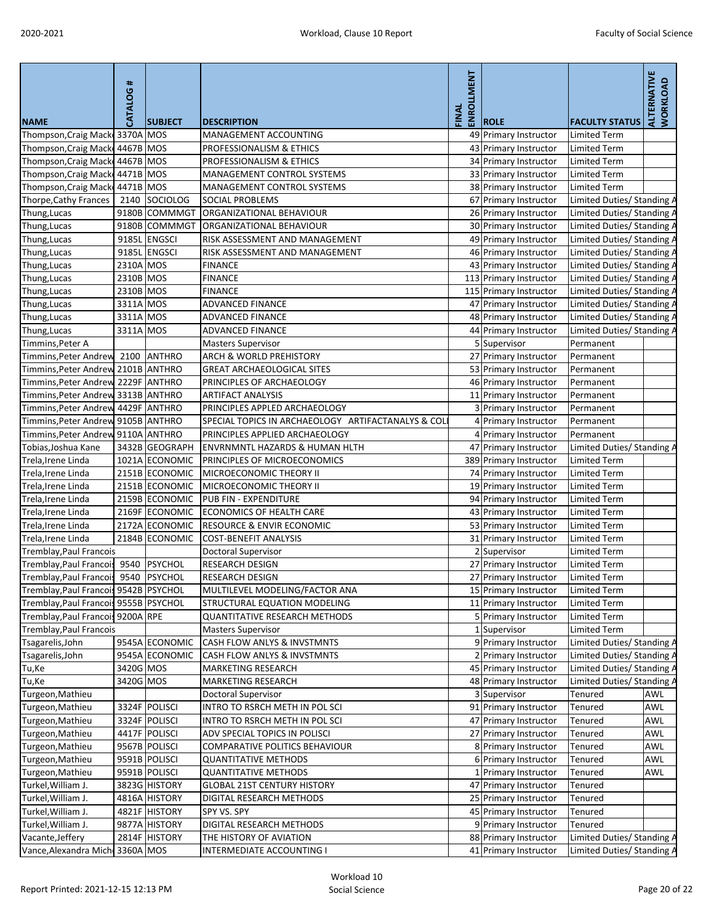| <b>NAME</b>                             | CATALOG # | <b>SUBJECT</b>                   | <b>DESCRIPTION</b>                                                               | ENROLLMENT<br>FINAL | <b>ROLE</b>                                  | <b>FACULTY STATUS</b>                                    | <b>ALTERNATIVE</b><br>WORKLOAD |
|-----------------------------------------|-----------|----------------------------------|----------------------------------------------------------------------------------|---------------------|----------------------------------------------|----------------------------------------------------------|--------------------------------|
| Thompson, Craig Macke 3370A MOS         |           |                                  | <b>MANAGEMENT ACCOUNTING</b>                                                     |                     | 49 Primary Instructor                        | <b>Limited Term</b>                                      |                                |
| Thompson, Craig Mack 4467B MOS          |           |                                  | PROFESSIONALISM & ETHICS                                                         |                     | 43 Primary Instructor                        | <b>Limited Term</b>                                      |                                |
| Thompson, Craig Mack                    | 4467B MOS |                                  | PROFESSIONALISM & ETHICS                                                         |                     | 34 Primary Instructor                        | <b>Limited Term</b>                                      |                                |
| Thompson, Craig Mack                    | 4471B MOS |                                  | MANAGEMENT CONTROL SYSTEMS                                                       |                     | 33 Primary Instructor                        | <b>Limited Term</b>                                      |                                |
| Thompson, Craig Mack                    | 4471B MOS |                                  | MANAGEMENT CONTROL SYSTEMS                                                       |                     | 38 Primary Instructor                        | <b>Limited Term</b>                                      |                                |
| Thorpe, Cathy Frances                   | 2140      | SOCIOLOG                         | <b>SOCIAL PROBLEMS</b>                                                           |                     | 67 Primary Instructor                        | Limited Duties/ Standing A                               |                                |
| Thung, Lucas                            |           | 9180B COMMMGT                    | ORGANIZATIONAL BEHAVIOUR                                                         |                     | 26 Primary Instructor                        | Limited Duties/ Standing A                               |                                |
| Thung, Lucas                            |           | 9180B COMMMGT                    | ORGANIZATIONAL BEHAVIOUR                                                         |                     | 30 Primary Instructor                        | Limited Duties/ Standing A                               |                                |
| Thung, Lucas                            |           | 9185L ENGSCI                     | RISK ASSESSMENT AND MANAGEMENT                                                   |                     | 49 Primary Instructor                        | Limited Duties/ Standing A                               |                                |
| Thung, Lucas                            | 9185L     | <b>ENGSCI</b>                    | RISK ASSESSMENT AND MANAGEMENT                                                   |                     | 46 Primary Instructor                        | Limited Duties/ Standing A                               |                                |
| Thung, Lucas                            | 2310A MOS |                                  | <b>FINANCE</b>                                                                   |                     | 43 Primary Instructor                        | Limited Duties/ Standing A                               |                                |
| Thung, Lucas                            | 2310B MOS |                                  | <b>FINANCE</b>                                                                   |                     | 113 Primary Instructor                       | Limited Duties/ Standing A                               |                                |
| Thung, Lucas                            | 2310B MOS |                                  | <b>FINANCE</b>                                                                   |                     | 115 Primary Instructor                       | Limited Duties/ Standing A                               |                                |
| Thung, Lucas                            | 3311A MOS |                                  | <b>ADVANCED FINANCE</b>                                                          |                     | 47 Primary Instructor                        | Limited Duties/ Standing A                               |                                |
| Thung, Lucas                            | 3311A MOS |                                  | <b>ADVANCED FINANCE</b>                                                          |                     | 48 Primary Instructor                        | Limited Duties/ Standing A                               |                                |
| Thung, Lucas                            | 3311A MOS |                                  | <b>ADVANCED FINANCE</b>                                                          |                     | 44 Primary Instructor                        | Limited Duties/ Standing A                               |                                |
| Timmins, Peter A                        |           |                                  | <b>Masters Supervisor</b>                                                        |                     | 5 Supervisor                                 | Permanent                                                |                                |
| Timmins, Peter Andrew 2100              |           | <b>ANTHRO</b>                    | <b>ARCH &amp; WORLD PREHISTORY</b>                                               |                     | 27 Primary Instructor                        | Permanent                                                |                                |
| Timmins, Peter Andrew 2101B ANTHRO      |           |                                  | <b>GREAT ARCHAEOLOGICAL SITES</b>                                                |                     | 53 Primary Instructor                        | Permanent                                                |                                |
| Timmins, Peter Andrew 2229F ANTHRO      |           |                                  | PRINCIPLES OF ARCHAEOLOGY                                                        |                     | 46 Primary Instructor                        | Permanent                                                |                                |
| Timmins, Peter Andrew 3313B ANTHRO      |           |                                  | <b>ARTIFACT ANALYSIS</b>                                                         |                     | 11 Primary Instructor                        | Permanent                                                |                                |
| Timmins, Peter Andrew 4429F ANTHRO      |           |                                  | PRINCIPLES APPLED ARCHAEOLOGY                                                    |                     | 3 Primary Instructor                         | Permanent                                                |                                |
| Timmins, Peter Andrew 9105B ANTHRO      |           |                                  | SPECIAL TOPICS IN ARCHAEOLOGY ARTIFACTANALYS & COL                               |                     | 4 Primary Instructor                         | Permanent                                                |                                |
| Timmins, Peter Andrew 9110A ANTHRO      |           |                                  | PRINCIPLES APPLIED ARCHAEOLOGY                                                   |                     | 4 Primary Instructor                         | Permanent                                                |                                |
| Tobias, Joshua Kane                     |           | 3432B GEOGRAPH                   | <b>ENVRNMNTL HAZARDS &amp; HUMAN HLTH</b>                                        |                     | 47 Primary Instructor                        | Limited Duties/ Standing A                               |                                |
| Trela, Irene Linda                      |           | 1021A ECONOMIC                   | PRINCIPLES OF MICROECONOMICS                                                     |                     | 389 Primary Instructor                       | <b>Limited Term</b>                                      |                                |
| Trela, Irene Linda                      |           | 2151B ECONOMIC                   | MICROECONOMIC THEORY II                                                          |                     | 74 Primary Instructor                        | <b>Limited Term</b>                                      |                                |
| Trela, Irene Linda                      |           | 2151B ECONOMIC                   | MICROECONOMIC THEORY II                                                          |                     | 19 Primary Instructor                        | <b>Limited Term</b>                                      |                                |
| Trela, Irene Linda                      |           | 2159B ECONOMIC                   | <b>PUB FIN - EXPENDITURE</b>                                                     |                     | 94 Primary Instructor                        | <b>Limited Term</b>                                      |                                |
| Trela, Irene Linda                      |           | 2169F ECONOMIC                   | <b>ECONOMICS OF HEALTH CARE</b>                                                  |                     | 43 Primary Instructor                        | <b>Limited Term</b>                                      |                                |
| Trela, Irene Linda                      |           | 2172A ECONOMIC                   | <b>RESOURCE &amp; ENVIR ECONOMIC</b>                                             |                     | 53 Primary Instructor                        | <b>Limited Term</b>                                      |                                |
| Trela, Irene Linda                      |           | 2184B ECONOMIC                   | <b>COST-BENEFIT ANALYSIS</b>                                                     |                     | 31 Primary Instructor                        | <b>Limited Term</b>                                      |                                |
| Tremblay, Paul Francois                 |           |                                  | <b>Doctoral Supervisor</b>                                                       |                     | 2 Supervisor                                 | <b>Limited Term</b>                                      |                                |
| Tremblay, Paul Francois 9540            |           | PSYCHOL                          | <b>RESEARCH DESIGN</b>                                                           |                     | 27 Primary Instructor                        | <b>Limited Term</b>                                      |                                |
| <b>Tremblay, Paul Francois</b>          | 9540      | <b>PSYCHOL</b>                   | <b>RESEARCH DESIGN</b>                                                           |                     | 27 Primary Instructor                        | <b>Limited Term</b>                                      |                                |
| Tremblay, Paul Francois 9542B   PSYCHOL |           |                                  | MULTILEVEL MODELING/FACTOR ANA                                                   |                     | 15 Primary Instructor                        | <b>Limited Term</b>                                      |                                |
| Tremblay, Paul Francois 9555B   PSYCHOL |           |                                  | STRUCTURAL EQUATION MODELING                                                     |                     | 11 Primary Instructor                        | <b>Limited Term</b>                                      |                                |
| Tremblay, Paul Francois 9200A RPE       |           |                                  | <b>QUANTITATIVE RESEARCH METHODS</b>                                             |                     | 5 Primary Instructor                         | <b>Limited Term</b>                                      |                                |
| Tremblay, Paul Francois                 |           |                                  | <b>Masters Supervisor</b>                                                        |                     | 1 Supervisor                                 | <b>Limited Term</b>                                      |                                |
| Tsagarelis, John                        |           | 9545A ECONOMIC<br>9545A ECONOMIC | <b>CASH FLOW ANLYS &amp; INVSTMNTS</b><br><b>CASH FLOW ANLYS &amp; INVSTMNTS</b> |                     | 9 Primary Instructor<br>2 Primary Instructor | Limited Duties/ Standing A<br>Limited Duties/ Standing A |                                |
| Tsagarelis, John<br>Tu, Ke              | 3420G MOS |                                  | <b>MARKETING RESEARCH</b>                                                        |                     | 45 Primary Instructor                        | Limited Duties/ Standing A                               |                                |
| Tu,Ke                                   | 3420G MOS |                                  | <b>MARKETING RESEARCH</b>                                                        |                     | 48 Primary Instructor                        | Limited Duties/ Standing A                               |                                |
| Turgeon, Mathieu                        |           |                                  | Doctoral Supervisor                                                              |                     | 3 Supervisor                                 | <b>Tenured</b>                                           | AWL                            |
| Turgeon, Mathieu                        |           | 3324F POLISCI                    | INTRO TO RSRCH METH IN POL SCI                                                   |                     | 91 Primary Instructor                        | Tenured                                                  | <b>AWL</b>                     |
| Turgeon, Mathieu                        |           | 3324F POLISCI                    | INTRO TO RSRCH METH IN POL SCI                                                   |                     | 47 Primary Instructor                        | Tenured                                                  | <b>AWL</b>                     |
| Turgeon, Mathieu                        |           | 4417F POLISCI                    | ADV SPECIAL TOPICS IN POLISCI                                                    |                     | 27 Primary Instructor                        | Tenured                                                  | <b>AWL</b>                     |
| Turgeon, Mathieu                        |           | 9567B POLISCI                    | COMPARATIVE POLITICS BEHAVIOUR                                                   |                     | 8 Primary Instructor                         | Tenured                                                  | AWL                            |
| Turgeon, Mathieu                        |           | 9591B POLISCI                    | <b>QUANTITATIVE METHODS</b>                                                      |                     | 6 Primary Instructor                         | Tenured                                                  | <b>AWL</b>                     |
| Turgeon, Mathieu                        |           | 9591B POLISCI                    | <b>QUANTITATIVE METHODS</b>                                                      |                     | 1 Primary Instructor                         | Tenured                                                  | <b>AWL</b>                     |
| Turkel, William J.                      |           | 3823G HISTORY                    | <b>GLOBAL 21ST CENTURY HISTORY</b>                                               |                     | 47 Primary Instructor                        | <b>Tenured</b>                                           |                                |
| Turkel, William J.                      |           | 4816A HISTORY                    | <b>DIGITAL RESEARCH METHODS</b>                                                  |                     | 25 Primary Instructor                        | Tenured                                                  |                                |
| Turkel, William J.                      |           | 4821F HISTORY                    | SPY VS. SPY                                                                      |                     | 45 Primary Instructor                        | Tenured                                                  |                                |
| Turkel, William J.                      |           | 9877A HISTORY                    | <b>DIGITAL RESEARCH METHODS</b>                                                  |                     | 9 Primary Instructor                         | Tenured                                                  |                                |
| Vacante, Jeffery                        |           | 2814F HISTORY                    | THE HISTORY OF AVIATION                                                          |                     | 88 Primary Instructor                        | Limited Duties/ Standing A                               |                                |
| Vance, Alexandra Micho 3360A MOS        |           |                                  | INTERMEDIATE ACCOUNTING I                                                        |                     | 41 Primary Instructor                        | Limited Duties/ Standing A                               |                                |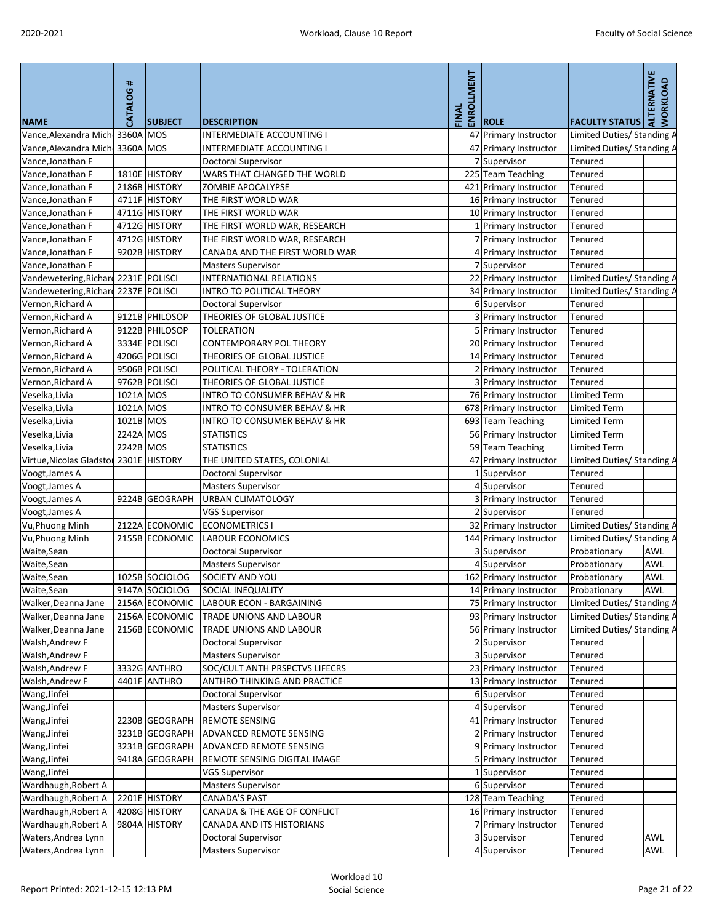| <b>NAME</b>                            | <b>CATALOG#</b> | <b>SUBJECT</b> | <b>DESCRIPTION</b>                      | ENROLLMENT<br>FINAL | <b>ROLE</b>            | <b>FACULTY STATUS</b>      | ALTERNATIVE<br><b>WORKLOAD</b> |
|----------------------------------------|-----------------|----------------|-----------------------------------------|---------------------|------------------------|----------------------------|--------------------------------|
| Vance, Alexandra Micho 3360A MOS       |                 |                | <b>INTERMEDIATE ACCOUNTING I</b>        |                     | 47 Primary Instructor  | Limited Duties/ Standing A |                                |
| Vance, Alexandra Mich 3360A MOS        |                 |                | <b>INTERMEDIATE ACCOUNTING I</b>        |                     | 47 Primary Instructor  | Limited Duties/ Standing A |                                |
| Vance, Jonathan F                      |                 |                | Doctoral Supervisor                     |                     | 7 Supervisor           | <b>Tenured</b>             |                                |
| Vance, Jonathan F                      |                 | 1810E HISTORY  | WARS THAT CHANGED THE WORLD             |                     | 225 Team Teaching      | Tenured                    |                                |
| Vance, Jonathan F                      |                 | 2186B HISTORY  | ZOMBIE APOCALYPSE                       |                     | 421 Primary Instructor | Tenured                    |                                |
| Vance, Jonathan F                      |                 | 4711F HISTORY  | THE FIRST WORLD WAR                     |                     | 16 Primary Instructor  | Tenured                    |                                |
| Vance, Jonathan F                      |                 | 4711G HISTORY  | THE FIRST WORLD WAR                     |                     | 10 Primary Instructor  | Tenured                    |                                |
| Vance, Jonathan F                      |                 | 4712G HISTORY  | THE FIRST WORLD WAR, RESEARCH           |                     | 1 Primary Instructor   | Tenured                    |                                |
| Vance, Jonathan F                      |                 | 4712G HISTORY  | THE FIRST WORLD WAR, RESEARCH           |                     | 7 Primary Instructor   | Tenured                    |                                |
| Vance, Jonathan F                      |                 | 9202B HISTORY  | CANADA AND THE FIRST WORLD WAR          |                     | 4 Primary Instructor   | Tenured                    |                                |
| Vance, Jonathan F                      |                 |                | <b>Masters Supervisor</b>               |                     | 7 Supervisor           | Tenured                    |                                |
| Vandewetering, Richard 2231E POLISCI   |                 |                | <b>INTERNATIONAL RELATIONS</b>          |                     | 22 Primary Instructor  | Limited Duties/ Standing A |                                |
| Vandewetering, Richard                 |                 | 2237E POLISCI  | <b>INTRO TO POLITICAL THEORY</b>        |                     | 34 Primary Instructor  | Limited Duties/ Standing A |                                |
| Vernon, Richard A                      |                 |                | Doctoral Supervisor                     |                     | 6 Supervisor           | Tenured                    |                                |
| Vernon, Richard A                      |                 | 9121B PHILOSOP | THEORIES OF GLOBAL JUSTICE              |                     | 3 Primary Instructor   | Tenured                    |                                |
| Vernon, Richard A                      |                 | 9122B PHILOSOP | <b>TOLERATION</b>                       |                     | 5 Primary Instructor   | Tenured                    |                                |
| Vernon, Richard A                      |                 | 3334E POLISCI  | <b>CONTEMPORARY POL THEORY</b>          |                     | 20 Primary Instructor  | <b>Tenured</b>             |                                |
| Vernon, Richard A                      |                 | 4206G POLISCI  | THEORIES OF GLOBAL JUSTICE              |                     | 14 Primary Instructor  | Tenured                    |                                |
| Vernon, Richard A                      |                 | 9506B POLISCI  | POLITICAL THEORY - TOLERATION           |                     | 2 Primary Instructor   | Tenured                    |                                |
| Vernon, Richard A                      |                 | 9762B POLISCI  | THEORIES OF GLOBAL JUSTICE              |                     |                        | Tenured                    |                                |
|                                        | 1021A MOS       |                | <b>INTRO TO CONSUMER BEHAV &amp; HR</b> |                     | 3 Primary Instructor   |                            |                                |
| Veselka, Livia                         |                 |                |                                         |                     | 76 Primary Instructor  | <b>Limited Term</b>        |                                |
| Veselka, Livia                         | 1021A MOS       |                | <b>INTRO TO CONSUMER BEHAV &amp; HR</b> |                     | 678 Primary Instructor | <b>Limited Term</b>        |                                |
| Veselka, Livia                         | 1021B MOS       |                | <b>INTRO TO CONSUMER BEHAV &amp; HR</b> |                     | 693 Team Teaching      | <b>Limited Term</b>        |                                |
| Veselka, Livia                         | 2242A MOS       |                | <b>STATISTICS</b>                       |                     | 56 Primary Instructor  | <b>Limited Term</b>        |                                |
| Veselka, Livia                         | 2242B MOS       |                | <b>STATISTICS</b>                       |                     | 59 Team Teaching       | <b>Limited Term</b>        |                                |
| Virtue, Nicolas Gladstor 2301E HISTORY |                 |                | THE UNITED STATES, COLONIAL             |                     | 47 Primary Instructor  | Limited Duties/ Standing A |                                |
| Voogt, James A                         |                 |                | <b>Doctoral Supervisor</b>              |                     | 1 Supervisor           | Tenured                    |                                |
| Voogt, James A                         |                 |                | <b>Masters Supervisor</b>               |                     | 4 Supervisor           | Tenured                    |                                |
| Voogt, James A                         |                 | 9224B GEOGRAPH | <b>URBAN CLIMATOLOGY</b>                |                     | 3 Primary Instructor   | Tenured                    |                                |
| Voogt, James A                         |                 |                | <b>VGS Supervisor</b>                   |                     | 2 Supervisor           | Tenured                    |                                |
| Vu, Phuong Minh                        |                 | 2122A ECONOMIC | <b>ECONOMETRICS I</b>                   |                     | 32 Primary Instructor  | Limited Duties/ Standing A |                                |
| Vu, Phuong Minh                        |                 | 2155B ECONOMIC | <b>LABOUR ECONOMICS</b>                 |                     | 144 Primary Instructor | Limited Duties/ Standing A |                                |
| Waite, Sean                            |                 |                | Doctoral Supervisor                     |                     | 3 Supervisor           | Probationary               | <b>AWL</b>                     |
| Waite,Sean                             |                 |                | <b>Masters Supervisor</b>               |                     | 4 Supervisor           | Probationary               | <b>AWL</b>                     |
| Waite, Sean                            |                 | 1025B SOCIOLOG | SOCIETY AND YOU                         |                     | 162 Primary Instructor | Probationary               | <b>AWL</b>                     |
| Waite, Sean                            |                 | 9147A SOCIOLOG | <b>SOCIAL INEQUALITY</b>                |                     | 14 Primary Instructor  | Probationary               | <b>AWL</b>                     |
| Walker, Deanna Jane                    |                 | 2156A ECONOMIC | LABOUR ECON - BARGAINING                |                     | 75 Primary Instructor  | Limited Duties/ Standing / |                                |
| Walker, Deanna Jane                    |                 | 2156A ECONOMIC | TRADE UNIONS AND LABOUR                 |                     | 93 Primary Instructor  | Limited Duties/ Standing A |                                |
| Walker, Deanna Jane                    |                 | 2156B ECONOMIC | TRADE UNIONS AND LABOUR                 |                     | 56 Primary Instructor  | Limited Duties/ Standing A |                                |
| Walsh, Andrew F                        |                 |                | Doctoral Supervisor                     |                     | 2 Supervisor           | Tenured                    |                                |
| Walsh, Andrew F                        |                 |                | <b>Masters Supervisor</b>               |                     | 3 Supervisor           | <b>Tenured</b>             |                                |
| Walsh, Andrew F                        |                 | 3332G ANTHRO   | SOC/CULT ANTH PRSPCTVS LIFECRS          |                     | 23 Primary Instructor  | Tenured                    |                                |
| Walsh, Andrew F                        |                 | 4401F ANTHRO   | ANTHRO THINKING AND PRACTICE            |                     | 13 Primary Instructor  | Tenured                    |                                |
| Wang, Jinfei                           |                 |                | Doctoral Supervisor                     |                     | 6 Supervisor           | Tenured                    |                                |
| Wang, Jinfei                           |                 |                | <b>Masters Supervisor</b>               |                     | 4 Supervisor           | Tenured                    |                                |
| Wang, Jinfei                           |                 | 2230B GEOGRAPH | <b>REMOTE SENSING</b>                   |                     | 41 Primary Instructor  | Tenured                    |                                |
| Wang, Jinfei                           |                 | 3231B GEOGRAPH | <b>ADVANCED REMOTE SENSING</b>          |                     | 2 Primary Instructor   | Tenured                    |                                |
| Wang, Jinfei                           |                 | 3231B GEOGRAPH | ADVANCED REMOTE SENSING                 |                     | 9 Primary Instructor   | <b>Tenured</b>             |                                |
| Wang, Jinfei                           |                 | 9418A GEOGRAPH | REMOTE SENSING DIGITAL IMAGE            |                     | 5 Primary Instructor   | Tenured                    |                                |
| Wang, Jinfei                           |                 |                | <b>VGS Supervisor</b>                   |                     | Supervisor             | Tenured                    |                                |
| Wardhaugh, Robert A                    |                 |                | <b>Masters Supervisor</b>               |                     | 6 Supervisor           | Tenured                    |                                |
| Wardhaugh, Robert A                    |                 | 2201E HISTORY  | <b>CANADA'S PAST</b>                    |                     | 128 Team Teaching      | Tenured                    |                                |
| Wardhaugh, Robert A                    |                 | 4208G HISTORY  | CANADA & THE AGE OF CONFLICT            |                     | 16 Primary Instructor  | Tenured                    |                                |
| Wardhaugh, Robert A                    |                 | 9804A HISTORY  | CANADA AND ITS HISTORIANS               |                     | 7 Primary Instructor   | Tenured                    |                                |
| Waters, Andrea Lynn                    |                 |                | Doctoral Supervisor                     |                     | 3 Supervisor           | Tenured                    | <b>AWL</b>                     |
| Waters, Andrea Lynn                    |                 |                | <b>Masters Supervisor</b>               |                     | 4 Supervisor           | Tenured                    | <b>AWL</b>                     |